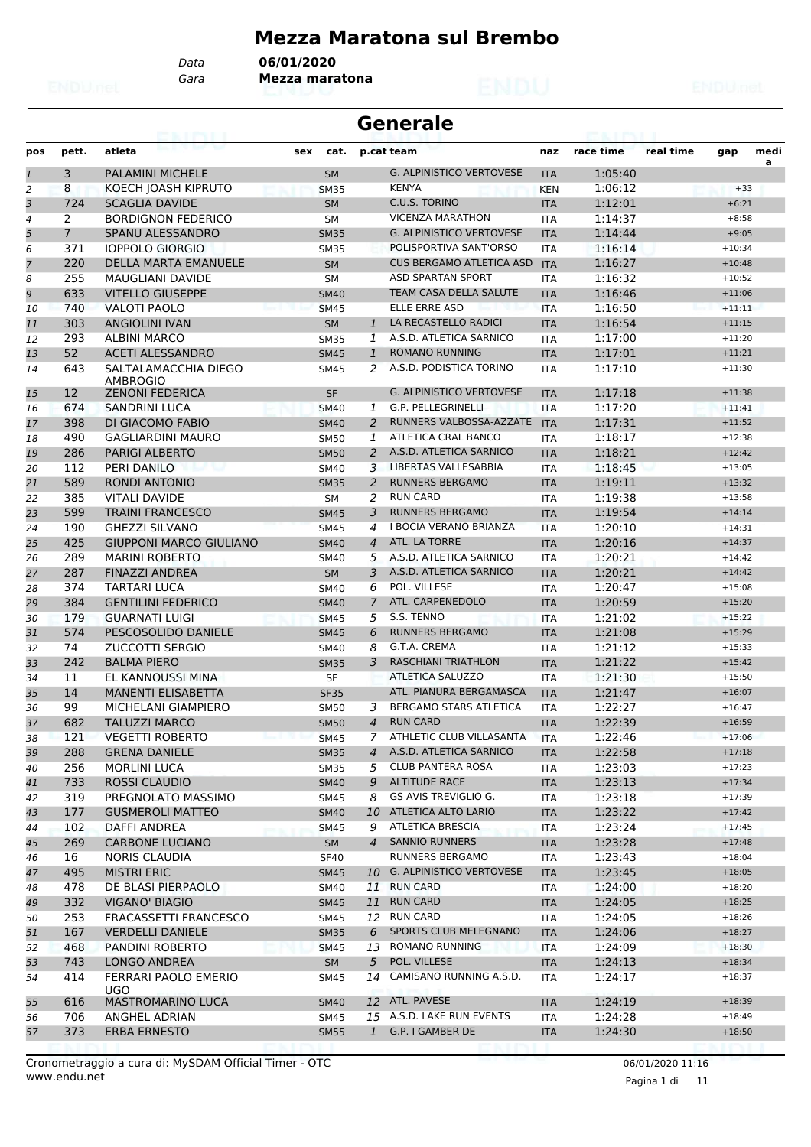#### **Mezza Maratona sul Brembo**

*Data* **06/01/2020**

*Gara* **Mezza maratona**

|              |                | 63. I KY I                                     |                            | <b>Generale</b>                             |                   |                    |           |                      |           |
|--------------|----------------|------------------------------------------------|----------------------------|---------------------------------------------|-------------------|--------------------|-----------|----------------------|-----------|
| pos          | pett.          | atleta                                         | sex<br>cat.                | p.cat team                                  | naz               | race time          | real time | gap                  | medi<br>a |
| $\mathbf{1}$ | 3              | PALAMINI MICHELE                               | <b>SM</b>                  | <b>G. ALPINISTICO VERTOVESE</b>             | <b>ITA</b>        | 1:05:40            |           |                      |           |
| 2            | 8              | KOECH JOASH KIPRUTO                            | <b>SM35</b>                | <b>KENYA</b>                                | <b>KEN</b>        | 1:06:12            |           | $+33$                |           |
| 3            | 724            | <b>SCAGLIA DAVIDE</b>                          | <b>SM</b>                  | C.U.S. TORINO                               | <b>ITA</b>        | 1:12:01            |           | $+6:21$              |           |
| 4            | 2              | <b>BORDIGNON FEDERICO</b>                      | <b>SM</b>                  | <b>VICENZA MARATHON</b>                     | <b>ITA</b>        | 1:14:37            |           | $+8:58$              |           |
| 5            | $\overline{7}$ | SPANU ALESSANDRO                               | <b>SM35</b>                | <b>G. ALPINISTICO VERTOVESE</b>             | <b>ITA</b>        | 1:14:44            |           | $+9:05$              |           |
| 6            | 371            | <b>IOPPOLO GIORGIO</b>                         | <b>SM35</b>                | POLISPORTIVA SANT'ORSO                      | <b>ITA</b>        | 1:16:14            |           | $+10:34$             |           |
| 7            | 220            | <b>DELLA MARTA EMANUELE</b>                    | <b>SM</b>                  | <b>CUS BERGAMO ATLETICA ASD</b>             | <b>ITA</b>        | 1:16:27            |           | $+10:48$             |           |
| 8            | 255            | <b>MAUGLIANI DAVIDE</b>                        | <b>SM</b>                  | <b>ASD SPARTAN SPORT</b>                    | <b>ITA</b>        | 1:16:32            |           | $+10:52$             |           |
| 9            | 633            | <b>VITELLO GIUSEPPE</b>                        | <b>SM40</b>                | <b>TEAM CASA DELLA SALUTE</b>               | <b>ITA</b>        | 1:16:46            |           | $+11:06$             |           |
| 10           | 740            | VALOTI PAOLO                                   | <b>SM45</b>                | ELLE ERRE ASD                               | <b>ITA</b>        | 1:16:50            |           | $+11:11$             |           |
| 11           | 303            | <b>ANGIOLINI IVAN</b>                          | <b>SM</b>                  | LA RECASTELLO RADICI<br>$\mathbf{1}$        | <b>ITA</b>        | 1:16:54            |           | $+11:15$             |           |
| 12           | 293            | ALBINI MARCO                                   | <b>SM35</b>                | A.S.D. ATLETICA SARNICO<br>1                | <b>ITA</b>        | 1:17:00            |           | $+11:20$             |           |
| 13           | 52             | <b>ACETI ALESSANDRO</b>                        | <b>SM45</b>                | <b>ROMANO RUNNING</b><br>$\mathbf{1}$       | <b>ITA</b>        | 1:17:01            |           | $+11:21$             |           |
| 14           | 643            | SALTALAMACCHIA DIEGO<br>AMBROGIO               | <b>SM45</b>                | A.S.D. PODISTICA TORINO<br>2                | <b>ITA</b>        | 1:17:10            |           | $+11:30$             |           |
| 15           | 12             | <b>ZENONI FEDERICA</b>                         | <b>SF</b>                  | <b>G. ALPINISTICO VERTOVESE</b>             | <b>ITA</b>        | 1:17:18            |           | $+11:38$             |           |
| 16           | 674            | <b>SANDRINI LUCA</b>                           | <b>SM40</b>                | G.P. PELLEGRINELLI<br>1                     | <b>ITA</b>        | 1:17:20            |           | $+11:41$             |           |
| 17           | 398            | DI GIACOMO FABIO                               | <b>SM40</b>                | RUNNERS VALBOSSA-AZZATE<br>2                | <b>ITA</b>        | 1:17:31            |           | $+11:52$             |           |
| 18           | 490            | <b>GAGLIARDINI MAURO</b>                       | <b>SM50</b>                | ATLETICA CRAL BANCO<br>1                    | <b>ITA</b>        | 1:18:17            |           | $+12:38$             |           |
| 19           | 286            | <b>PARIGI ALBERTO</b>                          | <b>SM50</b>                | A.S.D. ATLETICA SARNICO<br>2                | <b>ITA</b>        | 1:18:21            |           | $+12:42$             |           |
| 20           | 112            | PERI DANILO                                    | SM40                       | 3 LIBERTAS VALLESABBIA                      | <b>ITA</b>        | 1:18:45            |           | $+13:05$             |           |
| 21           | 589            | <b>RONDI ANTONIO</b>                           | <b>SM35</b>                | <b>RUNNERS BERGAMO</b><br>2                 | <b>ITA</b>        | 1:19:11            |           | $+13:32$             |           |
| 22           | 385            | <b>VITALI DAVIDE</b>                           | SΜ                         | <b>RUN CARD</b><br>2                        | <b>ITA</b>        | 1:19:38            |           | $+13:58$             |           |
| 23           | 599            | <b>TRAINI FRANCESCO</b>                        | <b>SM45</b>                | <b>RUNNERS BERGAMO</b><br>3                 | <b>ITA</b>        | 1:19:54            |           | $+14:14$             |           |
| 24           | 190            | <b>GHEZZI SILVANO</b>                          | <b>SM45</b>                | I BOCIA VERANO BRIANZA<br>4                 | <b>ITA</b>        | 1:20:10            |           | $+14:31$             |           |
| 25           | 425            | <b>GIUPPONI MARCO GIULIANO</b>                 | <b>SM40</b>                | ATL. LA TORRE<br>$\overline{A}$             | <b>ITA</b>        | 1:20:16            |           | $+14:37$             |           |
| 26           | 289            | <b>MARINI ROBERTO</b>                          | <b>SM40</b>                | A.S.D. ATLETICA SARNICO<br>5                | <b>ITA</b>        | 1:20:21            |           | $+14:42$             |           |
| 27           | 287            | <b>FINAZZI ANDREA</b>                          | <b>SM</b>                  | A.S.D. ATLETICA SARNICO<br>3                | <b>ITA</b>        | 1:20:21            |           | $+14:42$             |           |
| 28           | 374            | <b>TARTARI LUCA</b>                            | <b>SM40</b>                | POL. VILLESE<br>6                           | <b>ITA</b>        | 1:20:47            |           | $+15:08$             |           |
| 29           | 384            | <b>GENTILINI FEDERICO</b>                      | <b>SM40</b>                | ATL. CARPENEDOLO<br>7                       | <b>ITA</b>        | 1:20:59            |           | $+15:20$             |           |
| 30           | 179            | <b>GUARNATI LUIGI</b>                          | <b>SM45</b>                | S.S. TENNO<br>5                             | <b>ITA</b>        | 1:21:02            |           | $+15:22$             |           |
| 31           | 574            | PESCOSOLIDO DANIELE                            | <b>SM45</b>                | <b>RUNNERS BERGAMO</b><br>6<br>G.T.A. CREMA | <b>ITA</b>        | 1:21:08            |           | $+15:29$             |           |
| 32           | 74             | <b>ZUCCOTTI SERGIO</b>                         | SM40                       | 8<br><b>RASCHIANI TRIATHLON</b>             | <b>ITA</b>        | 1:21:12            |           | $+15:33$             |           |
| 33           | 242            | <b>BALMA PIERO</b>                             | <b>SM35</b>                | 3<br><b>ATLETICA SALUZZO</b>                | <b>ITA</b>        | 1:21:22            |           | $+15:42$             |           |
| 34           | 11             | EL KANNOUSSI MINA<br><b>MANENTI ELISABETTA</b> | SF                         | ATL. PIANURA BERGAMASCA                     | <b>ITA</b>        | 1:21:30            |           | $+15:50$             |           |
| 35           | 14             |                                                | <b>SF35</b>                | BERGAMO STARS ATLETICA                      | <b>ITA</b>        | 1:21:47            |           | $+16:07$<br>$+16:47$ |           |
| 36           | 99<br>682      | MICHELANI GIAMPIERO<br><b>TALUZZI MARCO</b>    | <b>SM50</b>                | 3<br><b>RUN CARD</b><br>$\overline{4}$      | <b>ITA</b>        | 1:22:27<br>1:22:39 |           | $+16:59$             |           |
| 37           | 121            | <b>VEGETTI ROBERTO</b>                         | <b>SM50</b>                | 7 ATHLETIC CLUB VILLASANTA                  | <b>ITA</b>        | 1:22:46            |           | $+17:06$             |           |
| 38           | 288            | <b>GRENA DANIELE</b>                           | <b>SM45</b>                | A.S.D. ATLETICA SARNICO<br>$\overline{4}$   | ITA               | 1:22:58            |           | $+17:18$             |           |
| 39<br>40     | 256            | <b>MORLINI LUCA</b>                            | <b>SM35</b><br><b>SM35</b> | <b>CLUB PANTERA ROSA</b><br>5               | <b>ITA</b><br>ITA | 1:23:03            |           | $+17:23$             |           |
| 41           | 733            | ROSSI CLAUDIO                                  | <b>SM40</b>                | <b>ALTITUDE RACE</b><br>9                   | <b>ITA</b>        | 1:23:13            |           | $+17:34$             |           |
| 42           | 319            | PREGNOLATO MASSIMO                             | SM45                       | GS AVIS TREVIGLIO G.<br>8                   | ITA               | 1:23:18            |           | $+17:39$             |           |
| 43           | 177            | <b>GUSMEROLI MATTEO</b>                        | <b>SM40</b>                | ATLETICA ALTO LARIO<br>10                   | <b>ITA</b>        | 1:23:22            |           | $+17:42$             |           |
| 44           | 102            | DAFFI ANDREA                                   | SM45                       | <b>ATLETICA BRESCIA</b><br>9                | ITA               | 1:23:24            |           | $+17:45$             |           |
| 45           | 269            | <b>CARBONE LUCIANO</b>                         | SM                         | <b>SANNIO RUNNERS</b><br>$\overline{4}$     | <b>ITA</b>        | 1:23:28            |           | $+17:48$             |           |
| 46           | 16             | <b>NORIS CLAUDIA</b>                           | <b>SF40</b>                | RUNNERS BERGAMO                             | ITA               | 1:23:43            |           | $+18:04$             |           |
| 47           | 495            | <b>MISTRI ERIC</b>                             | <b>SM45</b>                | 10 G. ALPINISTICO VERTOVESE                 | <b>ITA</b>        | 1:23:45            |           | $+18:05$             |           |
| 48           | 478            | DE BLASI PIERPAOLO                             | SM40                       | <b>RUN CARD</b><br>11                       | ITA               | 1:24:00            |           | $+18:20$             |           |
| 49           | 332            | <b>VIGANO' BIAGIO</b>                          | <b>SM45</b>                | <b>RUN CARD</b><br>11                       | <b>ITA</b>        | 1:24:05            |           | $+18:25$             |           |
| 50           | 253            | FRACASSETTI FRANCESCO                          | SM45                       | 12 RUN CARD                                 | ITA               | 1:24:05            |           | $+18:26$             |           |
| 51           | 167            | <b>VERDELLI DANIELE</b>                        | <b>SM35</b>                | SPORTS CLUB MELEGNANO<br>6                  | <b>ITA</b>        | 1:24:06            |           | $+18:27$             |           |
| 52           | 468            | PANDINI ROBERTO                                | SM45                       | <b>ROMANO RUNNING</b><br>13                 | <b>ITA</b>        | 1:24:09            |           | $+18:30$             |           |
| 53           | 743            | LONGO ANDREA                                   | SM                         | POL. VILLESE<br>5                           | <b>ITA</b>        | 1:24:13            |           | $+18:34$             |           |
| 54           | 414            | FERRARI PAOLO EMERIO                           | SM45                       | CAMISANO RUNNING A.S.D.<br>14               | ITA               | 1:24:17            |           | $+18:37$             |           |
| 55           | 616            | UGO.<br><b>MASTROMARINO LUCA</b>               | <b>SM40</b>                | 12 ATL. PAVESE                              | <b>ITA</b>        | 1:24:19            |           | $+18:39$             |           |
| 56           | 706            | ANGHEL ADRIAN                                  | SM45                       | 15 A.S.D. LAKE RUN EVENTS                   | ITA               | 1:24:28            |           | $+18:49$             |           |
| 57           | 373            | ERBA ERNESTO                                   | <b>SM55</b>                | 1 G.P. I GAMBER DE                          | <b>ITA</b>        | 1:24:30            |           | $+18:50$             |           |
|              |                |                                                |                            |                                             |                   |                    |           |                      |           |

Pagina 1 di 11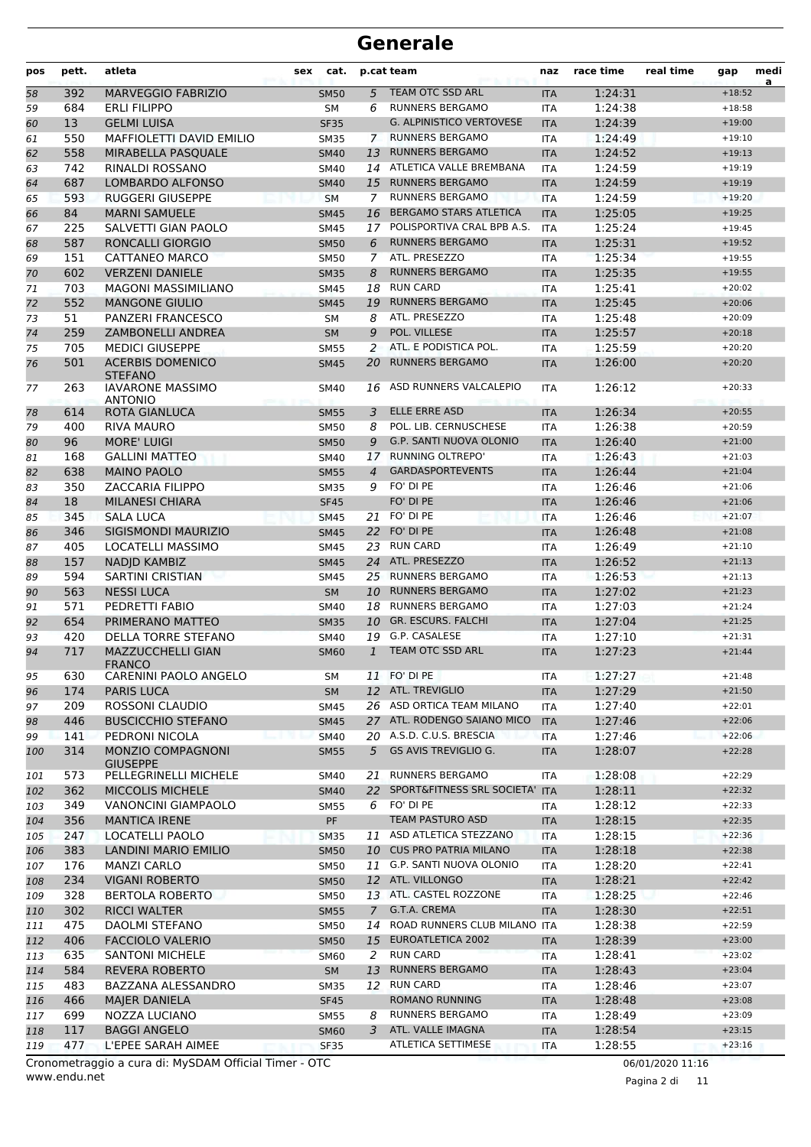| pos | pett. | atleta                                    | cat.<br>sex |                | p.cat team                      | naz        | race time | real time | gap      | medi<br>a |
|-----|-------|-------------------------------------------|-------------|----------------|---------------------------------|------------|-----------|-----------|----------|-----------|
| 58  | 392   | <b>MARVEGGIO FABRIZIO</b>                 | <b>SM50</b> | 5              | <b>TEAM OTC SSD ARL</b>         | <b>ITA</b> | 1:24:31   |           | $+18:52$ |           |
| 59  | 684   | <b>ERLI FILIPPO</b>                       | SΜ          | 6              | <b>RUNNERS BERGAMO</b>          | ITA        | 1:24:38   |           | $+18:58$ |           |
| 60  | 13    | <b>GELMI LUISA</b>                        | <b>SF35</b> |                | <b>G. ALPINISTICO VERTOVESE</b> | <b>ITA</b> | 1:24:39   |           | $+19:00$ |           |
| 61  | 550   | <b>MAFFIOLETTI DAVID EMILIO</b>           | <b>SM35</b> |                | 7 RUNNERS BERGAMO               | <b>ITA</b> | 1:24:49   |           | $+19:10$ |           |
| 62  | 558   | MIRABELLA PASQUALE                        | <b>SM40</b> | 13             | <b>RUNNERS BERGAMO</b>          | <b>ITA</b> | 1:24:52   |           | $+19:13$ |           |
| 63  | 742   | RINALDI ROSSANO                           | <b>SM40</b> |                | 14 ATLETICA VALLE BREMBANA      | <b>ITA</b> | 1:24:59   |           | $+19:19$ |           |
| 64  | 687   | <b>LOMBARDO ALFONSO</b>                   | <b>SM40</b> | 15             | <b>RUNNERS BERGAMO</b>          | <b>ITA</b> | 1:24:59   |           | $+19:19$ |           |
| 65  | 593   | <b>RUGGERI GIUSEPPE</b>                   | <b>SM</b>   | 7              | <b>RUNNERS BERGAMO</b>          | <b>ITA</b> | 1:24:59   |           | $+19:20$ |           |
| 66  | 84    | <b>MARNI SAMUELE</b>                      | <b>SM45</b> | 16             | <b>BERGAMO STARS ATLETICA</b>   | <b>ITA</b> | 1:25:05   |           | $+19:25$ |           |
| 67  | 225   | SALVETTI GIAN PAOLO                       | <b>SM45</b> | 17             | POLISPORTIVA CRAL BPB A.S.      | <b>ITA</b> | 1:25:24   |           | $+19:45$ |           |
| 68  | 587   | <b>RONCALLI GIORGIO</b>                   | <b>SM50</b> | 6              | <b>RUNNERS BERGAMO</b>          | <b>ITA</b> | 1:25:31   |           | $+19:52$ |           |
| 69  | 151   | CATTANEO MARCO                            | <b>SM50</b> | $\mathcal{I}$  | ATL. PRESEZZO                   | <b>ITA</b> | 1:25:34   |           | $+19:55$ |           |
| 70  | 602   | <b>VERZENI DANIELE</b>                    | <b>SM35</b> | 8              | <b>RUNNERS BERGAMO</b>          | <b>ITA</b> | 1:25:35   |           | $+19:55$ |           |
| 71  | 703   | <b>MAGONI MASSIMILIANO</b>                | SM45        | 18             | <b>RUN CARD</b>                 | <b>ITA</b> | 1:25:41   |           | $+20:02$ |           |
| 72  | 552   | <b>MANGONE GIULIO</b>                     | <b>SM45</b> | 19             | <b>RUNNERS BERGAMO</b>          | <b>ITA</b> | 1:25:45   |           | $+20:06$ |           |
| 73  | 51    | PANZERI FRANCESCO                         | <b>SM</b>   | 8              | ATL. PRESEZZO                   | <b>ITA</b> | 1:25:48   |           | $+20:09$ |           |
| 74  | 259   | <b>ZAMBONELLI ANDREA</b>                  | <b>SM</b>   | 9              | POL. VILLESE                    | <b>ITA</b> | 1:25:57   |           | $+20:18$ |           |
| 75  | 705   | <b>MEDICI GIUSEPPE</b>                    | <b>SM55</b> | 2              | ATL. E PODISTICA POL.           | <b>ITA</b> | 1:25:59   |           | $+20:20$ |           |
| 76  | 501   | <b>ACERBIS DOMENICO</b><br><b>STEFANO</b> | <b>SM45</b> | 20             | <b>RUNNERS BERGAMO</b>          | <b>ITA</b> | 1:26:00   |           | $+20:20$ |           |
| 77  | 263   | <b>IAVARONE MASSIMO</b><br><b>ANTONIO</b> | <b>SM40</b> | 16             | ASD RUNNERS VALCALEPIO          | <b>ITA</b> | 1:26:12   |           | $+20:33$ |           |
| 78  | 614   | ROTA GIANLUCA                             | <b>SM55</b> | 3              | <b>ELLE ERRE ASD</b>            | <b>ITA</b> | 1:26:34   |           | $+20:55$ |           |
| 79  | 400   | <b>RIVA MAURO</b>                         | <b>SM50</b> | 8              | POL. LIB. CERNUSCHESE           | <b>ITA</b> | 1:26:38   |           | $+20:59$ |           |
| 80  | 96    | <b>MORE' LUIGI</b>                        | <b>SM50</b> | 9              | G.P. SANTI NUOVA OLONIO         | <b>ITA</b> | 1:26:40   |           | $+21:00$ |           |
| 81  | 168   | <b>GALLINI MATTEO</b>                     | SM40        | 17             | <b>RUNNING OLTREPO'</b>         | <b>ITA</b> | 1:26:43   |           | $+21:03$ |           |
| 82  | 638   | <b>MAINO PAOLO</b>                        | <b>SM55</b> | $\overline{4}$ | <b>GARDASPORTEVENTS</b>         | <b>ITA</b> | 1:26:44   |           | $+21:04$ |           |
| 83  | 350   | <b>ZACCARIA FILIPPO</b>                   | <b>SM35</b> | 9              | FO' DI PE                       | <b>ITA</b> | 1:26:46   |           | $+21:06$ |           |
| 84  | 18    | <b>MILANESI CHIARA</b>                    | <b>SF45</b> |                | FO' DI PE                       | <b>ITA</b> | 1:26:46   |           | $+21:06$ |           |
| 85  | 345   | <b>SALA LUCA</b>                          | <b>SM45</b> | 21             | FO' DI PE                       | <b>ITA</b> | 1:26:46   |           | $+21:07$ |           |
| 86  | 346   | SIGISMONDI MAURIZIO                       | <b>SM45</b> |                | 22 FO' DI PE                    | <b>ITA</b> | 1:26:48   |           | $+21:08$ |           |
| 87  | 405   | <b>LOCATELLI MASSIMO</b>                  | <b>SM45</b> | 23             | <b>RUN CARD</b>                 | <b>ITA</b> | 1:26:49   |           | $+21:10$ |           |
| 88  | 157   | NADJD KAMBIZ                              | <b>SM45</b> |                | 24 ATL. PRESEZZO                | <b>ITA</b> | 1:26:52   |           | $+21:13$ |           |
| 89  | 594   | <b>SARTINI CRISTIAN</b>                   | <b>SM45</b> |                | 25 RUNNERS BERGAMO              | <b>ITA</b> | 1:26:53   |           | $+21:13$ |           |
| 90  | 563   | <b>NESSI LUCA</b>                         | <b>SM</b>   | 10             | <b>RUNNERS BERGAMO</b>          | <b>ITA</b> | 1:27:02   |           | $+21:23$ |           |
| 91  | 571   | PEDRETTI FABIO                            | SM40        | 18             | <b>RUNNERS BERGAMO</b>          | <b>ITA</b> | 1:27:03   |           | $+21:24$ |           |
| 92  | 654   | PRIMERANO MATTEO                          | <b>SM35</b> | 10             | <b>GR. ESCURS, FALCHI</b>       | <b>ITA</b> | 1:27:04   |           | $+21:25$ |           |
| 93  | 420   | <b>DELLA TORRE STEFANO</b>                | <b>SM40</b> | 19             | G.P. CASALESE                   | <b>ITA</b> | 1:27:10   |           | $+21:31$ |           |
| 94  | 717   | MAZZUCCHELLI GIAN<br><b>FRANCO</b>        | <b>SM60</b> | $\mathbf{1}$   | <b>TEAM OTC SSD ARL</b>         | <b>ITA</b> | 1:27:23   |           | $+21:44$ |           |
| 95  | 630   | CARENINI PAOLO ANGELO                     | SΜ          |                | 11 FO' DI PE                    | ITA        | 1:27:27   |           | $+21:48$ |           |
| 96  | 174   | <b>PARIS LUCA</b>                         | <b>SM</b>   |                | 12 ATL. TREVIGLIO               | <b>ITA</b> | 1:27:29   |           | $+21:50$ |           |
| 97  | 209   | ROSSONI CLAUDIO                           | SM45        |                | 26 ASD ORTICA TEAM MILANO       | ITA        | 1:27:40   |           | $+22:01$ |           |
| 98  | 446   | <b>BUSCICCHIO STEFANO</b>                 | <b>SM45</b> |                | 27 ATL. RODENGO SAIANO MICO     | <b>ITA</b> | 1:27:46   |           | $+22:06$ |           |
| 99  | 141   | PEDRONI NICOLA                            | <b>SM40</b> |                | 20 A.S.D. C.U.S. BRESCIA        | <b>ITA</b> | 1:27:46   |           | $+22:06$ |           |
| 100 | 314   | MONZIO COMPAGNONI<br><b>GIUSEPPE</b>      | <b>SM55</b> | 5              | GS AVIS TREVIGLIO G.            | <b>ITA</b> | 1:28:07   |           | $+22:28$ |           |
| 101 | 573   | PELLEGRINELLI MICHELE                     | SM40        | 21             | <b>RUNNERS BERGAMO</b>          | ITA        | 1:28:08   |           | $+22:29$ |           |
| 102 | 362   | <b>MICCOLIS MICHELE</b>                   | <b>SM40</b> | 22             | SPORT&FITNESS SRL SOCIETA'      | <b>ITA</b> | 1:28:11   |           | $+22:32$ |           |
| 103 | 349   | <b>VANONCINI GIAMPAOLO</b>                | <b>SM55</b> | 6              | FO' DI PE                       | <b>ITA</b> | 1:28:12   |           | $+22:33$ |           |
| 104 | 356   | <b>MANTICA IRENE</b>                      | PF          |                | TEAM PASTURO ASD                | <b>ITA</b> | 1:28:15   |           | $+22:35$ |           |
| 105 | 247   | LOCATELLI PAOLO                           | <b>SM35</b> |                | 11 ASD ATLETICA STEZZANO        | ITA        | 1:28:15   |           | $+22:36$ |           |
| 106 | 383   | LANDINI MARIO EMILIO                      | <b>SM50</b> |                | 10 CUS PRO PATRIA MILANO        | <b>ITA</b> | 1:28:18   |           | $+22:38$ |           |
| 107 | 176   | <b>MANZI CARLO</b>                        | SM50        |                | 11 G.P. SANTI NUOVA OLONIO      | ITA        | 1:28:20   |           | $+22:41$ |           |
| 108 | 234   | <b>VIGANI ROBERTO</b>                     | <b>SM50</b> |                | 12 ATL. VILLONGO                | <b>ITA</b> | 1:28:21   |           | $+22:42$ |           |
| 109 | 328   | <b>BERTOLA ROBERTO</b>                    | <b>SM50</b> |                | 13 ATL. CASTEL ROZZONE          | ITA        | 1:28:25   |           | $+22:46$ |           |
| 110 | 302   | <b>RICCI WALTER</b>                       | <b>SM55</b> | $\mathcal{I}$  | G.T.A. CREMA                    | <b>ITA</b> | 1:28:30   |           | $+22:51$ |           |
| 111 | 475   | DAOLMI STEFANO                            | <b>SM50</b> |                | 14 ROAD RUNNERS CLUB MILANO ITA |            | 1:28:38   |           | $+22:59$ |           |
| 112 | 406   | <b>FACCIOLO VALERIO</b>                   | <b>SM50</b> |                | 15 EUROATLETICA 2002            | <b>ITA</b> | 1:28:39   |           | $+23:00$ |           |
| 113 | 635   | <b>SANTONI MICHELE</b>                    | <b>SM60</b> | 2              | <b>RUN CARD</b>                 | <b>ITA</b> | 1:28:41   |           | $+23:02$ |           |
| 114 | 584   | <b>REVERA ROBERTO</b>                     | <b>SM</b>   | 13             | <b>RUNNERS BERGAMO</b>          | <b>ITA</b> | 1:28:43   |           | $+23:04$ |           |
| 115 | 483   | BAZZANA ALESSANDRO                        | <b>SM35</b> | 12             | <b>RUN CARD</b>                 | <b>ITA</b> | 1:28:46   |           | $+23:07$ |           |
| 116 | 466   | <b>MAJER DANIELA</b>                      | <b>SF45</b> |                | <b>ROMANO RUNNING</b>           | <b>ITA</b> | 1:28:48   |           | $+23:08$ |           |
| 117 | 699   | NOZZA LUCIANO                             | <b>SM55</b> | 8              | <b>RUNNERS BERGAMO</b>          | ITA        | 1:28:49   |           | $+23:09$ |           |
| 118 | 117   | <b>BAGGI ANGELO</b>                       | <b>SM60</b> | 3              | ATL. VALLE IMAGNA               | <b>ITA</b> | 1:28:54   |           | $+23:15$ |           |
| 119 | 477   | L'EPEE SARAH AIMEE                        | <b>SF35</b> |                | ATLETICA SETTIMESE              | ITA        | 1:28:55   |           | $+23:16$ |           |

www.endu.net Cronometraggio a cura di: MySDAM Official Timer - OTC 06/01/2020 11:16

Pagina 2 di 11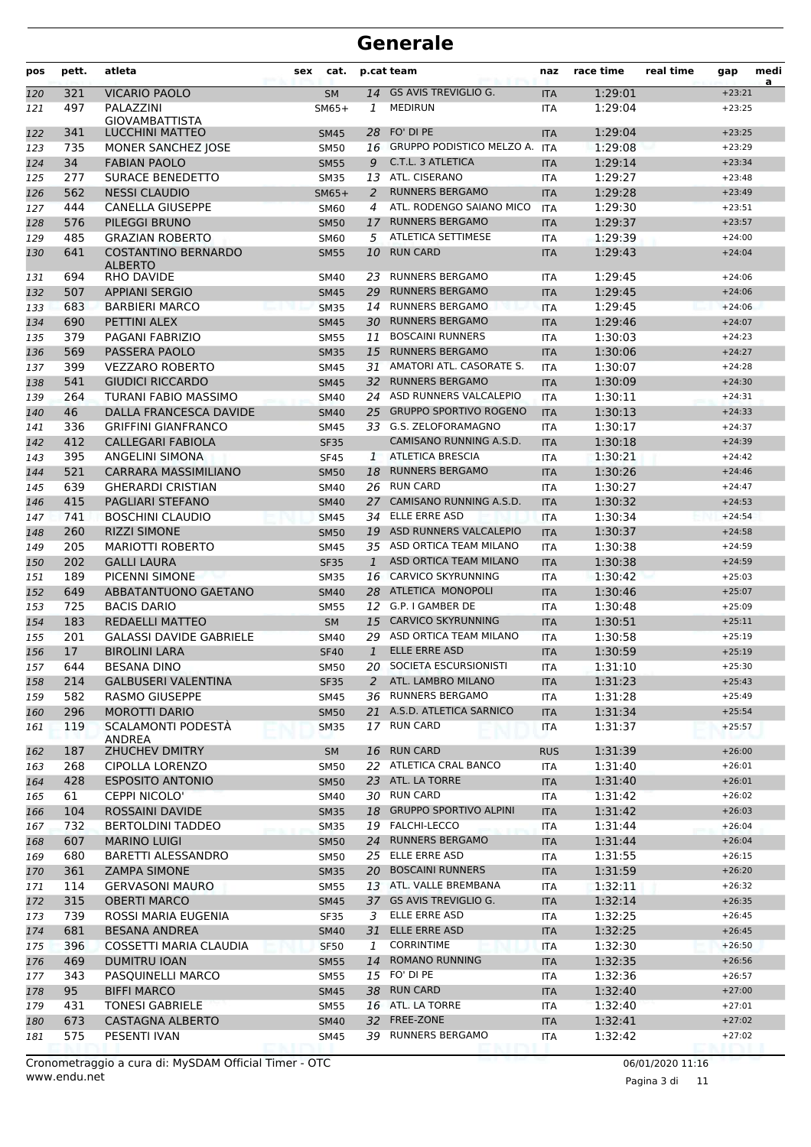| pos        | pett.      | atleta                                                 | sex | cat.                       |                    | p.cat team                                       | naz                      | race time          | real time | gap                  | medi<br>a |
|------------|------------|--------------------------------------------------------|-----|----------------------------|--------------------|--------------------------------------------------|--------------------------|--------------------|-----------|----------------------|-----------|
| 120        | 321        | <b>VICARIO PAOLO</b>                                   |     | <b>SM</b>                  | 14                 | <b>GS AVIS TREVIGLIO G.</b>                      | <b>ITA</b>               | 1:29:01            |           | $+23:21$             |           |
| 121        | 497        | PALAZZINI                                              |     | $SM65+$                    | 1                  | <b>MEDIRUN</b>                                   | <b>ITA</b>               | 1:29:04            |           | $+23:25$             |           |
|            |            | <b>GIOVAMBATTISTA</b>                                  |     |                            |                    | FO' DI PE                                        |                          | 1:29:04            |           |                      |           |
| 122<br>123 | 341<br>735 | LUCCHINI MATTEO<br>MONER SANCHEZ JOSE                  |     | <b>SM45</b><br><b>SM50</b> | 28<br>16           | <b>GRUPPO PODISTICO MELZO A. ITA</b>             | <b>ITA</b>               | 1:29:08            |           | $+23:25$<br>$+23:29$ |           |
| 124        | 34         | <b>FABIAN PAOLO</b>                                    |     | <b>SM55</b>                | 9                  | C.T.L. 3 ATLETICA                                | <b>ITA</b>               | 1:29:14            |           | $+23:34$             |           |
| 125        | 277        | SURACE BENEDETTO                                       |     | <b>SM35</b>                | 13                 | ATL. CISERANO                                    | <b>ITA</b>               | 1:29:27            |           | $+23:48$             |           |
| 126        | 562        | <b>NESSI CLAUDIO</b>                                   |     | $SM65+$                    | 2                  | <b>RUNNERS BERGAMO</b>                           | <b>ITA</b>               | 1:29:28            |           | $+23:49$             |           |
| 127        | 444        | <b>CANELLA GIUSEPPE</b>                                |     | <b>SM60</b>                | 4                  | ATL. RODENGO SAIANO MICO                         | <b>ITA</b>               | 1:29:30            |           | $+23:51$             |           |
| 128        | 576        | <b>PILEGGI BRUNO</b>                                   |     | <b>SM50</b>                | 17                 | <b>RUNNERS BERGAMO</b>                           | <b>ITA</b>               | 1:29:37            |           | $+23:57$             |           |
| 129        | 485        | <b>GRAZIAN ROBERTO</b>                                 |     | <b>SM60</b>                | 5                  | <b>ATLETICA SETTIMESE</b>                        | <b>ITA</b>               | 1:29:39            |           | $+24:00$             |           |
| 130        | 641        | <b>COSTANTINO BERNARDO</b><br><b>ALBERTO</b>           |     | <b>SM55</b>                | 10                 | <b>RUN CARD</b>                                  | <b>ITA</b>               | 1:29:43            |           | $+24:04$             |           |
| 131        | 694        | RHO DAVIDE                                             |     | <b>SM40</b>                | 23                 | <b>RUNNERS BERGAMO</b>                           | <b>ITA</b>               | 1:29:45            |           | $+24:06$             |           |
| 132        | 507        | <b>APPIANI SERGIO</b>                                  |     | <b>SM45</b>                | 29                 | <b>RUNNERS BERGAMO</b>                           | <b>ITA</b>               | 1:29:45            |           | $+24:06$             |           |
| 133        | 683        | <b>BARBIERI MARCO</b>                                  |     | <b>SM35</b>                | 14                 | <b>RUNNERS BERGAMO</b>                           | <b>ITA</b>               | 1:29:45            |           | $+24:06$             |           |
| 134        | 690        | PETTINI ALEX                                           |     | <b>SM45</b>                | 30                 | <b>RUNNERS BERGAMO</b>                           | <b>ITA</b>               | 1:29:46            |           | $+24:07$             |           |
| 135        | 379        | PAGANI FABRIZIO                                        |     | <b>SM55</b>                | 11                 | <b>BOSCAINI RUNNERS</b>                          | <b>ITA</b>               | 1:30:03            |           | $+24:23$             |           |
| 136        | 569        | PASSERA PAOLO                                          |     | <b>SM35</b>                | 15                 | <b>RUNNERS BERGAMO</b>                           | <b>ITA</b>               | 1:30:06            |           | $+24:27$             |           |
| 137        | 399        | <b>VEZZARO ROBERTO</b>                                 |     | <b>SM45</b>                | 31                 | AMATORI ATL. CASORATE S.                         | <b>ITA</b>               | 1:30:07            |           | $+24:28$             |           |
| 138        | 541        | <b>GIUDICI RICCARDO</b>                                |     | <b>SM45</b>                | 32                 | <b>RUNNERS BERGAMO</b>                           | <b>ITA</b>               | 1:30:09            |           | $+24:30$             |           |
| 139        | 264        | TURANI FABIO MASSIMO                                   |     | <b>SM40</b>                | 24                 | ASD RUNNERS VALCALEPIO                           | <b>ITA</b>               | 1:30:11            |           | $+24:31$             |           |
| 140        | 46         | DALLA FRANCESCA DAVIDE                                 |     | <b>SM40</b>                | 25                 | <b>GRUPPO SPORTIVO ROGENO</b>                    | <b>ITA</b>               | 1:30:13            |           | $+24:33$             |           |
| 141        | 336<br>412 | <b>GRIFFINI GIANFRANCO</b><br><b>CALLEGARI FABIOLA</b> |     | <b>SM45</b>                |                    | 33 G.S. ZELOFORAMAGNO<br>CAMISANO RUNNING A.S.D. | <b>ITA</b>               | 1:30:17            |           | $+24:37$             |           |
| 142        |            |                                                        |     | <b>SF35</b>                |                    | <b>ATLETICA BRESCIA</b>                          | <b>ITA</b>               | 1:30:18<br>1:30:21 |           | $+24:39$<br>$+24:42$ |           |
| 143<br>144 | 395<br>521 | ANGELINI SIMONA<br><b>CARRARA MASSIMILIANO</b>         |     | <b>SF45</b><br><b>SM50</b> | $\mathbf{1}$<br>18 | <b>RUNNERS BERGAMO</b>                           | <b>ITA</b><br><b>ITA</b> | 1:30:26            |           | $+24:46$             |           |
| 145        | 639        | <b>GHERARDI CRISTIAN</b>                               |     | <b>SM40</b>                | 26                 | <b>RUN CARD</b>                                  | <b>ITA</b>               | 1:30:27            |           | $+24:47$             |           |
| 146        | 415        | PAGLIARI STEFANO                                       |     | <b>SM40</b>                | 27                 | CAMISANO RUNNING A.S.D.                          | <b>ITA</b>               | 1:30:32            |           | $+24:53$             |           |
| 147        | 741        | <b>BOSCHINI CLAUDIO</b>                                |     | <b>SM45</b>                | 34                 | ELLE ERRE ASD                                    | <b>ITA</b>               | 1:30:34            |           | $+24:54$             |           |
| 148        | 260        | <b>RIZZI SIMONE</b>                                    |     | <b>SM50</b>                | 19                 | ASD RUNNERS VALCALEPIO                           | <b>ITA</b>               | 1:30:37            |           | $+24:58$             |           |
| 149        | 205        | <b>MARIOTTI ROBERTO</b>                                |     | <b>SM45</b>                |                    | 35 ASD ORTICA TEAM MILANO                        | <b>ITA</b>               | 1:30:38            |           | $+24:59$             |           |
| 150        | 202        | <b>GALLI LAURA</b>                                     |     | <b>SF35</b>                | $\mathbf{1}$       | ASD ORTICA TEAM MILANO                           | <b>ITA</b>               | 1:30:38            |           | $+24:59$             |           |
| 151        | 189        | PICENNI SIMONE                                         |     | <b>SM35</b>                | 16                 | <b>CARVICO SKYRUNNING</b>                        | <b>ITA</b>               | 1:30:42            |           | $+25:03$             |           |
| 152        | 649        | ABBATANTUONO GAETANO                                   |     | <b>SM40</b>                | 28                 | ATLETICA MONOPOLI                                | <b>ITA</b>               | 1:30:46            |           | $+25:07$             |           |
| 153        | 725        | <b>BACIS DARIO</b>                                     |     | <b>SM55</b>                | 12                 | G.P. I GAMBER DE                                 | <b>ITA</b>               | 1:30:48            |           | $+25:09$             |           |
| 154        | 183        | <b>REDAELLI MATTEO</b>                                 |     | <b>SM</b>                  | 15                 | <b>CARVICO SKYRUNNING</b>                        | <b>ITA</b>               | 1:30:51            |           | $+25:11$             |           |
| 155        | 201        | <b>GALASSI DAVIDE GABRIELE</b>                         |     | <b>SM40</b>                | 29                 | ASD ORTICA TEAM MILANO                           | <b>ITA</b>               | 1:30:58            |           | $+25:19$             |           |
| 156        | 17         | <b>BIROLINI LARA</b>                                   |     | <b>SF40</b>                | $\mathbf{1}$       | <b>ELLE ERRE ASD</b>                             | <b>ITA</b>               | 1:30:59            |           | $+25:19$             |           |
| 157        | 644        | <b>BESANA DINO</b>                                     |     | <b>SM50</b>                | 20                 | SOCIETA ESCURSIONISTI                            | <b>ITA</b>               | 1:31:10            |           | $+25:30$             |           |
| 158        | 214        | <b>GALBUSERI VALENTINA</b>                             |     | <b>SF35</b>                |                    | 2 ATL. LAMBRO MILANO                             | <b>ITA</b>               | 1:31:23            |           | $+25:43$             |           |
| 159        | 582        | <b>RASMO GIUSEPPE</b>                                  |     | SM45                       |                    | 36 RUNNERS BERGAMO                               | <b>ITA</b>               | 1:31:28            |           | $+25:49$             |           |
| 160        | 296        | <b>MOROTTI DARIO</b>                                   |     | <b>SM50</b>                |                    | 21 A.S.D. ATLETICA SARNICO                       | <b>ITA</b>               | 1:31:34            |           | $+25:54$             |           |
| 161        | 119        | SCALAMONTI PODESTA<br><b>ANDREA</b>                    |     | <b>SM35</b>                |                    | 17 RUN CARD                                      | ITA                      | 1:31:37            |           | $+25:57$             |           |
| 162        | 187        | ZHUCHEV DMITRY                                         |     | <b>SM</b>                  |                    | 16 RUN CARD                                      | <b>RUS</b>               | 1:31:39            |           | $+26:00$<br>$+26:01$ |           |
| 163        | 268        | CIPOLLA LORENZO                                        |     | <b>SM50</b>                |                    | 22 ATLETICA CRAL BANCO<br>23 ATL. LA TORRE       | ITA                      | 1:31:40            |           | $+26:01$             |           |
| 164<br>165 | 428<br>61  | <b>ESPOSITO ANTONIO</b><br><b>CEPPI NICOLO'</b>        |     | <b>SM50</b><br>SM40        |                    | 30 RUN CARD                                      | <b>ITA</b><br>ITA        | 1:31:40<br>1:31:42 |           | $+26:02$             |           |
| 166        | 104        | <b>ROSSAINI DAVIDE</b>                                 |     | <b>SM35</b>                |                    | 18 GRUPPO SPORTIVO ALPINI                        | <b>ITA</b>               | 1:31:42            |           | $+26:03$             |           |
| 167        | 732        | <b>BERTOLDINI TADDEO</b>                               |     | <b>SM35</b>                |                    | 19 FALCHI-LECCO                                  | ITA                      | 1:31:44            |           | $+26:04$             |           |
| 168        | 607        | <b>MARINO LUIGI</b>                                    |     | <b>SM50</b>                |                    | 24 RUNNERS BERGAMO                               | <b>ITA</b>               | 1:31:44            |           | $+26:04$             |           |
| 169        | 680        | <b>BARETTI ALESSANDRO</b>                              |     | <b>SM50</b>                |                    | 25 ELLE ERRE ASD                                 | ITA                      | 1:31:55            |           | $+26:15$             |           |
| 170        | 361        | <b>ZAMPA SIMONE</b>                                    |     | <b>SM35</b>                |                    | 20 BOSCAINI RUNNERS                              | <b>ITA</b>               | 1:31:59            |           | $+26:20$             |           |
| 171        | 114        | <b>GERVASONI MAURO</b>                                 |     | SM55                       |                    | 13 ATL. VALLE BREMBANA                           | ITA                      | 1:32:11            |           | $+26:32$             |           |
| 172        | 315        | <b>OBERTI MARCO</b>                                    |     | <b>SM45</b>                |                    | 37 GS AVIS TREVIGLIO G.                          | <b>ITA</b>               | 1:32:14            |           | $+26:35$             |           |
| 173        | 739        | ROSSI MARIA EUGENIA                                    |     | SF35                       | 3                  | ELLE ERRE ASD                                    | ITA                      | 1:32:25            |           | $+26:45$             |           |
| 174        | 681        | <b>BESANA ANDREA</b>                                   |     | <b>SM40</b>                |                    | 31 ELLE ERRE ASD                                 | <b>ITA</b>               | 1:32:25            |           | $+26:45$             |           |
| 175        | 396        | COSSETTI MARIA CLAUDIA                                 |     | <b>SF50</b>                | $\mathbf{1}$       | <b>CORRINTIME</b>                                | ITA                      | 1:32:30            |           | $+26:50$             |           |
| 176        | 469        | <b>DUMITRU IOAN</b>                                    |     | <b>SM55</b>                | 14                 | <b>ROMANO RUNNING</b>                            | <b>ITA</b>               | 1:32:35            |           | $+26:56$             |           |
| 177        | 343        | PASQUINELLI MARCO                                      |     | SM55                       |                    | 15 FO' DI PE                                     | ITA                      | 1:32:36            |           | $+26:57$             |           |
| 178        | 95         | <b>BIFFI MARCO</b>                                     |     | <b>SM45</b>                |                    | 38 RUN CARD                                      | <b>ITA</b>               | 1:32:40            |           | $+27:00$             |           |
| 179        | 431        | <b>TONESI GABRIELE</b>                                 |     | <b>SM55</b>                |                    | 16 ATL. LA TORRE                                 | ITA                      | 1:32:40            |           | $+27:01$             |           |
| 180        | 673        | CASTAGNA ALBERTO                                       |     | <b>SM40</b>                |                    | 32 FREE-ZONE                                     | <b>ITA</b>               | 1:32:41            |           | $+27:02$             |           |
| 181        | 575        | PESENTI IVAN                                           |     | SM45                       |                    | 39 RUNNERS BERGAMO                               | ITA                      | 1:32:42            |           | $+27:02$             |           |

Pagina 3 di 11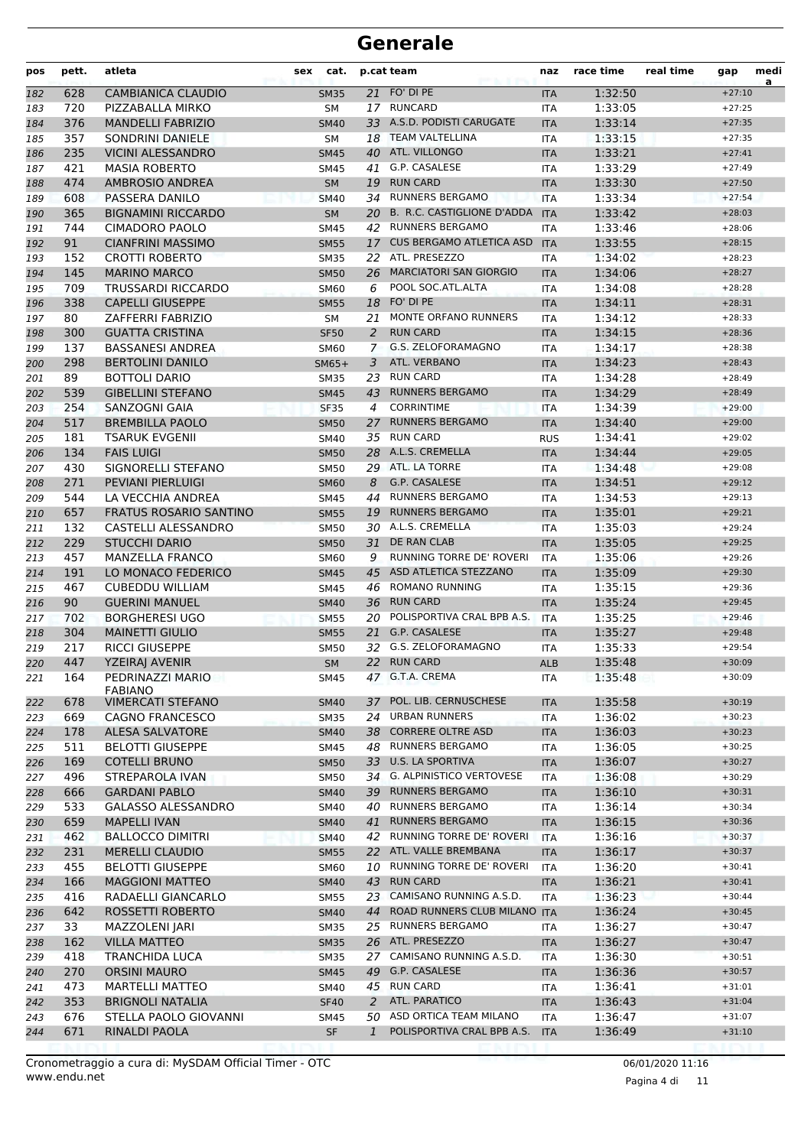| pos        | pett.     | atleta                                     | sex | cat.                       |                | p.cat team                                              | naz               | race time          | real time | gap                  | medi<br>a |
|------------|-----------|--------------------------------------------|-----|----------------------------|----------------|---------------------------------------------------------|-------------------|--------------------|-----------|----------------------|-----------|
| 182        | 628       | <b>CAMBIANICA CLAUDIO</b>                  |     | <b>SM35</b>                |                | 21 FO' DI PE                                            | <b>ITA</b>        | 1:32:50            |           | $+27:10$             |           |
| 183        | 720       | PIZZABALLA MIRKO                           |     | SМ                         |                | 17 RUNCARD                                              | ITA               | 1:33:05            |           | $+27:25$             |           |
| 184        | 376       | <b>MANDELLI FABRIZIO</b>                   |     | <b>SM40</b>                |                | 33 A.S.D. PODISTI CARUGATE                              | <b>ITA</b>        | 1:33:14            |           | $+27:35$             |           |
| 185        | 357       | SONDRINI DANIELE                           |     | <b>SM</b>                  | 18             | <b>TEAM VALTELLINA</b>                                  | <b>ITA</b>        | 1:33:15            |           | $+27:35$             |           |
| 186        | 235       | <b>VICINI ALESSANDRO</b>                   |     | <b>SM45</b>                |                | 40 ATL. VILLONGO                                        | <b>ITA</b>        | 1:33:21            |           | $+27:41$             |           |
| 187        | 421       | <b>MASIA ROBERTO</b>                       |     | <b>SM45</b>                | 41             | G.P. CASALESE                                           | ITA               | 1:33:29            |           | $+27:49$             |           |
| 188        | 474       | AMBROSIO ANDREA                            |     | <b>SM</b>                  | 19             | <b>RUN CARD</b>                                         | <b>ITA</b>        | 1:33:30            |           | $+27:50$             |           |
| 189        | 608       | PASSERA DANILO                             |     | <b>SM40</b>                |                | 34 RUNNERS BERGAMO                                      | <b>ITA</b>        | 1:33:34            |           | $+27:54$             |           |
| 190        | 365       | <b>BIGNAMINI RICCARDO</b>                  |     | <b>SM</b>                  |                | 20 B. R.C. CASTIGLIONE D'ADDA<br><b>RUNNERS BERGAMO</b> | <b>ITA</b>        | 1:33:42            |           | $+28:03$             |           |
| 191        | 744       | <b>CIMADORO PAOLO</b>                      |     | SM45                       | 42             | <b>CUS BERGAMO ATLETICA ASD</b>                         | <b>ITA</b>        | 1:33:46<br>1:33:55 |           | $+28:06$             |           |
| 192        | 91<br>152 | <b>CIANFRINI MASSIMO</b><br>CROTTI ROBERTO |     | <b>SM55</b><br><b>SM35</b> | 17             | 22 ATL. PRESEZZO                                        | <b>ITA</b>        |                    |           | $+28:15$<br>$+28:23$ |           |
| 193        | 145       | <b>MARINO MARCO</b>                        |     |                            | 26             | <b>MARCIATORI SAN GIORGIO</b>                           | <b>ITA</b>        | 1:34:02<br>1:34:06 |           | $+28:27$             |           |
| 194<br>195 | 709       | TRUSSARDI RICCARDO                         |     | <b>SM50</b><br><b>SM60</b> | 6              | POOL SOC.ATL.ALTA                                       | <b>ITA</b><br>ITA | 1:34:08            |           | $+28:28$             |           |
| 196        | 338       | <b>CAPELLI GIUSEPPE</b>                    |     | <b>SM55</b>                | 18             | FO' DI PE                                               | <b>ITA</b>        | 1:34:11            |           | $+28:31$             |           |
| 197        | 80        | ZAFFERRI FABRIZIO                          |     | SM                         | 21             | MONTE ORFANO RUNNERS                                    | <b>ITA</b>        | 1:34:12            |           | $+28:33$             |           |
| 198        | 300       | <b>GUATTA CRISTINA</b>                     |     | <b>SF50</b>                | 2              | <b>RUN CARD</b>                                         | <b>ITA</b>        | 1:34:15            |           | $+28:36$             |           |
| 199        | 137       | <b>BASSANESI ANDREA</b>                    |     | SM60                       | 7              | G.S. ZELOFORAMAGNO                                      | <b>ITA</b>        | 1:34:17            |           | $+28:38$             |           |
| 200        | 298       | <b>BERTOLINI DANILO</b>                    |     | $SM65+$                    | 3              | ATL. VERBANO                                            | <b>ITA</b>        | 1:34:23            |           | $+28:43$             |           |
| 201        | 89        | <b>BOTTOLI DARIO</b>                       |     | <b>SM35</b>                |                | 23 RUN CARD                                             | ITA               | 1:34:28            |           | $+28:49$             |           |
| 202        | 539       | <b>GIBELLINI STEFANO</b>                   |     | <b>SM45</b>                | 43             | <b>RUNNERS BERGAMO</b>                                  | <b>ITA</b>        | 1:34:29            |           | $+28:49$             |           |
| 203        | 254       | SANZOGNI GAIA                              |     | <b>SF35</b>                | 4              | <b>CORRINTIME</b>                                       | <b>ITA</b>        | 1:34:39            |           | $+29:00$             |           |
| 204        | 517       | <b>BREMBILLA PAOLO</b>                     |     | <b>SM50</b>                | 27             | <b>RUNNERS BERGAMO</b>                                  | <b>ITA</b>        | 1:34:40            |           | $+29:00$             |           |
| 205        | 181       | <b>TSARUK EVGENII</b>                      |     | SM40                       |                | 35 RUN CARD                                             | <b>RUS</b>        | 1:34:41            |           | $+29:02$             |           |
| 206        | 134       | <b>FAIS LUIGI</b>                          |     | <b>SM50</b>                |                | 28 A.L.S. CREMELLA                                      | <b>ITA</b>        | 1:34:44            |           | $+29:05$             |           |
| 207        | 430       | SIGNORELLI STEFANO                         |     | SM50                       |                | 29 ATL. LA TORRE                                        | ITA               | 1:34:48            |           | $+29:08$             |           |
| 208        | 271       | PEVIANI PIERLUIGI                          |     | <b>SM60</b>                | 8              | G.P. CASALESE                                           | <b>ITA</b>        | 1:34:51            |           | $+29:12$             |           |
| 209        | 544       | LA VECCHIA ANDREA                          |     | SM45                       | 44             | <b>RUNNERS BERGAMO</b>                                  | <b>ITA</b>        | 1:34:53            |           | $+29:13$             |           |
| 210        | 657       | <b>FRATUS ROSARIO SANTINO</b>              |     | <b>SM55</b>                | 19             | <b>RUNNERS BERGAMO</b>                                  | <b>ITA</b>        | 1:35:01            |           | $+29:21$             |           |
| 211        | 132       | CASTELLI ALESSANDRO                        |     | <b>SM50</b>                |                | 30 A.L.S. CREMELLA                                      | <b>ITA</b>        | 1:35:03            |           | $+29:24$             |           |
| 212        | 229       | <b>STUCCHI DARIO</b>                       |     | <b>SM50</b>                | 31             | DE RAN CLAB                                             | <b>ITA</b>        | 1:35:05            |           | $+29:25$             |           |
| 213        | 457       | <b>MANZELLA FRANCO</b>                     |     | SM60                       | 9              | RUNNING TORRE DE' ROVERI                                | ITA               | 1:35:06            |           | $+29:26$             |           |
| 214        | 191       | LO MONACO FEDERICO                         |     | <b>SM45</b>                | 45             | ASD ATLETICA STEZZANO                                   | <b>ITA</b>        | 1:35:09            |           | $+29:30$             |           |
| 215        | 467       | <b>CUBEDDU WILLIAM</b>                     |     | SM45                       | 46             | <b>ROMANO RUNNING</b>                                   | ITA               | 1:35:15            |           | $+29:36$             |           |
| 216        | 90        | <b>GUERINI MANUEL</b>                      |     | <b>SM40</b>                | 36             | <b>RUN CARD</b>                                         | <b>ITA</b>        | 1:35:24            |           | $+29:45$             |           |
| 217        | 702       | <b>BORGHERESI UGO</b>                      |     | <b>SM55</b>                | 20             | POLISPORTIVA CRAL BPB A.S.                              | <b>ITA</b>        | 1:35:25            |           | $+29:46$             |           |
| 218        | 304       | <b>MAINETTI GIULIO</b>                     |     | <b>SM55</b>                | 21             | G.P. CASALESE                                           | <b>ITA</b>        | 1:35:27            |           | $+29:48$             |           |
| 219        | 217       | <b>RICCI GIUSEPPE</b>                      |     | <b>SM50</b>                | 32             | G.S. ZELOFORAMAGNO                                      | ITA               | 1:35:33            |           | $+29:54$             |           |
| 220        | 447       | <b>YZEIRAJ AVENIR</b>                      |     | <b>SM</b>                  |                | 22 RUN CARD                                             | <b>ALB</b>        | 1:35:48            |           | $+30:09$             |           |
| 221        | 164       | PEDRINAZZI MARIO<br><b>FABIANO</b>         |     | SM45                       |                | 47 G.T.A. CREMA                                         | ITA               | 1:35:48            |           | $+30:09$             |           |
| 222        | 678       | <b>VIMERCATI STEFANO</b>                   |     | <b>SM40</b>                | 37             | POL. LIB. CERNUSCHESE                                   | <b>ITA</b>        | 1:35:58            |           | $+30:19$             |           |
| 223        | 669       | <b>CAGNO FRANCESCO</b>                     |     | SM35                       | 24             | <b>URBAN RUNNERS</b>                                    | ITA               | 1:36:02            |           | $+30:23$             |           |
| 224        | 178       | ALESA SALVATORE                            |     | <b>SM40</b>                | 38             | <b>CORRERE OLTRE ASD</b>                                | <b>ITA</b>        | 1:36:03            |           | $+30:23$             |           |
| 225        | 511       | <b>BELOTTI GIUSEPPE</b>                    |     | SM45                       |                | 48 RUNNERS BERGAMO                                      | ITA               | 1:36:05            |           | $+30:25$             |           |
| 226        | 169       | <b>COTELLI BRUNO</b>                       |     | <b>SM50</b>                |                | 33 U.S. LA SPORTIVA                                     | <b>ITA</b>        | 1:36:07            |           | $+30:27$             |           |
| 227        | 496       | <b>STREPAROLA IVAN</b>                     |     | SM50                       |                | 34 G. ALPINISTICO VERTOVESE                             | ITA               | 1:36:08            |           | $+30:29$             |           |
| 228        | 666       | <b>GARDANI PABLO</b>                       |     | <b>SM40</b>                |                | 39 RUNNERS BERGAMO                                      | <b>ITA</b>        | 1:36:10            |           | $+30:31$             |           |
| 229        | 533       | <b>GALASSO ALESSANDRO</b>                  |     | SM40                       | 40             | <b>RUNNERS BERGAMO</b>                                  | ITA               | 1:36:14            |           | $+30:34$             |           |
| 230        | 659       | <b>MAPELLI IVAN</b>                        |     | <b>SM40</b>                | 41             | <b>RUNNERS BERGAMO</b>                                  | <b>ITA</b>        | 1:36:15            |           | $+30:36$             |           |
| 231        | 462       | <b>BALLOCCO DIMITRI</b>                    |     | SM40                       | 42             | RUNNING TORRE DE' ROVERI                                | ITA               | 1:36:16            |           | $+30:37$             |           |
| 232        | 231       | <b>MERELLI CLAUDIO</b>                     |     | <b>SM55</b>                |                | 22 ATL. VALLE BREMBANA                                  | <b>ITA</b>        | 1:36:17            |           | $+30:37$             |           |
| 233        | 455       | <b>BELOTTI GIUSEPPE</b>                    |     | SM60                       |                | 10 RUNNING TORRE DE' ROVERI                             | <b>ITA</b>        | 1:36:20            |           | $+30:41$             |           |
| 234        | 166       | <b>MAGGIONI MATTEO</b>                     |     | <b>SM40</b>                | 43             | <b>RUN CARD</b>                                         | <b>ITA</b>        | 1:36:21            |           | $+30:41$             |           |
| 235        | 416       | RADAELLI GIANCARLO                         |     | SM55                       |                | 23 CAMISANO RUNNING A.S.D.                              | ITA               | 1:36:23            |           | $+30:44$             |           |
| 236        | 642       | ROSSETTI ROBERTO                           |     | <b>SM40</b>                | 44             | ROAD RUNNERS CLUB MILANO ITA                            |                   | 1:36:24            |           | $+30:45$             |           |
| 237        | 33        | MAZZOLENI JARI                             |     | <b>SM35</b>                |                | 25 RUNNERS BERGAMO                                      | ITA               | 1:36:27            |           | $+30:47$             |           |
| 238        | 162       | <b>VILLA MATTEO</b>                        |     | <b>SM35</b>                |                | 26 ATL. PRESEZZO                                        | <b>ITA</b>        | 1:36:27            |           | $+30:47$             |           |
| 239        | 418       | <b>TRANCHIDA LUCA</b>                      |     | SM35                       |                | 27 CAMISANO RUNNING A.S.D.                              | <b>ITA</b>        | 1:36:30            |           | $+30:51$             |           |
| 240        | 270       | <b>ORSINI MAURO</b>                        |     | <b>SM45</b>                |                | 49 G.P. CASALESE                                        | <b>ITA</b>        | 1:36:36            |           | $+30:57$             |           |
| 241        | 473       | MARTELLI MATTEO                            |     | SM40                       |                | 45 RUN CARD                                             | ITA               | 1:36:41            |           | $+31:01$             |           |
| 242        | 353       | <b>BRIGNOLI NATALIA</b>                    |     | <b>SF40</b>                | $\overline{a}$ | ATL. PARATICO                                           | <b>ITA</b>        | 1:36:43            |           | $+31:04$             |           |
| 243        | 676       | STELLA PAOLO GIOVANNI                      |     | SM45                       | $\mathbf{1}$   | 50 ASD ORTICA TEAM MILANO<br>POLISPORTIVA CRAL BPB A.S. | ITA               | 1:36:47            |           | $+31:07$             |           |
| 244        | 671       | RINALDI PAOLA                              |     | SF                         |                |                                                         | <b>ITA</b>        | 1:36:49            |           | $+31:10$             |           |

Pagina 4 di 11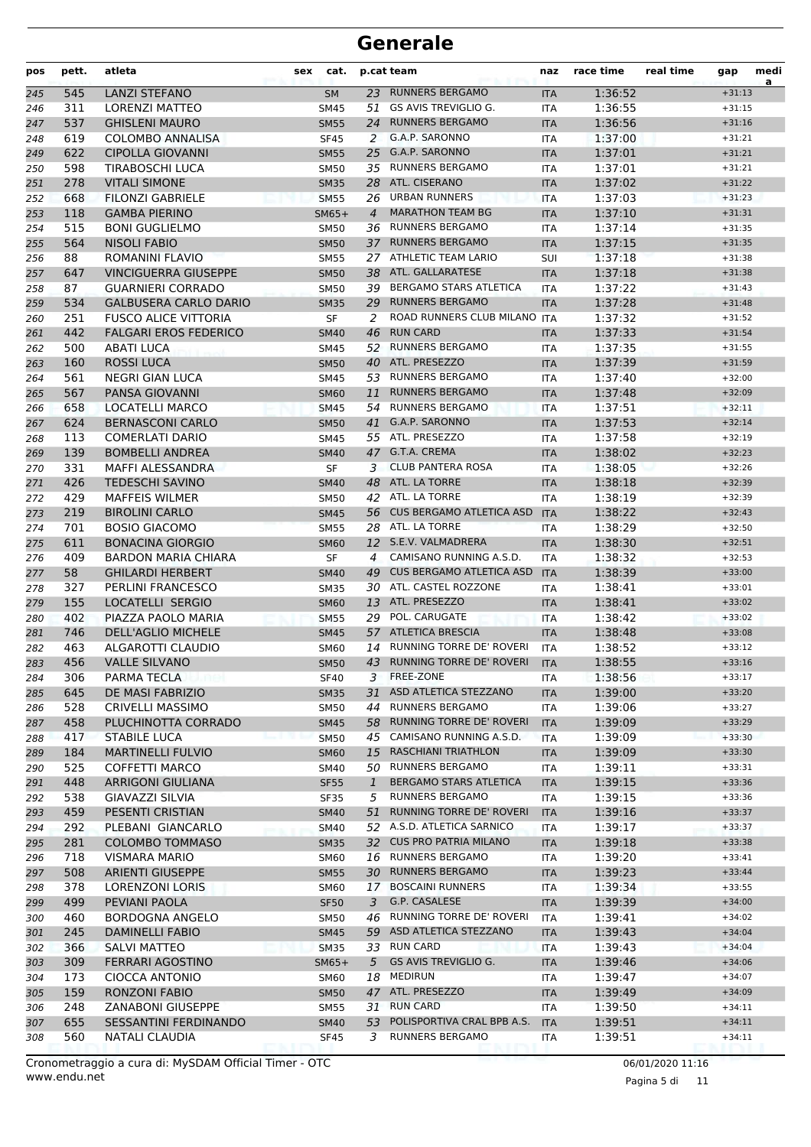| pos | pett. | atleta                       | sex | cat.        |                | p.cat team                      | naz        | race time | real time | gap      | medi<br>a |
|-----|-------|------------------------------|-----|-------------|----------------|---------------------------------|------------|-----------|-----------|----------|-----------|
| 245 | 545   | <b>LANZI STEFANO</b>         |     | <b>SM</b>   |                | 23 RUNNERS BERGAMO              | <b>ITA</b> | 1:36:52   |           | $+31:13$ |           |
| 246 | 311   | <b>LORENZI MATTEO</b>        |     | <b>SM45</b> | 51             | GS AVIS TREVIGLIO G.            | <b>ITA</b> | 1:36:55   |           | $+31:15$ |           |
| 247 | 537   | <b>GHISLENI MAURO</b>        |     | <b>SM55</b> | 24             | <b>RUNNERS BERGAMO</b>          | <b>ITA</b> | 1:36:56   |           | $+31:16$ |           |
| 248 | 619   | <b>COLOMBO ANNALISA</b>      |     | <b>SF45</b> | 2              | G.A.P. SARONNO                  | <b>ITA</b> | 1:37:00   |           | $+31:21$ |           |
| 249 | 622   | <b>CIPOLLA GIOVANNI</b>      |     | <b>SM55</b> | 25             | G.A.P. SARONNO                  | <b>ITA</b> | 1:37:01   |           | $+31:21$ |           |
| 250 | 598   | TIRABOSCHI LUCA              |     | <b>SM50</b> |                | 35 RUNNERS BERGAMO              | <b>ITA</b> | 1:37:01   |           | $+31:21$ |           |
| 251 | 278   | <b>VITALI SIMONE</b>         |     | <b>SM35</b> |                | 28 ATL. CISERANO                | <b>ITA</b> | 1:37:02   |           | $+31:22$ |           |
| 252 | 668   | <b>FILONZI GABRIELE</b>      |     | <b>SM55</b> |                | 26 URBAN RUNNERS                | <b>ITA</b> | 1:37:03   |           | $+31:23$ |           |
| 253 | 118   | <b>GAMBA PIERINO</b>         |     | $SM65+$     | $\overline{4}$ | <b>MARATHON TEAM BG</b>         | <b>ITA</b> | 1:37:10   |           | $+31:31$ |           |
| 254 | 515   | <b>BONI GUGLIELMO</b>        |     | <b>SM50</b> | 36             | <b>RUNNERS BERGAMO</b>          | <b>ITA</b> | 1:37:14   |           | $+31:35$ |           |
| 255 | 564   | <b>NISOLI FABIO</b>          |     | <b>SM50</b> | 37             | <b>RUNNERS BERGAMO</b>          | <b>ITA</b> | 1:37:15   |           | $+31:35$ |           |
| 256 | 88    | ROMANINI FLAVIO              |     | <b>SM55</b> |                | 27 ATHLETIC TEAM LARIO          | <b>SUI</b> | 1:37:18   |           | $+31:38$ |           |
| 257 | 647   | <b>VINCIGUERRA GIUSEPPE</b>  |     | <b>SM50</b> |                | 38 ATL. GALLARATESE             | <b>ITA</b> | 1:37:18   |           | $+31:38$ |           |
| 258 | 87    | <b>GUARNIERI CORRADO</b>     |     | <b>SM50</b> | 39             | <b>BERGAMO STARS ATLETICA</b>   | <b>ITA</b> | 1:37:22   |           | $+31:43$ |           |
| 259 | 534   | <b>GALBUSERA CARLO DARIO</b> |     | <b>SM35</b> | 29             | <b>RUNNERS BERGAMO</b>          | <b>ITA</b> | 1:37:28   |           | $+31:48$ |           |
| 260 | 251   | <b>FUSCO ALICE VITTORIA</b>  |     | SF          | 2              | ROAD RUNNERS CLUB MILANO ITA    |            | 1:37:32   |           | $+31:52$ |           |
| 261 | 442   | <b>FALGARI EROS FEDERICO</b> |     | <b>SM40</b> | 46             | <b>RUN CARD</b>                 | <b>ITA</b> | 1:37:33   |           | $+31:54$ |           |
| 262 | 500   | ABATI LUCA                   |     | <b>SM45</b> |                | 52 RUNNERS BERGAMO              | <b>ITA</b> | 1:37:35   |           | $+31:55$ |           |
| 263 | 160   | <b>ROSSI LUCA</b>            |     | <b>SM50</b> |                | 40 ATL. PRESEZZO                | <b>ITA</b> | 1:37:39   |           | $+31:59$ |           |
| 264 | 561   | <b>NEGRI GIAN LUCA</b>       |     | <b>SM45</b> |                | 53 RUNNERS BERGAMO              | <b>ITA</b> | 1:37:40   |           | $+32:00$ |           |
|     | 567   | PANSA GIOVANNI               |     | <b>SM60</b> | 11             | <b>RUNNERS BERGAMO</b>          |            | 1:37:48   |           | $+32:09$ |           |
| 265 | 658   | <b>LOCATELLI MARCO</b>       |     |             | 54             | <b>RUNNERS BERGAMO</b>          | <b>ITA</b> | 1:37:51   |           | $+32:11$ |           |
| 266 |       | <b>BERNASCONI CARLO</b>      |     | <b>SM45</b> |                | G.A.P. SARONNO                  | <b>ITA</b> |           |           |          |           |
| 267 | 624   |                              |     | <b>SM50</b> | 41             | 55 ATL. PRESEZZO                | <b>ITA</b> | 1:37:53   |           | $+32:14$ |           |
| 268 | 113   | <b>COMERLATI DARIO</b>       |     | <b>SM45</b> |                |                                 | <b>ITA</b> | 1:37:58   |           | $+32:19$ |           |
| 269 | 139   | <b>BOMBELLI ANDREA</b>       |     | <b>SM40</b> |                | 47 G.T.A. CREMA                 | <b>ITA</b> | 1:38:02   |           | $+32:23$ |           |
| 270 | 331   | MAFFI ALESSANDRA             |     | SF          | 3              | <b>CLUB PANTERA ROSA</b>        | <b>ITA</b> | 1:38:05   |           | $+32:26$ |           |
| 271 | 426   | <b>TEDESCHI SAVINO</b>       |     | <b>SM40</b> |                | 48 ATL. LA TORRE                | <b>ITA</b> | 1:38:18   |           | $+32:39$ |           |
| 272 | 429   | <b>MAFFEIS WILMER</b>        |     | <b>SM50</b> | 42             | ATL. LA TORRE                   | <b>ITA</b> | 1:38:19   |           | $+32:39$ |           |
| 273 | 219   | <b>BIROLINI CARLO</b>        |     | <b>SM45</b> |                | 56 CUS BERGAMO ATLETICA ASD     | <b>ITA</b> | 1:38:22   |           | $+32:43$ |           |
| 274 | 701   | <b>BOSIO GIACOMO</b>         |     | <b>SM55</b> |                | 28 ATL. LA TORRE                | <b>ITA</b> | 1:38:29   |           | $+32:50$ |           |
| 275 | 611   | <b>BONACINA GIORGIO</b>      |     | <b>SM60</b> |                | 12 S.E.V. VALMADRERA            | <b>ITA</b> | 1:38:30   |           | $+32:51$ |           |
| 276 | 409   | <b>BARDON MARIA CHIARA</b>   |     | SF          | 4              | CAMISANO RUNNING A.S.D.         | <b>ITA</b> | 1:38:32   |           | $+32:53$ |           |
| 277 | 58    | <b>GHILARDI HERBERT</b>      |     | <b>SM40</b> | 49             | <b>CUS BERGAMO ATLETICA ASD</b> | <b>ITA</b> | 1:38:39   |           | $+33:00$ |           |
| 278 | 327   | PERLINI FRANCESCO            |     | <b>SM35</b> | 30             | ATL. CASTEL ROZZONE             | <b>ITA</b> | 1:38:41   |           | $+33:01$ |           |
| 279 | 155   | LOCATELLI SERGIO             |     | <b>SM60</b> | 13             | ATL. PRESEZZO                   | <b>ITA</b> | 1:38:41   |           | $+33:02$ |           |
| 280 | 402   | PIAZZA PAOLO MARIA           |     | <b>SM55</b> |                | 29 POL. CARUGATE                | <b>ITA</b> | 1:38:42   |           | $+33:02$ |           |
| 281 | 746   | <b>DELL'AGLIO MICHELE</b>    |     | <b>SM45</b> |                | 57 ATLETICA BRESCIA             | <b>ITA</b> | 1:38:48   |           | $+33:08$ |           |
| 282 | 463   | ALGAROTTI CLAUDIO            |     | <b>SM60</b> | 14             | <b>RUNNING TORRE DE' ROVERI</b> | ITA        | 1:38:52   |           | $+33:12$ |           |
| 283 | 456   | <b>VALLE SILVANO</b>         |     | <b>SM50</b> | 43             | <b>RUNNING TORRE DE' ROVERI</b> | <b>ITA</b> | 1:38:55   |           | $+33:16$ |           |
| 284 | 306   | PARMA TECLA                  |     | <b>SF40</b> | 3              | FREE-ZONE                       | ITA        | 1:38:56   |           | $+33:17$ |           |
| 285 | 645   | DE MASI FABRIZIO             |     | <b>SM35</b> | 31             | ASD ATLETICA STEZZANO           | <b>ITA</b> | 1:39:00   |           | $+33:20$ |           |
| 286 | 528   | CRIVELLI MASSIMO             |     | SM50        | 44             | <b>RUNNERS BERGAMO</b>          | ITA        | 1:39:06   |           | $+33:27$ |           |
| 287 | 458   | PLUCHINOTTA CORRADO          |     | <b>SM45</b> | 58             | RUNNING TORRE DE' ROVERI        | <b>ITA</b> | 1:39:09   |           | $+33:29$ |           |
| 288 | 417   | <b>STABILE LUCA</b>          |     | <b>SM50</b> |                | 45 CAMISANO RUNNING A.S.D.      | ITA        | 1:39:09   |           | $+33:30$ |           |
| 289 | 184   | <b>MARTINELLI FULVIO</b>     |     | <b>SM60</b> | 15             | <b>RASCHIANI TRIATHLON</b>      | <b>ITA</b> | 1:39:09   |           | $+33:30$ |           |
| 290 | 525   | <b>COFFETTI MARCO</b>        |     | SM40        | 50             | <b>RUNNERS BERGAMO</b>          | ITA.       | 1:39:11   |           | $+33:31$ |           |
| 291 | 448   | ARRIGONI GIULIANA            |     | <b>SF55</b> | $\mathbf{1}$   | <b>BERGAMO STARS ATLETICA</b>   | <b>ITA</b> | 1:39:15   |           | $+33:36$ |           |
| 292 | 538   | GIAVAZZI SILVIA              |     | SF35        | 5              | <b>RUNNERS BERGAMO</b>          | ITA        | 1:39:15   |           | $+33:36$ |           |
| 293 | 459   | PESENTI CRISTIAN             |     | <b>SM40</b> | 51             | RUNNING TORRE DE' ROVERI        | <b>ITA</b> | 1:39:16   |           | $+33:37$ |           |
| 294 | 292   | PLEBANI GIANCARLO            |     | <b>SM40</b> |                | 52 A.S.D. ATLETICA SARNICO      | ITA        | 1:39:17   |           | $+33:37$ |           |
| 295 | 281   | <b>COLOMBO TOMMASO</b>       |     | <b>SM35</b> | 32             | <b>CUS PRO PATRIA MILANO</b>    | <b>ITA</b> | 1:39:18   |           | $+33:38$ |           |
| 296 | 718   | VISMARA MARIO                |     | <b>SM60</b> |                | 16 RUNNERS BERGAMO              | ITA        | 1:39:20   |           | $+33:41$ |           |
| 297 | 508   | <b>ARIENTI GIUSEPPE</b>      |     | <b>SM55</b> | 30             | <b>RUNNERS BERGAMO</b>          | <b>ITA</b> | 1:39:23   |           | $+33:44$ |           |
| 298 | 378   | LORENZONI LORIS              |     | SM60        | 17             | <b>BOSCAINI RUNNERS</b>         | ITA        | 1:39:34   |           | $+33:55$ |           |
| 299 | 499   | PEVIANI PAOLA                |     | <b>SF50</b> | 3              | G.P. CASALESE                   | <b>ITA</b> | 1:39:39   |           | $+34:00$ |           |
| 300 | 460   | BORDOGNA ANGELO              |     | <b>SM50</b> |                | 46 RUNNING TORRE DE' ROVERI     | <b>ITA</b> | 1:39:41   |           | $+34:02$ |           |
| 301 | 245   | <b>DAMINELLI FABIO</b>       |     | <b>SM45</b> |                | 59 ASD ATLETICA STEZZANO        | <b>ITA</b> | 1:39:43   |           | $+34:04$ |           |
| 302 | 366   | <b>SALVI MATTEO</b>          |     | <b>SM35</b> | 33             | <b>RUN CARD</b>                 | ITA        | 1:39:43   |           | $+34:04$ |           |
| 303 | 309   | FERRARI AGOSTINO             |     | $SM65+$     | 5              | <b>GS AVIS TREVIGLIO G.</b>     | <b>ITA</b> | 1:39:46   |           | $+34:06$ |           |
| 304 | 173   | <b>CIOCCA ANTONIO</b>        |     | SM60        |                | 18 MEDIRUN                      | ITA        | 1:39:47   |           | $+34:07$ |           |
| 305 | 159   | RONZONI FABIO                |     | <b>SM50</b> |                | 47 ATL. PRESEZZO                | <b>ITA</b> | 1:39:49   |           | $+34:09$ |           |
| 306 | 248   | <b>ZANABONI GIUSEPPE</b>     |     | SM55        |                | 31 RUN CARD                     | <b>ITA</b> | 1:39:50   |           | $+34:11$ |           |
| 307 | 655   | <b>SESSANTINI FERDINANDO</b> |     | <b>SM40</b> | 53             | POLISPORTIVA CRAL BPB A.S.      | <b>ITA</b> | 1:39:51   |           | $+34:11$ |           |
| 308 | 560   | <b>NATALI CLAUDIA</b>        |     | <b>SF45</b> | 3              | <b>RUNNERS BERGAMO</b>          | ITA        | 1:39:51   |           | $+34:11$ |           |
|     |       |                              |     |             |                |                                 |            |           |           |          |           |

Pagina 5 di 11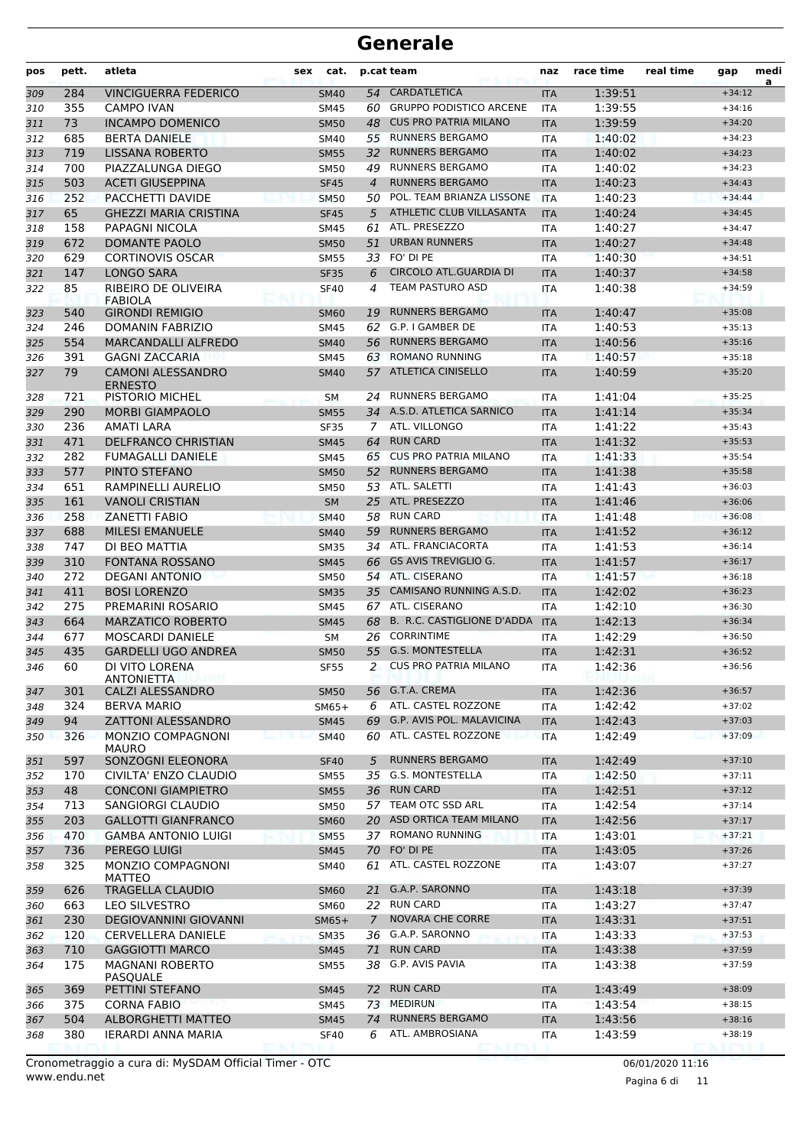| pos | pett. | atleta                                     | sex | cat.        |                | p.cat team                   | naz        | race time | real time | gap      | medi<br>a |
|-----|-------|--------------------------------------------|-----|-------------|----------------|------------------------------|------------|-----------|-----------|----------|-----------|
| 309 | 284   | <b>VINCIGUERRA FEDERICO</b>                |     | <b>SM40</b> | 54             | <b>CARDATLETICA</b>          | <b>ITA</b> | 1:39:51   |           | $+34:12$ |           |
| 310 | 355   | <b>CAMPO IVAN</b>                          |     | <b>SM45</b> |                | 60 GRUPPO PODISTICO ARCENE   | <b>ITA</b> | 1:39:55   |           | $+34:16$ |           |
| 311 | 73    | <b>INCAMPO DOMENICO</b>                    |     | <b>SM50</b> | 48             | <b>CUS PRO PATRIA MILANO</b> | <b>ITA</b> | 1:39:59   |           | $+34:20$ |           |
| 312 | 685   | <b>BERTA DANIELE</b>                       |     | SM40        | 55             | <b>RUNNERS BERGAMO</b>       | ITA        | 1:40:02   |           | $+34:23$ |           |
| 313 | 719   | <b>LISSANA ROBERTO</b>                     |     | <b>SM55</b> | 32             | <b>RUNNERS BERGAMO</b>       | <b>ITA</b> | 1:40:02   |           | $+34:23$ |           |
| 314 | 700   | PIAZZALUNGA DIEGO                          |     | <b>SM50</b> | 49             | <b>RUNNERS BERGAMO</b>       | <b>ITA</b> | 1:40:02   |           | $+34:23$ |           |
| 315 | 503   | <b>ACETI GIUSEPPINA</b>                    |     | <b>SF45</b> | $\overline{a}$ | <b>RUNNERS BERGAMO</b>       | <b>ITA</b> | 1:40:23   |           | $+34:43$ |           |
| 316 | 252   | PACCHETTI DAVIDE                           |     | <b>SM50</b> |                | 50 POL. TEAM BRIANZA LISSONE | <b>ITA</b> | 1:40:23   |           | $+34:44$ |           |
| 317 | 65    | <b>GHEZZI MARIA CRISTINA</b>               |     | <b>SF45</b> | 5              | ATHLETIC CLUB VILLASANTA     | <b>ITA</b> | 1:40:24   |           | $+34:45$ |           |
| 318 | 158   | PAPAGNI NICOLA                             |     | SM45        | 61             | ATL. PRESEZZO                | ITA        | 1:40:27   |           | $+34:47$ |           |
| 319 | 672   | <b>DOMANTE PAOLO</b>                       |     | <b>SM50</b> | 51             | <b>URBAN RUNNERS</b>         | <b>ITA</b> | 1:40:27   |           | $+34:48$ |           |
| 320 | 629   | <b>CORTINOVIS OSCAR</b>                    |     | <b>SM55</b> |                | 33 FO' DI PE                 | <b>ITA</b> | 1:40:30   |           | $+34:51$ |           |
| 321 | 147   | <b>LONGO SARA</b>                          |     | <b>SF35</b> | 6              | CIRCOLO ATL.GUARDIA DI       | <b>ITA</b> | 1:40:37   |           | $+34:58$ |           |
| 322 | 85    | RIBEIRO DE OLIVEIRA<br><b>FABIOLA</b>      |     | <b>SF40</b> | 4              | <b>TEAM PASTURO ASD</b>      | ITA        | 1:40:38   |           | $+34:59$ |           |
| 323 | 540   | <b>GIRONDI REMIGIO</b>                     |     | <b>SM60</b> | 19             | <b>RUNNERS BERGAMO</b>       | <b>ITA</b> | 1:40:47   |           | $+35:08$ |           |
| 324 | 246   | DOMANIN FABRIZIO                           |     | <b>SM45</b> | 62             | G.P. I GAMBER DE             | <b>ITA</b> | 1:40:53   |           | $+35:13$ |           |
| 325 | 554   | <b>MARCANDALLI ALFREDO</b>                 |     | <b>SM40</b> | 56             | <b>RUNNERS BERGAMO</b>       | <b>ITA</b> | 1:40:56   |           | $+35:16$ |           |
| 326 | 391   | <b>GAGNI ZACCARIA</b>                      |     | SM45        | 63             | <b>ROMANO RUNNING</b>        | <b>ITA</b> | 1:40:57   |           | $+35:18$ |           |
| 327 | 79    | <b>CAMONI ALESSANDRO</b><br><b>ERNESTO</b> |     | <b>SM40</b> |                | 57 ATLETICA CINISELLO        | <b>ITA</b> | 1:40:59   |           | $+35:20$ |           |
| 328 | 721   | PISTORIO MICHEL                            |     | <b>SM</b>   |                | 24 RUNNERS BERGAMO           | <b>ITA</b> | 1:41:04   |           | $+35:25$ |           |
| 329 | 290   | <b>MORBI GIAMPAOLO</b>                     |     | <b>SM55</b> |                | 34 A.S.D. ATLETICA SARNICO   | <b>ITA</b> | 1:41:14   |           | $+35:34$ |           |
| 330 | 236   | AMATI LARA                                 |     | <b>SF35</b> |                | 7 ATL. VILLONGO              | <b>ITA</b> | 1:41:22   |           | $+35:43$ |           |
| 331 | 471   | <b>DELFRANCO CHRISTIAN</b>                 |     | <b>SM45</b> | 64             | <b>RUN CARD</b>              | <b>ITA</b> | 1:41:32   |           | $+35:53$ |           |
| 332 | 282   | <b>FUMAGALLI DANIELE</b>                   |     | <b>SM45</b> | 65             | <b>CUS PRO PATRIA MILANO</b> | ITA        | 1:41:33   |           | $+35:54$ |           |
| 333 | 577   | PINTO STEFANO                              |     | <b>SM50</b> |                | 52 RUNNERS BERGAMO           | <b>ITA</b> | 1:41:38   |           | $+35:58$ |           |
| 334 | 651   | RAMPINELLI AURELIO                         |     | <b>SM50</b> |                | 53 ATL. SALETTI              | <b>ITA</b> | 1:41:43   |           | $+36:03$ |           |
| 335 | 161   | <b>VANOLI CRISTIAN</b>                     |     | <b>SM</b>   |                | 25 ATL. PRESEZZO             | <b>ITA</b> | 1:41:46   |           | $+36:06$ |           |
| 336 | 258   | <b>ZANETTI FABIO</b>                       |     | <b>SM40</b> |                | 58 RUN CARD                  | <b>ITA</b> | 1:41:48   |           | $+36:08$ |           |
| 337 | 688   | <b>MILESI EMANUELE</b>                     |     | <b>SM40</b> | 59             | <b>RUNNERS BERGAMO</b>       | <b>ITA</b> | 1:41:52   |           | $+36:12$ |           |
| 338 | 747   | DI BEO MATTIA                              |     | <b>SM35</b> | 34             | ATL. FRANCIACORTA            | <b>ITA</b> | 1:41:53   |           | $+36:14$ |           |
| 339 | 310   | <b>FONTANA ROSSANO</b>                     |     | <b>SM45</b> |                | 66 GS AVIS TREVIGLIO G.      | <b>ITA</b> | 1:41:57   |           | $+36:17$ |           |
| 340 | 272   | <b>DEGANI ANTONIO</b>                      |     | <b>SM50</b> |                | 54 ATL. CISERANO             | <b>ITA</b> | 1:41:57   |           | $+36:18$ |           |
| 341 | 411   | <b>BOSI LORENZO</b>                        |     | <b>SM35</b> |                | 35 CAMISANO RUNNING A.S.D.   | <b>ITA</b> | 1:42:02   |           | $+36:23$ |           |
| 342 | 275   | PREMARINI ROSARIO                          |     | SM45        |                | 67 ATL. CISERANO             | ITA        | 1:42:10   |           | $+36:30$ |           |
| 343 | 664   | <b>MARZATICO ROBERTO</b>                   |     | <b>SM45</b> | 68             | B. R.C. CASTIGLIONE D'ADDA   | <b>ITA</b> | 1:42:13   |           | $+36:34$ |           |
| 344 | 677   | <b>MOSCARDI DANIELE</b>                    |     | <b>SM</b>   | 26             | <b>CORRINTIME</b>            | <b>ITA</b> | 1:42:29   |           | $+36:50$ |           |
| 345 | 435   | <b>GARDELLI UGO ANDREA</b>                 |     | <b>SM50</b> |                | 55 G.S. MONTESTELLA          | <b>ITA</b> | 1:42:31   |           | $+36:52$ |           |
| 346 | 60    | DI VITO LORENA<br><b>ANTONIETTA</b>        |     | <b>SF55</b> | 2              | <b>CUS PRO PATRIA MILANO</b> | ITA        | 1:42:36   |           | $+36:56$ |           |
| 347 | 301   | CALZI ALESSANDRO                           |     | <b>SM50</b> |                | 56 G.T.A. CREMA              | <b>ITA</b> | 1:42:36   |           | $+36:57$ |           |
| 348 | 324   | <b>BERVA MARIO</b>                         |     | $SM65+$     | 6              | ATL. CASTEL ROZZONE          | ITA        | 1:42:42   |           | $+37:02$ |           |
| 349 | 94    | <b>ZATTONI ALESSANDRO</b>                  |     | <b>SM45</b> |                | 69 G.P. AVIS POL. MALAVICINA | <b>ITA</b> | 1:42:43   |           | $+37:03$ |           |
| 350 | 326   | MONZIO COMPAGNONI<br><b>MAURO</b>          |     | <b>SM40</b> |                | 60 ATL. CASTEL ROZZONE       | <b>ITA</b> | 1:42:49   |           | $+37:09$ |           |
| 351 | 597   | SONZOGNI ELEONORA                          |     | <b>SF40</b> | 5              | <b>RUNNERS BERGAMO</b>       | <b>ITA</b> | 1:42:49   |           | $+37:10$ |           |
| 352 | 170   | CIVILTA' ENZO CLAUDIO                      |     | SM55        | 35             | <b>G.S. MONTESTELLA</b>      | <b>ITA</b> | 1:42:50   |           | $+37:11$ |           |
| 353 | 48    | <b>CONCONI GIAMPIETRO</b>                  |     | <b>SM55</b> |                | 36 RUN CARD                  | <b>ITA</b> | 1:42:51   |           | $+37:12$ |           |
| 354 | 713   | SANGIORGI CLAUDIO                          |     | SM50        |                | 57 TEAM OTC SSD ARL          | ITA        | 1:42:54   |           | $+37:14$ |           |
| 355 | 203   | <b>GALLOTTI GIANFRANCO</b>                 |     | <b>SM60</b> |                | 20 ASD ORTICA TEAM MILANO    | <b>ITA</b> | 1:42:56   |           | $+37:17$ |           |
| 356 | 470   | <b>GAMBA ANTONIO LUIGI</b>                 |     | <b>SM55</b> |                | 37 ROMANO RUNNING            | ITA        | 1:43:01   |           | $+37:21$ |           |
| 357 | 736   | PEREGO LUIGI                               |     | <b>SM45</b> |                | 70 FO' DI PE                 | <b>ITA</b> | 1:43:05   |           | $+37:26$ |           |
| 358 | 325   | MONZIO COMPAGNONI<br><b>MATTEO</b>         |     | SM40        | 61             | ATL. CASTEL ROZZONE          | <b>ITA</b> | 1:43:07   |           | $+37:27$ |           |
| 359 | 626   | <b>TRAGELLA CLAUDIO</b>                    |     | <b>SM60</b> | 21             | G.A.P. SARONNO               | <b>ITA</b> | 1:43:18   |           | $+37:39$ |           |
| 360 | 663   | <b>LEO SILVESTRO</b>                       |     | SM60        |                | 22 RUN CARD                  | ITA        | 1:43:27   |           | $+37:47$ |           |
| 361 | 230   | <b>DEGIOVANNINI GIOVANNI</b>               |     | $SM65+$     | $\overline{7}$ | <b>NOVARA CHE CORRE</b>      | <b>ITA</b> | 1:43:31   |           | $+37:51$ |           |
| 362 | 120   | <b>CERVELLERA DANIELE</b>                  |     | SM35        |                | 36 G.A.P. SARONNO            | <b>ITA</b> | 1:43:33   |           | $+37:53$ |           |
| 363 | 710   | <b>GAGGIOTTI MARCO</b>                     |     | <b>SM45</b> |                | 71 RUN CARD                  | <b>ITA</b> | 1:43:38   |           | $+37:59$ |           |
| 364 | 175   | <b>MAGNANI ROBERTO</b><br><b>PASQUALE</b>  |     | SM55        |                | 38 G.P. AVIS PAVIA           | ITA        | 1:43:38   |           | $+37:59$ |           |
| 365 | 369   | PETTINI STEFANO                            |     | SM45        | 72             | <b>RUN CARD</b>              | <b>ITA</b> | 1:43:49   |           | $+38:09$ |           |
| 366 | 375   | <b>CORNA FABIO</b>                         |     | SM45        |                | 73 MEDIRUN                   | <b>ITA</b> | 1:43:54   |           | $+38:15$ |           |
| 367 | 504   | ALBORGHETTI MATTEO                         |     | <b>SM45</b> | 74             | <b>RUNNERS BERGAMO</b>       | <b>ITA</b> | 1:43:56   |           | $+38:16$ |           |
| 368 | 380   | IERARDI ANNA MARIA                         |     | <b>SF40</b> | 6              | ATL. AMBROSIANA              | ITA        | 1:43:59   |           | $+38:19$ |           |

Pagina 6 di 11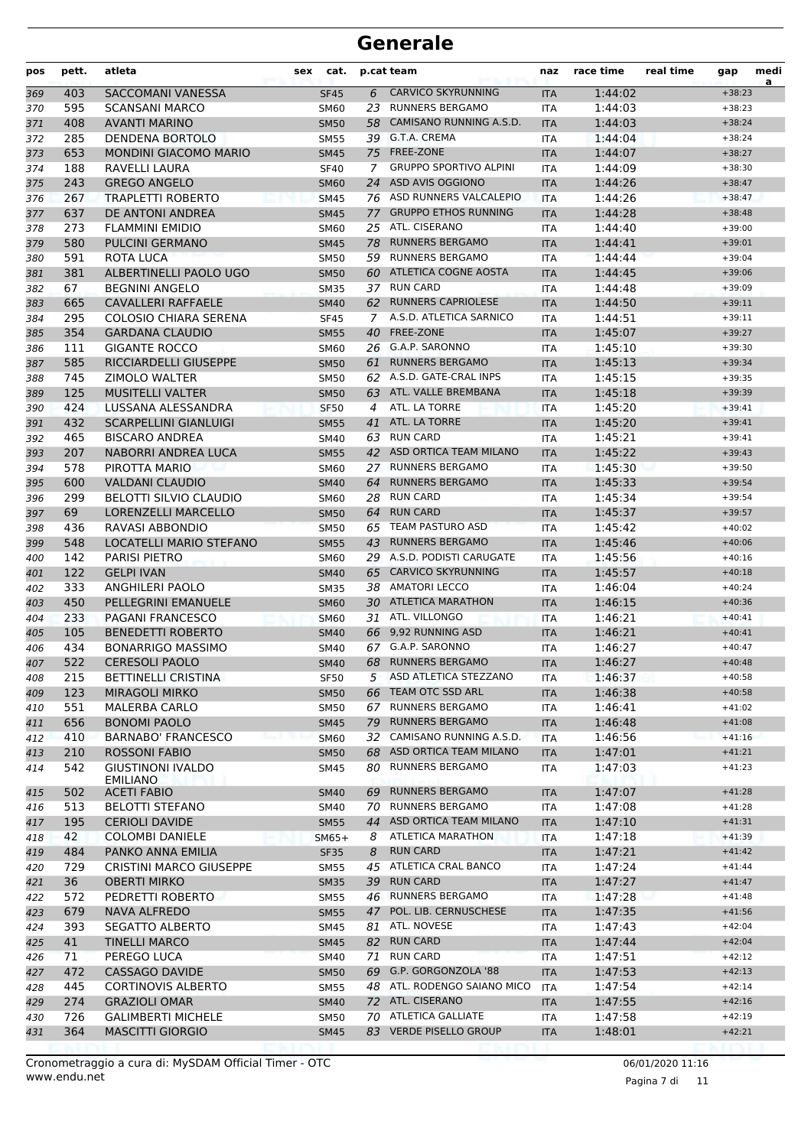| SACCOMANI VANESSA<br>6<br><b>CARVICO SKYRUNNING</b><br>1:44:02<br>403<br><b>SF45</b><br><b>ITA</b><br>369<br>595<br>23<br><b>RUNNERS BERGAMO</b><br><b>SCANSANI MARCO</b><br>1:44:03<br><b>SM60</b><br>ITA<br>370<br>CAMISANO RUNNING A.S.D.<br>408<br><b>AVANTI MARINO</b><br>1:44:03<br>371<br><b>SM50</b><br>58<br><b>ITA</b><br>285<br>39 G.T.A. CREMA<br>372<br>DENDENA BORTOLO<br><b>SM55</b><br>1:44:04<br><b>ITA</b><br>653<br>75 FREE-ZONE<br><b>MONDINI GIACOMO MARIO</b><br>1:44:07<br>373<br><b>SM45</b><br><b>ITA</b><br><b>GRUPPO SPORTIVO ALPINI</b><br>188<br>RAVELLI LAURA<br>1:44:09<br>374<br><b>SF40</b><br>7<br>ITA<br>243<br><b>GREGO ANGELO</b><br>24 ASD AVIS OGGIONO<br><b>ITA</b><br>1:44:26<br>375<br><b>SM60</b><br>267<br>76 ASD RUNNERS VALCALEPIO<br><b>TRAPLETTI ROBERTO</b><br><b>SM45</b><br>1:44:26<br>376<br><b>ITA</b><br>77 GRUPPO ETHOS RUNNING<br>637<br>DE ANTONI ANDREA<br>1:44:28<br>377<br><b>SM45</b><br><b>ITA</b><br>ATL. CISERANO<br>378<br>273<br><b>FLAMMINI EMIDIO</b><br>SM60<br>25<br>1:44:40<br><b>ITA</b><br>580<br><b>RUNNERS BERGAMO</b><br><b>PULCINI GERMANO</b><br>78<br>1:44:41<br>379<br><b>SM45</b><br><b>ITA</b><br>59 RUNNERS BERGAMO<br>591<br>ROTA LUCA<br>1:44:44<br>380<br><b>SM50</b><br>ITA<br>381<br>ALBERTINELLI PAOLO UGO<br>60 ATLETICA COGNE AOSTA<br>1:44:45<br>381<br><b>SM50</b><br><b>ITA</b><br>67<br>37 RUN CARD<br><b>BEGNINI ANGELO</b><br>1:44:48<br>382<br><b>SM35</b><br>ITA<br><b>RUNNERS CAPRIOLESE</b><br>665<br>CAVALLERI RAFFAELE<br>1:44:50<br>62<br>383<br><b>SM40</b><br><b>ITA</b><br>295<br><b>COLOSIO CHIARA SERENA</b><br>A.S.D. ATLETICA SARNICO<br>384<br><b>SF45</b><br>1:44:51<br>7<br><b>ITA</b><br>354<br>FREE-ZONE<br><b>GARDANA CLAUDIO</b><br>1:45:07<br>385<br><b>SM55</b><br>40<br><b>ITA</b><br>26 G.A.P. SARONNO<br><b>GIGANTE ROCCO</b><br>1:45:10<br>111<br>SM60<br>386<br><b>ITA</b><br>585<br>RICCIARDELLI GIUSEPPE<br><b>RUNNERS BERGAMO</b><br>1:45:13<br><b>SM50</b><br>61<br><b>ITA</b><br>387<br>62 A.S.D. GATE-CRAL INPS<br>745<br><b>ZIMOLO WALTER</b><br>SM50<br>1:45:15<br>ITA<br>388<br>125<br>63 ATL. VALLE BREMBANA<br><b>MUSITELLI VALTER</b><br>1:45:18<br>389<br><b>SM50</b><br><b>ITA</b><br>424<br>LUSSANA ALESSANDRA<br>ATL. LA TORRE<br>1:45:20<br>390<br><b>SF50</b><br>4<br><b>ITA</b><br>432<br>ATL. LA TORRE<br>1:45:20<br><b>SCARPELLINI GIANLUIGI</b><br>391<br><b>SM55</b><br>41<br><b>ITA</b><br>63 RUN CARD<br>465<br><b>BISCARO ANDREA</b><br>1:45:21<br>392<br><b>SM40</b><br><b>ITA</b><br>207<br>NABORRI ANDREA LUCA<br>42 ASD ORTICA TEAM MILANO<br>1:45:22<br>393<br><b>SM55</b><br><b>ITA</b><br>27 RUNNERS BERGAMO<br>578<br>PIROTTA MARIO<br>1:45:30<br>394<br><b>SM60</b><br><b>ITA</b><br><b>RUNNERS BERGAMO</b><br>600<br><b>VALDANI CLAUDIO</b><br>1:45:33<br>64<br>395<br><b>SM40</b><br><b>ITA</b><br><b>RUN CARD</b><br>299<br><b>BELOTTI SILVIO CLAUDIO</b><br>1:45:34<br>28<br>396<br><b>SM60</b><br><b>ITA</b><br><b>LORENZELLI MARCELLO</b><br><b>RUN CARD</b><br>69<br>1:45:37<br>397<br><b>SM50</b><br>64<br><b>ITA</b><br>436<br>RAVASI ABBONDIO<br>65 TEAM PASTURO ASD<br>1:45:42<br><b>SM50</b><br><b>ITA</b><br>398<br>43 RUNNERS BERGAMO<br>1:45:46<br>548<br>LOCATELLI MARIO STEFANO<br><b>SM55</b><br><b>ITA</b><br>399<br>PARISI PIETRO<br>29 A.S.D. PODISTI CARUGATE<br>142<br>1:45:56<br><b>SM60</b><br>ITA<br>400<br>122<br>65 CARVICO SKYRUNNING<br><b>GELPI IVAN</b><br>1:45:57<br>401<br><b>SM40</b><br><b>ITA</b><br>333<br><b>ANGHILERI PAOLO</b><br>38 AMATORI LECCO<br>1:46:04<br>402<br><b>SM35</b><br><b>ITA</b><br>450<br>PELLEGRINI EMANUELE<br>30 ATLETICA MARATHON<br>1:46:15<br>403<br><b>SM60</b><br><b>ITA</b><br>31 ATL. VILLONGO<br>233<br><b>PAGANI FRANCESCO</b><br>1:46:21<br>404<br><b>SM60</b><br><b>ITA</b><br>66 9,92 RUNNING ASD<br>1:46:21<br>105<br><b>BENEDETTI ROBERTO</b><br>405<br><b>ITA</b><br><b>SM40</b><br>434<br>G.A.P. SARONNO<br><b>BONARRIGO MASSIMO</b><br>SM40<br>67<br>ITA<br>1:46:27<br>406<br><b>RUNNERS BERGAMO</b><br>522<br><b>CERESOLI PAOLO</b><br>68<br>1:46:27<br>407<br><b>SM40</b><br><b>ITA</b><br>ASD ATLETICA STEZZANO<br>1:46:37<br>215<br><b>BETTINELLI CRISTINA</b><br><b>SF50</b><br>5<br>408<br>ITA<br>66 TEAM OTC SSD ARL<br>123<br><b>MIRAGOLI MIRKO</b><br>1:46:38<br><b>SM50</b><br>409<br><b>ITA</b><br>67 RUNNERS BERGAMO<br>551<br><b>MALERBA CARLO</b><br>1:46:41<br><b>SM50</b><br><b>ITA</b><br>410<br>79 RUNNERS BERGAMO<br>656<br><b>BONOMI PAOLO</b><br>1:46:48<br><b>SM45</b><br><b>ITA</b><br>411<br>410<br><b>BARNABO' FRANCESCO</b><br>32 CAMISANO RUNNING A.S.D.<br><b>SM60</b><br>ITA<br>1:46:56<br>412<br>ASD ORTICA TEAM MILANO<br>210<br><b>ROSSONI FABIO</b><br>68<br>1:47:01<br><b>SM50</b><br>413<br><b>ITA</b><br>542<br><b>RUNNERS BERGAMO</b><br><b>GIUSTINONI IVALDO</b><br>80<br>1:47:03<br>414<br>SM45<br>ITA. | a<br>$+38:23$<br>$+38:23$<br>$+38:24$<br>$+38:24$<br>$+38:27$<br>$+38:30$<br>$+38:47$<br>$+38:47$<br>$+38:48$<br>$+39:00$<br>$+39:01$<br>$+39:04$<br>$+39:06$<br>$+39:09$<br>$+39:11$<br>$+39:11$<br>$+39:27$<br>$+39:30$<br>$+39:34$<br>$+39:35$<br>$+39:39$ |
|-----------------------------------------------------------------------------------------------------------------------------------------------------------------------------------------------------------------------------------------------------------------------------------------------------------------------------------------------------------------------------------------------------------------------------------------------------------------------------------------------------------------------------------------------------------------------------------------------------------------------------------------------------------------------------------------------------------------------------------------------------------------------------------------------------------------------------------------------------------------------------------------------------------------------------------------------------------------------------------------------------------------------------------------------------------------------------------------------------------------------------------------------------------------------------------------------------------------------------------------------------------------------------------------------------------------------------------------------------------------------------------------------------------------------------------------------------------------------------------------------------------------------------------------------------------------------------------------------------------------------------------------------------------------------------------------------------------------------------------------------------------------------------------------------------------------------------------------------------------------------------------------------------------------------------------------------------------------------------------------------------------------------------------------------------------------------------------------------------------------------------------------------------------------------------------------------------------------------------------------------------------------------------------------------------------------------------------------------------------------------------------------------------------------------------------------------------------------------------------------------------------------------------------------------------------------------------------------------------------------------------------------------------------------------------------------------------------------------------------------------------------------------------------------------------------------------------------------------------------------------------------------------------------------------------------------------------------------------------------------------------------------------------------------------------------------------------------------------------------------------------------------------------------------------------------------------------------------------------------------------------------------------------------------------------------------------------------------------------------------------------------------------------------------------------------------------------------------------------------------------------------------------------------------------------------------------------------------------------------------------------------------------------------------------------------------------------------------------------------------------------------------------------------------------------------------------------------------------------------------------------------------------------------------------------------------------------------------------------------------------------------------------------------------------------------------------------------------------------------------------------------------------------------------------------------------------------------------------------------------------------------------------------------------------------------------------------------------------------------------------------------------------------------------------------------------------------------------------------------------------------------------------------------------------------------------------------------------------------------------------------------------------------------------------------------------------------------------------------------------------------------------------------------------------------------------------------------------------------------------------------------------------|---------------------------------------------------------------------------------------------------------------------------------------------------------------------------------------------------------------------------------------------------------------|
|                                                                                                                                                                                                                                                                                                                                                                                                                                                                                                                                                                                                                                                                                                                                                                                                                                                                                                                                                                                                                                                                                                                                                                                                                                                                                                                                                                                                                                                                                                                                                                                                                                                                                                                                                                                                                                                                                                                                                                                                                                                                                                                                                                                                                                                                                                                                                                                                                                                                                                                                                                                                                                                                                                                                                                                                                                                                                                                                                                                                                                                                                                                                                                                                                                                                                                                                                                                                                                                                                                                                                                                                                                                                                                                                                                                                                                                                                                                                                                                                                                                                                                                                                                                                                                                                                                                                                                                                                                                                                                                                                                                                                                                                                                                                                                                                                                                                                               |                                                                                                                                                                                                                                                               |
|                                                                                                                                                                                                                                                                                                                                                                                                                                                                                                                                                                                                                                                                                                                                                                                                                                                                                                                                                                                                                                                                                                                                                                                                                                                                                                                                                                                                                                                                                                                                                                                                                                                                                                                                                                                                                                                                                                                                                                                                                                                                                                                                                                                                                                                                                                                                                                                                                                                                                                                                                                                                                                                                                                                                                                                                                                                                                                                                                                                                                                                                                                                                                                                                                                                                                                                                                                                                                                                                                                                                                                                                                                                                                                                                                                                                                                                                                                                                                                                                                                                                                                                                                                                                                                                                                                                                                                                                                                                                                                                                                                                                                                                                                                                                                                                                                                                                                               |                                                                                                                                                                                                                                                               |
|                                                                                                                                                                                                                                                                                                                                                                                                                                                                                                                                                                                                                                                                                                                                                                                                                                                                                                                                                                                                                                                                                                                                                                                                                                                                                                                                                                                                                                                                                                                                                                                                                                                                                                                                                                                                                                                                                                                                                                                                                                                                                                                                                                                                                                                                                                                                                                                                                                                                                                                                                                                                                                                                                                                                                                                                                                                                                                                                                                                                                                                                                                                                                                                                                                                                                                                                                                                                                                                                                                                                                                                                                                                                                                                                                                                                                                                                                                                                                                                                                                                                                                                                                                                                                                                                                                                                                                                                                                                                                                                                                                                                                                                                                                                                                                                                                                                                                               |                                                                                                                                                                                                                                                               |
|                                                                                                                                                                                                                                                                                                                                                                                                                                                                                                                                                                                                                                                                                                                                                                                                                                                                                                                                                                                                                                                                                                                                                                                                                                                                                                                                                                                                                                                                                                                                                                                                                                                                                                                                                                                                                                                                                                                                                                                                                                                                                                                                                                                                                                                                                                                                                                                                                                                                                                                                                                                                                                                                                                                                                                                                                                                                                                                                                                                                                                                                                                                                                                                                                                                                                                                                                                                                                                                                                                                                                                                                                                                                                                                                                                                                                                                                                                                                                                                                                                                                                                                                                                                                                                                                                                                                                                                                                                                                                                                                                                                                                                                                                                                                                                                                                                                                                               |                                                                                                                                                                                                                                                               |
|                                                                                                                                                                                                                                                                                                                                                                                                                                                                                                                                                                                                                                                                                                                                                                                                                                                                                                                                                                                                                                                                                                                                                                                                                                                                                                                                                                                                                                                                                                                                                                                                                                                                                                                                                                                                                                                                                                                                                                                                                                                                                                                                                                                                                                                                                                                                                                                                                                                                                                                                                                                                                                                                                                                                                                                                                                                                                                                                                                                                                                                                                                                                                                                                                                                                                                                                                                                                                                                                                                                                                                                                                                                                                                                                                                                                                                                                                                                                                                                                                                                                                                                                                                                                                                                                                                                                                                                                                                                                                                                                                                                                                                                                                                                                                                                                                                                                                               |                                                                                                                                                                                                                                                               |
|                                                                                                                                                                                                                                                                                                                                                                                                                                                                                                                                                                                                                                                                                                                                                                                                                                                                                                                                                                                                                                                                                                                                                                                                                                                                                                                                                                                                                                                                                                                                                                                                                                                                                                                                                                                                                                                                                                                                                                                                                                                                                                                                                                                                                                                                                                                                                                                                                                                                                                                                                                                                                                                                                                                                                                                                                                                                                                                                                                                                                                                                                                                                                                                                                                                                                                                                                                                                                                                                                                                                                                                                                                                                                                                                                                                                                                                                                                                                                                                                                                                                                                                                                                                                                                                                                                                                                                                                                                                                                                                                                                                                                                                                                                                                                                                                                                                                                               |                                                                                                                                                                                                                                                               |
|                                                                                                                                                                                                                                                                                                                                                                                                                                                                                                                                                                                                                                                                                                                                                                                                                                                                                                                                                                                                                                                                                                                                                                                                                                                                                                                                                                                                                                                                                                                                                                                                                                                                                                                                                                                                                                                                                                                                                                                                                                                                                                                                                                                                                                                                                                                                                                                                                                                                                                                                                                                                                                                                                                                                                                                                                                                                                                                                                                                                                                                                                                                                                                                                                                                                                                                                                                                                                                                                                                                                                                                                                                                                                                                                                                                                                                                                                                                                                                                                                                                                                                                                                                                                                                                                                                                                                                                                                                                                                                                                                                                                                                                                                                                                                                                                                                                                                               |                                                                                                                                                                                                                                                               |
|                                                                                                                                                                                                                                                                                                                                                                                                                                                                                                                                                                                                                                                                                                                                                                                                                                                                                                                                                                                                                                                                                                                                                                                                                                                                                                                                                                                                                                                                                                                                                                                                                                                                                                                                                                                                                                                                                                                                                                                                                                                                                                                                                                                                                                                                                                                                                                                                                                                                                                                                                                                                                                                                                                                                                                                                                                                                                                                                                                                                                                                                                                                                                                                                                                                                                                                                                                                                                                                                                                                                                                                                                                                                                                                                                                                                                                                                                                                                                                                                                                                                                                                                                                                                                                                                                                                                                                                                                                                                                                                                                                                                                                                                                                                                                                                                                                                                                               |                                                                                                                                                                                                                                                               |
|                                                                                                                                                                                                                                                                                                                                                                                                                                                                                                                                                                                                                                                                                                                                                                                                                                                                                                                                                                                                                                                                                                                                                                                                                                                                                                                                                                                                                                                                                                                                                                                                                                                                                                                                                                                                                                                                                                                                                                                                                                                                                                                                                                                                                                                                                                                                                                                                                                                                                                                                                                                                                                                                                                                                                                                                                                                                                                                                                                                                                                                                                                                                                                                                                                                                                                                                                                                                                                                                                                                                                                                                                                                                                                                                                                                                                                                                                                                                                                                                                                                                                                                                                                                                                                                                                                                                                                                                                                                                                                                                                                                                                                                                                                                                                                                                                                                                                               |                                                                                                                                                                                                                                                               |
|                                                                                                                                                                                                                                                                                                                                                                                                                                                                                                                                                                                                                                                                                                                                                                                                                                                                                                                                                                                                                                                                                                                                                                                                                                                                                                                                                                                                                                                                                                                                                                                                                                                                                                                                                                                                                                                                                                                                                                                                                                                                                                                                                                                                                                                                                                                                                                                                                                                                                                                                                                                                                                                                                                                                                                                                                                                                                                                                                                                                                                                                                                                                                                                                                                                                                                                                                                                                                                                                                                                                                                                                                                                                                                                                                                                                                                                                                                                                                                                                                                                                                                                                                                                                                                                                                                                                                                                                                                                                                                                                                                                                                                                                                                                                                                                                                                                                                               |                                                                                                                                                                                                                                                               |
|                                                                                                                                                                                                                                                                                                                                                                                                                                                                                                                                                                                                                                                                                                                                                                                                                                                                                                                                                                                                                                                                                                                                                                                                                                                                                                                                                                                                                                                                                                                                                                                                                                                                                                                                                                                                                                                                                                                                                                                                                                                                                                                                                                                                                                                                                                                                                                                                                                                                                                                                                                                                                                                                                                                                                                                                                                                                                                                                                                                                                                                                                                                                                                                                                                                                                                                                                                                                                                                                                                                                                                                                                                                                                                                                                                                                                                                                                                                                                                                                                                                                                                                                                                                                                                                                                                                                                                                                                                                                                                                                                                                                                                                                                                                                                                                                                                                                                               |                                                                                                                                                                                                                                                               |
|                                                                                                                                                                                                                                                                                                                                                                                                                                                                                                                                                                                                                                                                                                                                                                                                                                                                                                                                                                                                                                                                                                                                                                                                                                                                                                                                                                                                                                                                                                                                                                                                                                                                                                                                                                                                                                                                                                                                                                                                                                                                                                                                                                                                                                                                                                                                                                                                                                                                                                                                                                                                                                                                                                                                                                                                                                                                                                                                                                                                                                                                                                                                                                                                                                                                                                                                                                                                                                                                                                                                                                                                                                                                                                                                                                                                                                                                                                                                                                                                                                                                                                                                                                                                                                                                                                                                                                                                                                                                                                                                                                                                                                                                                                                                                                                                                                                                                               |                                                                                                                                                                                                                                                               |
|                                                                                                                                                                                                                                                                                                                                                                                                                                                                                                                                                                                                                                                                                                                                                                                                                                                                                                                                                                                                                                                                                                                                                                                                                                                                                                                                                                                                                                                                                                                                                                                                                                                                                                                                                                                                                                                                                                                                                                                                                                                                                                                                                                                                                                                                                                                                                                                                                                                                                                                                                                                                                                                                                                                                                                                                                                                                                                                                                                                                                                                                                                                                                                                                                                                                                                                                                                                                                                                                                                                                                                                                                                                                                                                                                                                                                                                                                                                                                                                                                                                                                                                                                                                                                                                                                                                                                                                                                                                                                                                                                                                                                                                                                                                                                                                                                                                                                               |                                                                                                                                                                                                                                                               |
|                                                                                                                                                                                                                                                                                                                                                                                                                                                                                                                                                                                                                                                                                                                                                                                                                                                                                                                                                                                                                                                                                                                                                                                                                                                                                                                                                                                                                                                                                                                                                                                                                                                                                                                                                                                                                                                                                                                                                                                                                                                                                                                                                                                                                                                                                                                                                                                                                                                                                                                                                                                                                                                                                                                                                                                                                                                                                                                                                                                                                                                                                                                                                                                                                                                                                                                                                                                                                                                                                                                                                                                                                                                                                                                                                                                                                                                                                                                                                                                                                                                                                                                                                                                                                                                                                                                                                                                                                                                                                                                                                                                                                                                                                                                                                                                                                                                                                               |                                                                                                                                                                                                                                                               |
|                                                                                                                                                                                                                                                                                                                                                                                                                                                                                                                                                                                                                                                                                                                                                                                                                                                                                                                                                                                                                                                                                                                                                                                                                                                                                                                                                                                                                                                                                                                                                                                                                                                                                                                                                                                                                                                                                                                                                                                                                                                                                                                                                                                                                                                                                                                                                                                                                                                                                                                                                                                                                                                                                                                                                                                                                                                                                                                                                                                                                                                                                                                                                                                                                                                                                                                                                                                                                                                                                                                                                                                                                                                                                                                                                                                                                                                                                                                                                                                                                                                                                                                                                                                                                                                                                                                                                                                                                                                                                                                                                                                                                                                                                                                                                                                                                                                                                               |                                                                                                                                                                                                                                                               |
|                                                                                                                                                                                                                                                                                                                                                                                                                                                                                                                                                                                                                                                                                                                                                                                                                                                                                                                                                                                                                                                                                                                                                                                                                                                                                                                                                                                                                                                                                                                                                                                                                                                                                                                                                                                                                                                                                                                                                                                                                                                                                                                                                                                                                                                                                                                                                                                                                                                                                                                                                                                                                                                                                                                                                                                                                                                                                                                                                                                                                                                                                                                                                                                                                                                                                                                                                                                                                                                                                                                                                                                                                                                                                                                                                                                                                                                                                                                                                                                                                                                                                                                                                                                                                                                                                                                                                                                                                                                                                                                                                                                                                                                                                                                                                                                                                                                                                               |                                                                                                                                                                                                                                                               |
|                                                                                                                                                                                                                                                                                                                                                                                                                                                                                                                                                                                                                                                                                                                                                                                                                                                                                                                                                                                                                                                                                                                                                                                                                                                                                                                                                                                                                                                                                                                                                                                                                                                                                                                                                                                                                                                                                                                                                                                                                                                                                                                                                                                                                                                                                                                                                                                                                                                                                                                                                                                                                                                                                                                                                                                                                                                                                                                                                                                                                                                                                                                                                                                                                                                                                                                                                                                                                                                                                                                                                                                                                                                                                                                                                                                                                                                                                                                                                                                                                                                                                                                                                                                                                                                                                                                                                                                                                                                                                                                                                                                                                                                                                                                                                                                                                                                                                               |                                                                                                                                                                                                                                                               |
|                                                                                                                                                                                                                                                                                                                                                                                                                                                                                                                                                                                                                                                                                                                                                                                                                                                                                                                                                                                                                                                                                                                                                                                                                                                                                                                                                                                                                                                                                                                                                                                                                                                                                                                                                                                                                                                                                                                                                                                                                                                                                                                                                                                                                                                                                                                                                                                                                                                                                                                                                                                                                                                                                                                                                                                                                                                                                                                                                                                                                                                                                                                                                                                                                                                                                                                                                                                                                                                                                                                                                                                                                                                                                                                                                                                                                                                                                                                                                                                                                                                                                                                                                                                                                                                                                                                                                                                                                                                                                                                                                                                                                                                                                                                                                                                                                                                                                               |                                                                                                                                                                                                                                                               |
|                                                                                                                                                                                                                                                                                                                                                                                                                                                                                                                                                                                                                                                                                                                                                                                                                                                                                                                                                                                                                                                                                                                                                                                                                                                                                                                                                                                                                                                                                                                                                                                                                                                                                                                                                                                                                                                                                                                                                                                                                                                                                                                                                                                                                                                                                                                                                                                                                                                                                                                                                                                                                                                                                                                                                                                                                                                                                                                                                                                                                                                                                                                                                                                                                                                                                                                                                                                                                                                                                                                                                                                                                                                                                                                                                                                                                                                                                                                                                                                                                                                                                                                                                                                                                                                                                                                                                                                                                                                                                                                                                                                                                                                                                                                                                                                                                                                                                               |                                                                                                                                                                                                                                                               |
|                                                                                                                                                                                                                                                                                                                                                                                                                                                                                                                                                                                                                                                                                                                                                                                                                                                                                                                                                                                                                                                                                                                                                                                                                                                                                                                                                                                                                                                                                                                                                                                                                                                                                                                                                                                                                                                                                                                                                                                                                                                                                                                                                                                                                                                                                                                                                                                                                                                                                                                                                                                                                                                                                                                                                                                                                                                                                                                                                                                                                                                                                                                                                                                                                                                                                                                                                                                                                                                                                                                                                                                                                                                                                                                                                                                                                                                                                                                                                                                                                                                                                                                                                                                                                                                                                                                                                                                                                                                                                                                                                                                                                                                                                                                                                                                                                                                                                               |                                                                                                                                                                                                                                                               |
|                                                                                                                                                                                                                                                                                                                                                                                                                                                                                                                                                                                                                                                                                                                                                                                                                                                                                                                                                                                                                                                                                                                                                                                                                                                                                                                                                                                                                                                                                                                                                                                                                                                                                                                                                                                                                                                                                                                                                                                                                                                                                                                                                                                                                                                                                                                                                                                                                                                                                                                                                                                                                                                                                                                                                                                                                                                                                                                                                                                                                                                                                                                                                                                                                                                                                                                                                                                                                                                                                                                                                                                                                                                                                                                                                                                                                                                                                                                                                                                                                                                                                                                                                                                                                                                                                                                                                                                                                                                                                                                                                                                                                                                                                                                                                                                                                                                                                               |                                                                                                                                                                                                                                                               |
|                                                                                                                                                                                                                                                                                                                                                                                                                                                                                                                                                                                                                                                                                                                                                                                                                                                                                                                                                                                                                                                                                                                                                                                                                                                                                                                                                                                                                                                                                                                                                                                                                                                                                                                                                                                                                                                                                                                                                                                                                                                                                                                                                                                                                                                                                                                                                                                                                                                                                                                                                                                                                                                                                                                                                                                                                                                                                                                                                                                                                                                                                                                                                                                                                                                                                                                                                                                                                                                                                                                                                                                                                                                                                                                                                                                                                                                                                                                                                                                                                                                                                                                                                                                                                                                                                                                                                                                                                                                                                                                                                                                                                                                                                                                                                                                                                                                                                               | $+39:41$                                                                                                                                                                                                                                                      |
|                                                                                                                                                                                                                                                                                                                                                                                                                                                                                                                                                                                                                                                                                                                                                                                                                                                                                                                                                                                                                                                                                                                                                                                                                                                                                                                                                                                                                                                                                                                                                                                                                                                                                                                                                                                                                                                                                                                                                                                                                                                                                                                                                                                                                                                                                                                                                                                                                                                                                                                                                                                                                                                                                                                                                                                                                                                                                                                                                                                                                                                                                                                                                                                                                                                                                                                                                                                                                                                                                                                                                                                                                                                                                                                                                                                                                                                                                                                                                                                                                                                                                                                                                                                                                                                                                                                                                                                                                                                                                                                                                                                                                                                                                                                                                                                                                                                                                               | $+39:41$                                                                                                                                                                                                                                                      |
|                                                                                                                                                                                                                                                                                                                                                                                                                                                                                                                                                                                                                                                                                                                                                                                                                                                                                                                                                                                                                                                                                                                                                                                                                                                                                                                                                                                                                                                                                                                                                                                                                                                                                                                                                                                                                                                                                                                                                                                                                                                                                                                                                                                                                                                                                                                                                                                                                                                                                                                                                                                                                                                                                                                                                                                                                                                                                                                                                                                                                                                                                                                                                                                                                                                                                                                                                                                                                                                                                                                                                                                                                                                                                                                                                                                                                                                                                                                                                                                                                                                                                                                                                                                                                                                                                                                                                                                                                                                                                                                                                                                                                                                                                                                                                                                                                                                                                               | $+39:41$                                                                                                                                                                                                                                                      |
|                                                                                                                                                                                                                                                                                                                                                                                                                                                                                                                                                                                                                                                                                                                                                                                                                                                                                                                                                                                                                                                                                                                                                                                                                                                                                                                                                                                                                                                                                                                                                                                                                                                                                                                                                                                                                                                                                                                                                                                                                                                                                                                                                                                                                                                                                                                                                                                                                                                                                                                                                                                                                                                                                                                                                                                                                                                                                                                                                                                                                                                                                                                                                                                                                                                                                                                                                                                                                                                                                                                                                                                                                                                                                                                                                                                                                                                                                                                                                                                                                                                                                                                                                                                                                                                                                                                                                                                                                                                                                                                                                                                                                                                                                                                                                                                                                                                                                               | $+39:43$                                                                                                                                                                                                                                                      |
|                                                                                                                                                                                                                                                                                                                                                                                                                                                                                                                                                                                                                                                                                                                                                                                                                                                                                                                                                                                                                                                                                                                                                                                                                                                                                                                                                                                                                                                                                                                                                                                                                                                                                                                                                                                                                                                                                                                                                                                                                                                                                                                                                                                                                                                                                                                                                                                                                                                                                                                                                                                                                                                                                                                                                                                                                                                                                                                                                                                                                                                                                                                                                                                                                                                                                                                                                                                                                                                                                                                                                                                                                                                                                                                                                                                                                                                                                                                                                                                                                                                                                                                                                                                                                                                                                                                                                                                                                                                                                                                                                                                                                                                                                                                                                                                                                                                                                               | $+39:50$                                                                                                                                                                                                                                                      |
|                                                                                                                                                                                                                                                                                                                                                                                                                                                                                                                                                                                                                                                                                                                                                                                                                                                                                                                                                                                                                                                                                                                                                                                                                                                                                                                                                                                                                                                                                                                                                                                                                                                                                                                                                                                                                                                                                                                                                                                                                                                                                                                                                                                                                                                                                                                                                                                                                                                                                                                                                                                                                                                                                                                                                                                                                                                                                                                                                                                                                                                                                                                                                                                                                                                                                                                                                                                                                                                                                                                                                                                                                                                                                                                                                                                                                                                                                                                                                                                                                                                                                                                                                                                                                                                                                                                                                                                                                                                                                                                                                                                                                                                                                                                                                                                                                                                                                               | $+39:54$                                                                                                                                                                                                                                                      |
|                                                                                                                                                                                                                                                                                                                                                                                                                                                                                                                                                                                                                                                                                                                                                                                                                                                                                                                                                                                                                                                                                                                                                                                                                                                                                                                                                                                                                                                                                                                                                                                                                                                                                                                                                                                                                                                                                                                                                                                                                                                                                                                                                                                                                                                                                                                                                                                                                                                                                                                                                                                                                                                                                                                                                                                                                                                                                                                                                                                                                                                                                                                                                                                                                                                                                                                                                                                                                                                                                                                                                                                                                                                                                                                                                                                                                                                                                                                                                                                                                                                                                                                                                                                                                                                                                                                                                                                                                                                                                                                                                                                                                                                                                                                                                                                                                                                                                               | $+39:54$                                                                                                                                                                                                                                                      |
|                                                                                                                                                                                                                                                                                                                                                                                                                                                                                                                                                                                                                                                                                                                                                                                                                                                                                                                                                                                                                                                                                                                                                                                                                                                                                                                                                                                                                                                                                                                                                                                                                                                                                                                                                                                                                                                                                                                                                                                                                                                                                                                                                                                                                                                                                                                                                                                                                                                                                                                                                                                                                                                                                                                                                                                                                                                                                                                                                                                                                                                                                                                                                                                                                                                                                                                                                                                                                                                                                                                                                                                                                                                                                                                                                                                                                                                                                                                                                                                                                                                                                                                                                                                                                                                                                                                                                                                                                                                                                                                                                                                                                                                                                                                                                                                                                                                                                               | $+39:57$                                                                                                                                                                                                                                                      |
|                                                                                                                                                                                                                                                                                                                                                                                                                                                                                                                                                                                                                                                                                                                                                                                                                                                                                                                                                                                                                                                                                                                                                                                                                                                                                                                                                                                                                                                                                                                                                                                                                                                                                                                                                                                                                                                                                                                                                                                                                                                                                                                                                                                                                                                                                                                                                                                                                                                                                                                                                                                                                                                                                                                                                                                                                                                                                                                                                                                                                                                                                                                                                                                                                                                                                                                                                                                                                                                                                                                                                                                                                                                                                                                                                                                                                                                                                                                                                                                                                                                                                                                                                                                                                                                                                                                                                                                                                                                                                                                                                                                                                                                                                                                                                                                                                                                                                               | $+40:02$                                                                                                                                                                                                                                                      |
|                                                                                                                                                                                                                                                                                                                                                                                                                                                                                                                                                                                                                                                                                                                                                                                                                                                                                                                                                                                                                                                                                                                                                                                                                                                                                                                                                                                                                                                                                                                                                                                                                                                                                                                                                                                                                                                                                                                                                                                                                                                                                                                                                                                                                                                                                                                                                                                                                                                                                                                                                                                                                                                                                                                                                                                                                                                                                                                                                                                                                                                                                                                                                                                                                                                                                                                                                                                                                                                                                                                                                                                                                                                                                                                                                                                                                                                                                                                                                                                                                                                                                                                                                                                                                                                                                                                                                                                                                                                                                                                                                                                                                                                                                                                                                                                                                                                                                               | $+40:06$                                                                                                                                                                                                                                                      |
|                                                                                                                                                                                                                                                                                                                                                                                                                                                                                                                                                                                                                                                                                                                                                                                                                                                                                                                                                                                                                                                                                                                                                                                                                                                                                                                                                                                                                                                                                                                                                                                                                                                                                                                                                                                                                                                                                                                                                                                                                                                                                                                                                                                                                                                                                                                                                                                                                                                                                                                                                                                                                                                                                                                                                                                                                                                                                                                                                                                                                                                                                                                                                                                                                                                                                                                                                                                                                                                                                                                                                                                                                                                                                                                                                                                                                                                                                                                                                                                                                                                                                                                                                                                                                                                                                                                                                                                                                                                                                                                                                                                                                                                                                                                                                                                                                                                                                               | $+40:16$                                                                                                                                                                                                                                                      |
|                                                                                                                                                                                                                                                                                                                                                                                                                                                                                                                                                                                                                                                                                                                                                                                                                                                                                                                                                                                                                                                                                                                                                                                                                                                                                                                                                                                                                                                                                                                                                                                                                                                                                                                                                                                                                                                                                                                                                                                                                                                                                                                                                                                                                                                                                                                                                                                                                                                                                                                                                                                                                                                                                                                                                                                                                                                                                                                                                                                                                                                                                                                                                                                                                                                                                                                                                                                                                                                                                                                                                                                                                                                                                                                                                                                                                                                                                                                                                                                                                                                                                                                                                                                                                                                                                                                                                                                                                                                                                                                                                                                                                                                                                                                                                                                                                                                                                               | $+40:18$                                                                                                                                                                                                                                                      |
|                                                                                                                                                                                                                                                                                                                                                                                                                                                                                                                                                                                                                                                                                                                                                                                                                                                                                                                                                                                                                                                                                                                                                                                                                                                                                                                                                                                                                                                                                                                                                                                                                                                                                                                                                                                                                                                                                                                                                                                                                                                                                                                                                                                                                                                                                                                                                                                                                                                                                                                                                                                                                                                                                                                                                                                                                                                                                                                                                                                                                                                                                                                                                                                                                                                                                                                                                                                                                                                                                                                                                                                                                                                                                                                                                                                                                                                                                                                                                                                                                                                                                                                                                                                                                                                                                                                                                                                                                                                                                                                                                                                                                                                                                                                                                                                                                                                                                               | $+40:24$                                                                                                                                                                                                                                                      |
|                                                                                                                                                                                                                                                                                                                                                                                                                                                                                                                                                                                                                                                                                                                                                                                                                                                                                                                                                                                                                                                                                                                                                                                                                                                                                                                                                                                                                                                                                                                                                                                                                                                                                                                                                                                                                                                                                                                                                                                                                                                                                                                                                                                                                                                                                                                                                                                                                                                                                                                                                                                                                                                                                                                                                                                                                                                                                                                                                                                                                                                                                                                                                                                                                                                                                                                                                                                                                                                                                                                                                                                                                                                                                                                                                                                                                                                                                                                                                                                                                                                                                                                                                                                                                                                                                                                                                                                                                                                                                                                                                                                                                                                                                                                                                                                                                                                                                               | $+40:36$                                                                                                                                                                                                                                                      |
|                                                                                                                                                                                                                                                                                                                                                                                                                                                                                                                                                                                                                                                                                                                                                                                                                                                                                                                                                                                                                                                                                                                                                                                                                                                                                                                                                                                                                                                                                                                                                                                                                                                                                                                                                                                                                                                                                                                                                                                                                                                                                                                                                                                                                                                                                                                                                                                                                                                                                                                                                                                                                                                                                                                                                                                                                                                                                                                                                                                                                                                                                                                                                                                                                                                                                                                                                                                                                                                                                                                                                                                                                                                                                                                                                                                                                                                                                                                                                                                                                                                                                                                                                                                                                                                                                                                                                                                                                                                                                                                                                                                                                                                                                                                                                                                                                                                                                               | $+40:41$                                                                                                                                                                                                                                                      |
|                                                                                                                                                                                                                                                                                                                                                                                                                                                                                                                                                                                                                                                                                                                                                                                                                                                                                                                                                                                                                                                                                                                                                                                                                                                                                                                                                                                                                                                                                                                                                                                                                                                                                                                                                                                                                                                                                                                                                                                                                                                                                                                                                                                                                                                                                                                                                                                                                                                                                                                                                                                                                                                                                                                                                                                                                                                                                                                                                                                                                                                                                                                                                                                                                                                                                                                                                                                                                                                                                                                                                                                                                                                                                                                                                                                                                                                                                                                                                                                                                                                                                                                                                                                                                                                                                                                                                                                                                                                                                                                                                                                                                                                                                                                                                                                                                                                                                               | $+40:41$                                                                                                                                                                                                                                                      |
|                                                                                                                                                                                                                                                                                                                                                                                                                                                                                                                                                                                                                                                                                                                                                                                                                                                                                                                                                                                                                                                                                                                                                                                                                                                                                                                                                                                                                                                                                                                                                                                                                                                                                                                                                                                                                                                                                                                                                                                                                                                                                                                                                                                                                                                                                                                                                                                                                                                                                                                                                                                                                                                                                                                                                                                                                                                                                                                                                                                                                                                                                                                                                                                                                                                                                                                                                                                                                                                                                                                                                                                                                                                                                                                                                                                                                                                                                                                                                                                                                                                                                                                                                                                                                                                                                                                                                                                                                                                                                                                                                                                                                                                                                                                                                                                                                                                                                               | $+40:47$                                                                                                                                                                                                                                                      |
|                                                                                                                                                                                                                                                                                                                                                                                                                                                                                                                                                                                                                                                                                                                                                                                                                                                                                                                                                                                                                                                                                                                                                                                                                                                                                                                                                                                                                                                                                                                                                                                                                                                                                                                                                                                                                                                                                                                                                                                                                                                                                                                                                                                                                                                                                                                                                                                                                                                                                                                                                                                                                                                                                                                                                                                                                                                                                                                                                                                                                                                                                                                                                                                                                                                                                                                                                                                                                                                                                                                                                                                                                                                                                                                                                                                                                                                                                                                                                                                                                                                                                                                                                                                                                                                                                                                                                                                                                                                                                                                                                                                                                                                                                                                                                                                                                                                                                               | $+40:48$                                                                                                                                                                                                                                                      |
|                                                                                                                                                                                                                                                                                                                                                                                                                                                                                                                                                                                                                                                                                                                                                                                                                                                                                                                                                                                                                                                                                                                                                                                                                                                                                                                                                                                                                                                                                                                                                                                                                                                                                                                                                                                                                                                                                                                                                                                                                                                                                                                                                                                                                                                                                                                                                                                                                                                                                                                                                                                                                                                                                                                                                                                                                                                                                                                                                                                                                                                                                                                                                                                                                                                                                                                                                                                                                                                                                                                                                                                                                                                                                                                                                                                                                                                                                                                                                                                                                                                                                                                                                                                                                                                                                                                                                                                                                                                                                                                                                                                                                                                                                                                                                                                                                                                                                               | $+40:58$                                                                                                                                                                                                                                                      |
|                                                                                                                                                                                                                                                                                                                                                                                                                                                                                                                                                                                                                                                                                                                                                                                                                                                                                                                                                                                                                                                                                                                                                                                                                                                                                                                                                                                                                                                                                                                                                                                                                                                                                                                                                                                                                                                                                                                                                                                                                                                                                                                                                                                                                                                                                                                                                                                                                                                                                                                                                                                                                                                                                                                                                                                                                                                                                                                                                                                                                                                                                                                                                                                                                                                                                                                                                                                                                                                                                                                                                                                                                                                                                                                                                                                                                                                                                                                                                                                                                                                                                                                                                                                                                                                                                                                                                                                                                                                                                                                                                                                                                                                                                                                                                                                                                                                                                               | $+40:58$                                                                                                                                                                                                                                                      |
|                                                                                                                                                                                                                                                                                                                                                                                                                                                                                                                                                                                                                                                                                                                                                                                                                                                                                                                                                                                                                                                                                                                                                                                                                                                                                                                                                                                                                                                                                                                                                                                                                                                                                                                                                                                                                                                                                                                                                                                                                                                                                                                                                                                                                                                                                                                                                                                                                                                                                                                                                                                                                                                                                                                                                                                                                                                                                                                                                                                                                                                                                                                                                                                                                                                                                                                                                                                                                                                                                                                                                                                                                                                                                                                                                                                                                                                                                                                                                                                                                                                                                                                                                                                                                                                                                                                                                                                                                                                                                                                                                                                                                                                                                                                                                                                                                                                                                               | $+41:02$                                                                                                                                                                                                                                                      |
|                                                                                                                                                                                                                                                                                                                                                                                                                                                                                                                                                                                                                                                                                                                                                                                                                                                                                                                                                                                                                                                                                                                                                                                                                                                                                                                                                                                                                                                                                                                                                                                                                                                                                                                                                                                                                                                                                                                                                                                                                                                                                                                                                                                                                                                                                                                                                                                                                                                                                                                                                                                                                                                                                                                                                                                                                                                                                                                                                                                                                                                                                                                                                                                                                                                                                                                                                                                                                                                                                                                                                                                                                                                                                                                                                                                                                                                                                                                                                                                                                                                                                                                                                                                                                                                                                                                                                                                                                                                                                                                                                                                                                                                                                                                                                                                                                                                                                               | $+41:08$                                                                                                                                                                                                                                                      |
|                                                                                                                                                                                                                                                                                                                                                                                                                                                                                                                                                                                                                                                                                                                                                                                                                                                                                                                                                                                                                                                                                                                                                                                                                                                                                                                                                                                                                                                                                                                                                                                                                                                                                                                                                                                                                                                                                                                                                                                                                                                                                                                                                                                                                                                                                                                                                                                                                                                                                                                                                                                                                                                                                                                                                                                                                                                                                                                                                                                                                                                                                                                                                                                                                                                                                                                                                                                                                                                                                                                                                                                                                                                                                                                                                                                                                                                                                                                                                                                                                                                                                                                                                                                                                                                                                                                                                                                                                                                                                                                                                                                                                                                                                                                                                                                                                                                                                               | $+41:16$                                                                                                                                                                                                                                                      |
|                                                                                                                                                                                                                                                                                                                                                                                                                                                                                                                                                                                                                                                                                                                                                                                                                                                                                                                                                                                                                                                                                                                                                                                                                                                                                                                                                                                                                                                                                                                                                                                                                                                                                                                                                                                                                                                                                                                                                                                                                                                                                                                                                                                                                                                                                                                                                                                                                                                                                                                                                                                                                                                                                                                                                                                                                                                                                                                                                                                                                                                                                                                                                                                                                                                                                                                                                                                                                                                                                                                                                                                                                                                                                                                                                                                                                                                                                                                                                                                                                                                                                                                                                                                                                                                                                                                                                                                                                                                                                                                                                                                                                                                                                                                                                                                                                                                                                               | $+41:21$                                                                                                                                                                                                                                                      |
|                                                                                                                                                                                                                                                                                                                                                                                                                                                                                                                                                                                                                                                                                                                                                                                                                                                                                                                                                                                                                                                                                                                                                                                                                                                                                                                                                                                                                                                                                                                                                                                                                                                                                                                                                                                                                                                                                                                                                                                                                                                                                                                                                                                                                                                                                                                                                                                                                                                                                                                                                                                                                                                                                                                                                                                                                                                                                                                                                                                                                                                                                                                                                                                                                                                                                                                                                                                                                                                                                                                                                                                                                                                                                                                                                                                                                                                                                                                                                                                                                                                                                                                                                                                                                                                                                                                                                                                                                                                                                                                                                                                                                                                                                                                                                                                                                                                                                               | $+41:23$                                                                                                                                                                                                                                                      |
| <b>EMILIANO</b>                                                                                                                                                                                                                                                                                                                                                                                                                                                                                                                                                                                                                                                                                                                                                                                                                                                                                                                                                                                                                                                                                                                                                                                                                                                                                                                                                                                                                                                                                                                                                                                                                                                                                                                                                                                                                                                                                                                                                                                                                                                                                                                                                                                                                                                                                                                                                                                                                                                                                                                                                                                                                                                                                                                                                                                                                                                                                                                                                                                                                                                                                                                                                                                                                                                                                                                                                                                                                                                                                                                                                                                                                                                                                                                                                                                                                                                                                                                                                                                                                                                                                                                                                                                                                                                                                                                                                                                                                                                                                                                                                                                                                                                                                                                                                                                                                                                                               |                                                                                                                                                                                                                                                               |
| <b>RUNNERS BERGAMO</b><br>502<br><b>ACETI FABIO</b><br>1:47:07<br>69<br>415<br>SM40<br><b>ITA</b>                                                                                                                                                                                                                                                                                                                                                                                                                                                                                                                                                                                                                                                                                                                                                                                                                                                                                                                                                                                                                                                                                                                                                                                                                                                                                                                                                                                                                                                                                                                                                                                                                                                                                                                                                                                                                                                                                                                                                                                                                                                                                                                                                                                                                                                                                                                                                                                                                                                                                                                                                                                                                                                                                                                                                                                                                                                                                                                                                                                                                                                                                                                                                                                                                                                                                                                                                                                                                                                                                                                                                                                                                                                                                                                                                                                                                                                                                                                                                                                                                                                                                                                                                                                                                                                                                                                                                                                                                                                                                                                                                                                                                                                                                                                                                                                             | $+41:28$                                                                                                                                                                                                                                                      |
| 70 RUNNERS BERGAMO<br><b>BELOTTI STEFANO</b><br>1:47:08<br>513<br>SM40<br><b>ITA</b><br>416                                                                                                                                                                                                                                                                                                                                                                                                                                                                                                                                                                                                                                                                                                                                                                                                                                                                                                                                                                                                                                                                                                                                                                                                                                                                                                                                                                                                                                                                                                                                                                                                                                                                                                                                                                                                                                                                                                                                                                                                                                                                                                                                                                                                                                                                                                                                                                                                                                                                                                                                                                                                                                                                                                                                                                                                                                                                                                                                                                                                                                                                                                                                                                                                                                                                                                                                                                                                                                                                                                                                                                                                                                                                                                                                                                                                                                                                                                                                                                                                                                                                                                                                                                                                                                                                                                                                                                                                                                                                                                                                                                                                                                                                                                                                                                                                   | $+41:28$                                                                                                                                                                                                                                                      |
| ASD ORTICA TEAM MILANO<br>195<br><b>CERIOLI DAVIDE</b><br>44<br>1:47:10<br>417<br><b>SM55</b><br><b>ITA</b>                                                                                                                                                                                                                                                                                                                                                                                                                                                                                                                                                                                                                                                                                                                                                                                                                                                                                                                                                                                                                                                                                                                                                                                                                                                                                                                                                                                                                                                                                                                                                                                                                                                                                                                                                                                                                                                                                                                                                                                                                                                                                                                                                                                                                                                                                                                                                                                                                                                                                                                                                                                                                                                                                                                                                                                                                                                                                                                                                                                                                                                                                                                                                                                                                                                                                                                                                                                                                                                                                                                                                                                                                                                                                                                                                                                                                                                                                                                                                                                                                                                                                                                                                                                                                                                                                                                                                                                                                                                                                                                                                                                                                                                                                                                                                                                   | $+41:31$                                                                                                                                                                                                                                                      |
| ATLETICA MARATHON<br>42<br><b>COLOMBI DANIELE</b><br>1:47:18<br>$SM65+$<br>8<br>418<br>ITA                                                                                                                                                                                                                                                                                                                                                                                                                                                                                                                                                                                                                                                                                                                                                                                                                                                                                                                                                                                                                                                                                                                                                                                                                                                                                                                                                                                                                                                                                                                                                                                                                                                                                                                                                                                                                                                                                                                                                                                                                                                                                                                                                                                                                                                                                                                                                                                                                                                                                                                                                                                                                                                                                                                                                                                                                                                                                                                                                                                                                                                                                                                                                                                                                                                                                                                                                                                                                                                                                                                                                                                                                                                                                                                                                                                                                                                                                                                                                                                                                                                                                                                                                                                                                                                                                                                                                                                                                                                                                                                                                                                                                                                                                                                                                                                                    | $+41:39$                                                                                                                                                                                                                                                      |
| 484<br>PANKO ANNA EMILIA<br>8<br><b>RUN CARD</b><br>1:47:21<br><b>SF35</b><br>419<br><b>ITA</b>                                                                                                                                                                                                                                                                                                                                                                                                                                                                                                                                                                                                                                                                                                                                                                                                                                                                                                                                                                                                                                                                                                                                                                                                                                                                                                                                                                                                                                                                                                                                                                                                                                                                                                                                                                                                                                                                                                                                                                                                                                                                                                                                                                                                                                                                                                                                                                                                                                                                                                                                                                                                                                                                                                                                                                                                                                                                                                                                                                                                                                                                                                                                                                                                                                                                                                                                                                                                                                                                                                                                                                                                                                                                                                                                                                                                                                                                                                                                                                                                                                                                                                                                                                                                                                                                                                                                                                                                                                                                                                                                                                                                                                                                                                                                                                                               | $+41:42$                                                                                                                                                                                                                                                      |
| 45 ATLETICA CRAL BANCO<br>729<br><b>CRISTINI MARCO GIUSEPPE</b><br>1:47:24<br>420<br><b>SM55</b><br>ITA.                                                                                                                                                                                                                                                                                                                                                                                                                                                                                                                                                                                                                                                                                                                                                                                                                                                                                                                                                                                                                                                                                                                                                                                                                                                                                                                                                                                                                                                                                                                                                                                                                                                                                                                                                                                                                                                                                                                                                                                                                                                                                                                                                                                                                                                                                                                                                                                                                                                                                                                                                                                                                                                                                                                                                                                                                                                                                                                                                                                                                                                                                                                                                                                                                                                                                                                                                                                                                                                                                                                                                                                                                                                                                                                                                                                                                                                                                                                                                                                                                                                                                                                                                                                                                                                                                                                                                                                                                                                                                                                                                                                                                                                                                                                                                                                      | $+41:44$                                                                                                                                                                                                                                                      |
| 39 RUN CARD<br>36<br><b>OBERTI MIRKO</b><br>1:47:27<br>421<br><b>SM35</b><br><b>ITA</b>                                                                                                                                                                                                                                                                                                                                                                                                                                                                                                                                                                                                                                                                                                                                                                                                                                                                                                                                                                                                                                                                                                                                                                                                                                                                                                                                                                                                                                                                                                                                                                                                                                                                                                                                                                                                                                                                                                                                                                                                                                                                                                                                                                                                                                                                                                                                                                                                                                                                                                                                                                                                                                                                                                                                                                                                                                                                                                                                                                                                                                                                                                                                                                                                                                                                                                                                                                                                                                                                                                                                                                                                                                                                                                                                                                                                                                                                                                                                                                                                                                                                                                                                                                                                                                                                                                                                                                                                                                                                                                                                                                                                                                                                                                                                                                                                       | $+41:47$                                                                                                                                                                                                                                                      |
| PEDRETTI ROBERTO<br>46 RUNNERS BERGAMO<br>1:47:28<br>572<br>422<br>SM55<br>ITA                                                                                                                                                                                                                                                                                                                                                                                                                                                                                                                                                                                                                                                                                                                                                                                                                                                                                                                                                                                                                                                                                                                                                                                                                                                                                                                                                                                                                                                                                                                                                                                                                                                                                                                                                                                                                                                                                                                                                                                                                                                                                                                                                                                                                                                                                                                                                                                                                                                                                                                                                                                                                                                                                                                                                                                                                                                                                                                                                                                                                                                                                                                                                                                                                                                                                                                                                                                                                                                                                                                                                                                                                                                                                                                                                                                                                                                                                                                                                                                                                                                                                                                                                                                                                                                                                                                                                                                                                                                                                                                                                                                                                                                                                                                                                                                                                | $+41:48$                                                                                                                                                                                                                                                      |
| 47 POL. LIB. CERNUSCHESE<br>679<br><b>NAVA ALFREDO</b><br>1:47:35<br>423<br><b>SM55</b><br><b>ITA</b>                                                                                                                                                                                                                                                                                                                                                                                                                                                                                                                                                                                                                                                                                                                                                                                                                                                                                                                                                                                                                                                                                                                                                                                                                                                                                                                                                                                                                                                                                                                                                                                                                                                                                                                                                                                                                                                                                                                                                                                                                                                                                                                                                                                                                                                                                                                                                                                                                                                                                                                                                                                                                                                                                                                                                                                                                                                                                                                                                                                                                                                                                                                                                                                                                                                                                                                                                                                                                                                                                                                                                                                                                                                                                                                                                                                                                                                                                                                                                                                                                                                                                                                                                                                                                                                                                                                                                                                                                                                                                                                                                                                                                                                                                                                                                                                         | $+41:56$                                                                                                                                                                                                                                                      |
| 81 ATL. NOVESE<br>393<br>SEGATTO ALBERTO<br>1:47:43<br>SM45<br>424<br>ITA                                                                                                                                                                                                                                                                                                                                                                                                                                                                                                                                                                                                                                                                                                                                                                                                                                                                                                                                                                                                                                                                                                                                                                                                                                                                                                                                                                                                                                                                                                                                                                                                                                                                                                                                                                                                                                                                                                                                                                                                                                                                                                                                                                                                                                                                                                                                                                                                                                                                                                                                                                                                                                                                                                                                                                                                                                                                                                                                                                                                                                                                                                                                                                                                                                                                                                                                                                                                                                                                                                                                                                                                                                                                                                                                                                                                                                                                                                                                                                                                                                                                                                                                                                                                                                                                                                                                                                                                                                                                                                                                                                                                                                                                                                                                                                                                                     | $+42:04$                                                                                                                                                                                                                                                      |
| 41<br>82 RUN CARD<br><b>TINELLI MARCO</b><br>1:47:44<br><b>SM45</b><br><b>ITA</b><br>425                                                                                                                                                                                                                                                                                                                                                                                                                                                                                                                                                                                                                                                                                                                                                                                                                                                                                                                                                                                                                                                                                                                                                                                                                                                                                                                                                                                                                                                                                                                                                                                                                                                                                                                                                                                                                                                                                                                                                                                                                                                                                                                                                                                                                                                                                                                                                                                                                                                                                                                                                                                                                                                                                                                                                                                                                                                                                                                                                                                                                                                                                                                                                                                                                                                                                                                                                                                                                                                                                                                                                                                                                                                                                                                                                                                                                                                                                                                                                                                                                                                                                                                                                                                                                                                                                                                                                                                                                                                                                                                                                                                                                                                                                                                                                                                                      | $+42:04$                                                                                                                                                                                                                                                      |
| 71 RUN CARD<br>71<br>PEREGO LUCA<br>1:47:51<br>426<br><b>SM40</b><br><b>ITA</b>                                                                                                                                                                                                                                                                                                                                                                                                                                                                                                                                                                                                                                                                                                                                                                                                                                                                                                                                                                                                                                                                                                                                                                                                                                                                                                                                                                                                                                                                                                                                                                                                                                                                                                                                                                                                                                                                                                                                                                                                                                                                                                                                                                                                                                                                                                                                                                                                                                                                                                                                                                                                                                                                                                                                                                                                                                                                                                                                                                                                                                                                                                                                                                                                                                                                                                                                                                                                                                                                                                                                                                                                                                                                                                                                                                                                                                                                                                                                                                                                                                                                                                                                                                                                                                                                                                                                                                                                                                                                                                                                                                                                                                                                                                                                                                                                               | $+42:12$                                                                                                                                                                                                                                                      |
| 69 G.P. GORGONZOLA '88<br>472<br>CASSAGO DAVIDE<br>1:47:53<br>427<br><b>SM50</b><br><b>ITA</b>                                                                                                                                                                                                                                                                                                                                                                                                                                                                                                                                                                                                                                                                                                                                                                                                                                                                                                                                                                                                                                                                                                                                                                                                                                                                                                                                                                                                                                                                                                                                                                                                                                                                                                                                                                                                                                                                                                                                                                                                                                                                                                                                                                                                                                                                                                                                                                                                                                                                                                                                                                                                                                                                                                                                                                                                                                                                                                                                                                                                                                                                                                                                                                                                                                                                                                                                                                                                                                                                                                                                                                                                                                                                                                                                                                                                                                                                                                                                                                                                                                                                                                                                                                                                                                                                                                                                                                                                                                                                                                                                                                                                                                                                                                                                                                                                | $+42:13$                                                                                                                                                                                                                                                      |
| 48 ATL. RODENGO SAIANO MICO<br><b>CORTINOVIS ALBERTO</b><br>445<br>1:47:54<br>428<br>SM55<br><b>ITA</b>                                                                                                                                                                                                                                                                                                                                                                                                                                                                                                                                                                                                                                                                                                                                                                                                                                                                                                                                                                                                                                                                                                                                                                                                                                                                                                                                                                                                                                                                                                                                                                                                                                                                                                                                                                                                                                                                                                                                                                                                                                                                                                                                                                                                                                                                                                                                                                                                                                                                                                                                                                                                                                                                                                                                                                                                                                                                                                                                                                                                                                                                                                                                                                                                                                                                                                                                                                                                                                                                                                                                                                                                                                                                                                                                                                                                                                                                                                                                                                                                                                                                                                                                                                                                                                                                                                                                                                                                                                                                                                                                                                                                                                                                                                                                                                                       | $+42:14$                                                                                                                                                                                                                                                      |
| 72 ATL. CISERANO<br>274<br><b>GRAZIOLI OMAR</b><br>1:47:55<br>429<br><b>SM40</b><br><b>ITA</b>                                                                                                                                                                                                                                                                                                                                                                                                                                                                                                                                                                                                                                                                                                                                                                                                                                                                                                                                                                                                                                                                                                                                                                                                                                                                                                                                                                                                                                                                                                                                                                                                                                                                                                                                                                                                                                                                                                                                                                                                                                                                                                                                                                                                                                                                                                                                                                                                                                                                                                                                                                                                                                                                                                                                                                                                                                                                                                                                                                                                                                                                                                                                                                                                                                                                                                                                                                                                                                                                                                                                                                                                                                                                                                                                                                                                                                                                                                                                                                                                                                                                                                                                                                                                                                                                                                                                                                                                                                                                                                                                                                                                                                                                                                                                                                                                | $+42:16$                                                                                                                                                                                                                                                      |
| 70 ATLETICA GALLIATE<br>726<br><b>GALIMBERTI MICHELE</b><br>1:47:58<br><b>SM50</b><br>430<br>ITA                                                                                                                                                                                                                                                                                                                                                                                                                                                                                                                                                                                                                                                                                                                                                                                                                                                                                                                                                                                                                                                                                                                                                                                                                                                                                                                                                                                                                                                                                                                                                                                                                                                                                                                                                                                                                                                                                                                                                                                                                                                                                                                                                                                                                                                                                                                                                                                                                                                                                                                                                                                                                                                                                                                                                                                                                                                                                                                                                                                                                                                                                                                                                                                                                                                                                                                                                                                                                                                                                                                                                                                                                                                                                                                                                                                                                                                                                                                                                                                                                                                                                                                                                                                                                                                                                                                                                                                                                                                                                                                                                                                                                                                                                                                                                                                              |                                                                                                                                                                                                                                                               |
| 83 VERDE PISELLO GROUP<br>364<br><b>MASCITTI GIORGIO</b><br>1:48:01<br><b>SM45</b><br><b>ITA</b><br>431                                                                                                                                                                                                                                                                                                                                                                                                                                                                                                                                                                                                                                                                                                                                                                                                                                                                                                                                                                                                                                                                                                                                                                                                                                                                                                                                                                                                                                                                                                                                                                                                                                                                                                                                                                                                                                                                                                                                                                                                                                                                                                                                                                                                                                                                                                                                                                                                                                                                                                                                                                                                                                                                                                                                                                                                                                                                                                                                                                                                                                                                                                                                                                                                                                                                                                                                                                                                                                                                                                                                                                                                                                                                                                                                                                                                                                                                                                                                                                                                                                                                                                                                                                                                                                                                                                                                                                                                                                                                                                                                                                                                                                                                                                                                                                                       | $+42:19$<br>$+42:21$                                                                                                                                                                                                                                          |

Pagina 7 di 11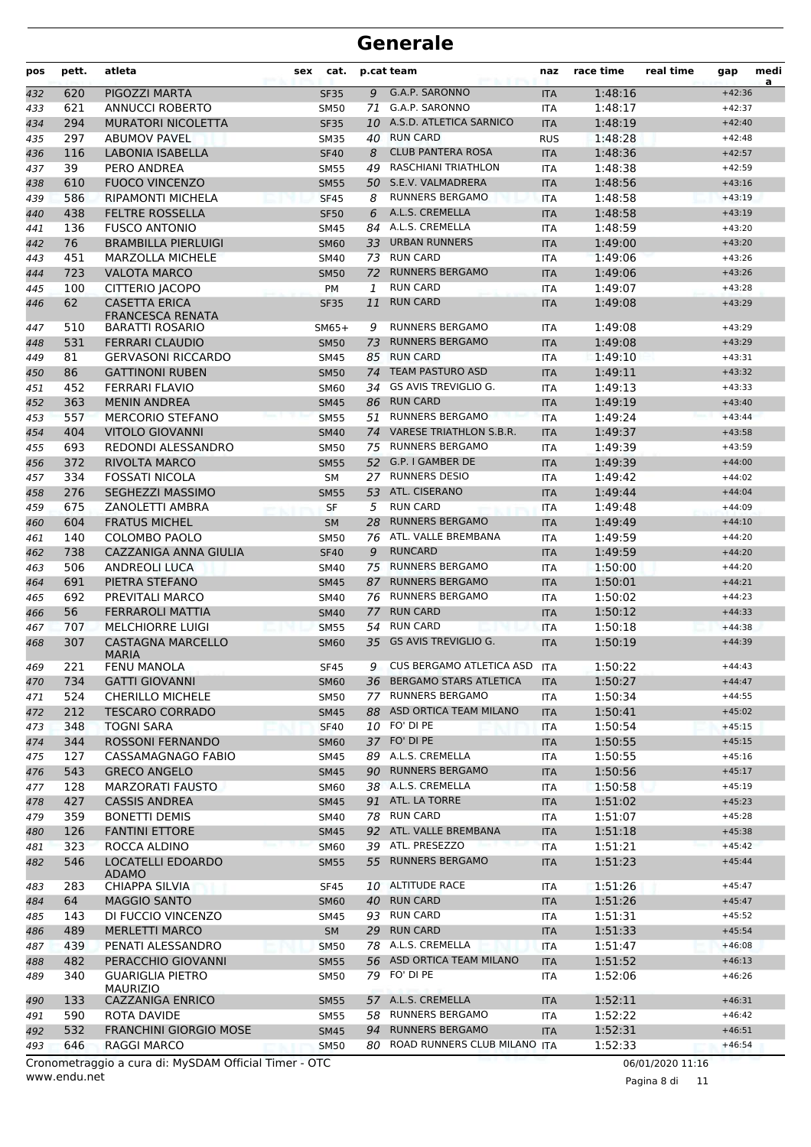| pos | pett. | atleta                                          | cat.<br>sex |    | p.cat team                      | naz        | race time | real time | gap      | medi<br>a |
|-----|-------|-------------------------------------------------|-------------|----|---------------------------------|------------|-----------|-----------|----------|-----------|
| 432 | 620   | PIGOZZI MARTA                                   | <b>SF35</b> | 9  | G.A.P. SARONNO                  | <b>ITA</b> | 1:48:16   |           | $+42:36$ |           |
| 433 | 621   | <b>ANNUCCI ROBERTO</b>                          | <b>SM50</b> | 71 | G.A.P. SARONNO                  | <b>ITA</b> | 1:48:17   |           | $+42:37$ |           |
| 434 | 294   | <b>MURATORI NICOLETTA</b>                       | <b>SF35</b> |    | 10 A.S.D. ATLETICA SARNICO      | <b>ITA</b> | 1:48:19   |           | $+42:40$ |           |
| 435 | 297   | <b>ABUMOV PAVEL</b>                             | <b>SM35</b> | 40 | <b>RUN CARD</b>                 | <b>RUS</b> | 1:48:28   |           | $+42:48$ |           |
| 436 | 116   | LABONIA ISABELLA                                | <b>SF40</b> | 8  | <b>CLUB PANTERA ROSA</b>        | <b>ITA</b> | 1:48:36   |           | $+42:57$ |           |
| 437 | 39    | PERO ANDREA                                     | <b>SM55</b> | 49 | <b>RASCHIANI TRIATHLON</b>      | <b>ITA</b> | 1:48:38   |           | $+42:59$ |           |
| 438 | 610   | <b>FUOCO VINCENZO</b>                           | <b>SM55</b> |    | 50 S.E.V. VALMADRERA            | <b>ITA</b> | 1:48:56   |           | $+43:16$ |           |
| 439 | 586   | <b>RIPAMONTI MICHELA</b>                        | <b>SF45</b> | 8  | <b>RUNNERS BERGAMO</b>          | <b>ITA</b> | 1:48:58   |           | $+43:19$ |           |
| 440 | 438   | <b>FELTRE ROSSELLA</b>                          | <b>SF50</b> | 6  | A.L.S. CREMELLA                 | <b>ITA</b> | 1:48:58   |           | $+43:19$ |           |
| 441 | 136   | <b>FUSCO ANTONIO</b>                            | <b>SM45</b> | 84 | A.L.S. CREMELLA                 | <b>ITA</b> | 1:48:59   |           | $+43:20$ |           |
| 442 | 76    | <b>BRAMBILLA PIERLUIGI</b>                      | <b>SM60</b> |    | 33 URBAN RUNNERS                | <b>ITA</b> | 1:49:00   |           | $+43:20$ |           |
| 443 | 451   | <b>MARZOLLA MICHELE</b>                         | <b>SM40</b> | 73 | <b>RUN CARD</b>                 | <b>ITA</b> | 1:49:06   |           | $+43:26$ |           |
| 444 | 723   | VALOTA MARCO                                    | <b>SM50</b> | 72 | <b>RUNNERS BERGAMO</b>          | <b>ITA</b> | 1:49:06   |           | $+43:26$ |           |
| 445 | 100   | CITTERIO JACOPO                                 | PM          | 1  | <b>RUN CARD</b>                 | <b>ITA</b> | 1:49:07   |           | $+43:28$ |           |
| 446 | 62    | <b>CASETTA ERICA</b><br><b>FRANCESCA RENATA</b> | <b>SF35</b> | 11 | <b>RUN CARD</b>                 | <b>ITA</b> | 1:49:08   |           | $+43:29$ |           |
| 447 | 510   | <b>BARATTI ROSARIO</b>                          | $SM65+$     | 9  | <b>RUNNERS BERGAMO</b>          | ITA        | 1:49:08   |           | $+43:29$ |           |
| 448 | 531   | <b>FERRARI CLAUDIO</b>                          | <b>SM50</b> | 73 | <b>RUNNERS BERGAMO</b>          | <b>ITA</b> | 1:49:08   |           | $+43:29$ |           |
| 449 | 81    | <b>GERVASONI RICCARDO</b>                       | <b>SM45</b> | 85 | <b>RUN CARD</b>                 | <b>ITA</b> | 1:49:10   |           | $+43:31$ |           |
| 450 | 86    | <b>GATTINONI RUBEN</b>                          | <b>SM50</b> | 74 | <b>TEAM PASTURO ASD</b>         | <b>ITA</b> | 1:49:11   |           | $+43:32$ |           |
| 451 | 452   | FERRARI FLAVIO                                  | <b>SM60</b> | 34 | <b>GS AVIS TREVIGLIO G.</b>     | <b>ITA</b> | 1:49:13   |           | $+43:33$ |           |
| 452 | 363   | <b>MENIN ANDREA</b>                             | <b>SM45</b> |    | 86 RUN CARD                     | <b>ITA</b> | 1:49:19   |           | $+43:40$ |           |
| 453 | 557   | <b>MERCORIO STEFANO</b>                         | <b>SM55</b> | 51 | <b>RUNNERS BERGAMO</b>          | <b>ITA</b> | 1:49:24   |           | $+43:44$ |           |
| 454 | 404   | <b>VITOLO GIOVANNI</b>                          | <b>SM40</b> | 74 | <b>VARESE TRIATHLON S.B.R.</b>  | <b>ITA</b> | 1:49:37   |           | $+43:58$ |           |
| 455 | 693   | REDONDI ALESSANDRO                              | <b>SM50</b> | 75 | <b>RUNNERS BERGAMO</b>          | <b>ITA</b> | 1:49:39   |           | $+43:59$ |           |
| 456 | 372   | RIVOLTA MARCO                                   | <b>SM55</b> |    | 52 G.P. I GAMBER DE             | <b>ITA</b> | 1:49:39   |           | $+44:00$ |           |
| 457 | 334   | FOSSATI NICOLA                                  | <b>SM</b>   |    | 27 RUNNERS DESIO                | <b>ITA</b> | 1:49:42   |           | $+44:02$ |           |
| 458 | 276   | <b>SEGHEZZI MASSIMO</b>                         | <b>SM55</b> |    | 53 ATL. CISERANO                | <b>ITA</b> | 1:49:44   |           | $+44:04$ |           |
| 459 | 675   | ZANOLETTI AMBRA                                 | <b>SF</b>   | 5  | <b>RUN CARD</b>                 | <b>ITA</b> | 1:49:48   |           | $+44:09$ |           |
| 460 | 604   | <b>FRATUS MICHEL</b>                            | <b>SM</b>   | 28 | <b>RUNNERS BERGAMO</b>          | <b>ITA</b> | 1:49:49   |           | $+44:10$ |           |
| 461 | 140   | COLOMBO PAOLO                                   | <b>SM50</b> | 76 | ATL. VALLE BREMBANA             | <b>ITA</b> | 1:49:59   |           | $+44:20$ |           |
| 462 | 738   | CAZZANIGA ANNA GIULIA                           | <b>SF40</b> | 9  | <b>RUNCARD</b>                  | <b>ITA</b> | 1:49:59   |           | $+44:20$ |           |
| 463 | 506   | <b>ANDREOLI LUCA</b>                            | <b>SM40</b> | 75 | <b>RUNNERS BERGAMO</b>          | <b>ITA</b> | 1:50:00   |           | $+44:20$ |           |
| 464 | 691   | PIETRA STEFANO                                  | <b>SM45</b> | 87 | <b>RUNNERS BERGAMO</b>          | <b>ITA</b> | 1:50:01   |           | $+44:21$ |           |
| 465 | 692   | PREVITALI MARCO                                 | <b>SM40</b> |    | 76 RUNNERS BERGAMO              | <b>ITA</b> | 1:50:02   |           | $+44:23$ |           |
| 466 | 56    | <b>FERRAROLI MATTIA</b>                         | <b>SM40</b> | 77 | <b>RUN CARD</b>                 | <b>ITA</b> | 1:50:12   |           | $+44:33$ |           |
| 467 | 707   | <b>MELCHIORRE LUIGI</b>                         | <b>SM55</b> | 54 | <b>RUN CARD</b>                 | <b>ITA</b> | 1:50:18   |           | $+44:38$ |           |
| 468 | 307   | <b>CASTAGNA MARCELLO</b>                        | <b>SM60</b> | 35 | <b>GS AVIS TREVIGLIO G.</b>     | <b>ITA</b> | 1:50:19   |           | $+44:39$ |           |
|     |       | <b>MARIA</b>                                    |             |    |                                 |            |           |           |          |           |
| 469 | 221   | <b>FENU MANOLA</b>                              | <b>SF45</b> | 9  | CUS BERGAMO ATLETICA ASD        | ITA        | 1:50:22   |           | $+44:43$ |           |
| 470 | 734   | <b>GATTI GIOVANNI</b>                           | <b>SM60</b> |    | 36 BERGAMO STARS ATLETICA       | <b>ITA</b> | 1:50:27   |           | $+44:47$ |           |
| 471 | 524   | <b>CHERILLO MICHELE</b>                         | SM50        |    | 77 RUNNERS BERGAMO              | ITA        | 1:50:34   |           | $+44:55$ |           |
| 472 | 212   | <b>TESCARO CORRADO</b>                          | <b>SM45</b> |    | 88 ASD ORTICA TEAM MILANO       | <b>ITA</b> | 1:50:41   |           | $+45:02$ |           |
| 473 | 348   | TOGNI SARA                                      | <b>SF40</b> |    | 10 FO' DI PE                    | ITA        | 1:50:54   |           | $+45:15$ |           |
| 474 | 344   | ROSSONI FERNANDO                                | <b>SM60</b> |    | 37 FO' DI PE                    | <b>ITA</b> | 1:50:55   |           | $+45:15$ |           |
| 475 | 127   | CASSAMAGNAGO FABIO                              | SM45        |    | 89 A.L.S. CREMELLA              | ITA        | 1:50:55   |           | $+45:16$ |           |
| 476 | 543   | <b>GRECO ANGELO</b>                             | <b>SM45</b> |    | 90 RUNNERS BERGAMO              | <b>ITA</b> | 1:50:56   |           | $+45:17$ |           |
| 477 | 128   | <b>MARZORATI FAUSTO</b>                         | <b>SM60</b> |    | 38 A.L.S. CREMELLA              | ITA        | 1:50:58   |           | $+45:19$ |           |
| 478 | 427   | <b>CASSIS ANDREA</b>                            | <b>SM45</b> |    | 91 ATL. LA TORRE                | <b>ITA</b> | 1:51:02   |           | $+45:23$ |           |
| 479 | 359   | <b>BONETTI DEMIS</b>                            | SM40        |    | 78 RUN CARD                     | ITA        | 1:51:07   |           | $+45:28$ |           |
| 480 | 126   | <b>FANTINI ETTORE</b>                           | <b>SM45</b> |    | 92 ATL. VALLE BREMBANA          | <b>ITA</b> | 1:51:18   |           | $+45:38$ |           |
| 481 | 323   | ROCCA ALDINO                                    | <b>SM60</b> |    | 39 ATL. PRESEZZO                | ITA        | 1:51:21   |           | $+45:42$ |           |
| 482 | 546   | LOCATELLI EDOARDO<br><b>ADAMO</b>               | <b>SM55</b> |    | 55 RUNNERS BERGAMO              | <b>ITA</b> | 1:51:23   |           | $+45:44$ |           |
| 483 | 283   | <b>CHIAPPA SILVIA</b>                           | <b>SF45</b> |    | 10 ALTITUDE RACE                | ITA        | 1:51:26   |           | $+45:47$ |           |
| 484 | 64    | <b>MAGGIO SANTO</b>                             | <b>SM60</b> |    | 40 RUN CARD                     | <b>ITA</b> | 1:51:26   |           | $+45:47$ |           |
| 485 | 143   | DI FUCCIO VINCENZO                              | SM45        |    | 93 RUN CARD                     | ITA        | 1:51:31   |           | $+45:52$ |           |
| 486 | 489   | <b>MERLETTI MARCO</b>                           | <b>SM</b>   |    | 29 RUN CARD                     | <b>ITA</b> | 1:51:33   |           | $+45:54$ |           |
| 487 | 439   | PENATI ALESSANDRO                               | <b>SM50</b> |    | 78 A.L.S. CREMELLA              | ITA        | 1:51:47   |           | $+46:08$ |           |
| 488 | 482   | PERACCHIO GIOVANNI                              | <b>SM55</b> |    | 56 ASD ORTICA TEAM MILANO       | <b>ITA</b> | 1:51:52   |           | $+46:13$ |           |
| 489 | 340   | <b>GUARIGLIA PIETRO</b><br><b>MAURIZIO</b>      | <b>SM50</b> |    | 79 FO' DI PE                    | ITA        | 1:52:06   |           | $+46:26$ |           |
| 490 | 133   | <b>CAZZANIGA ENRICO</b>                         | <b>SM55</b> |    | 57 A.L.S. CREMELLA              | <b>ITA</b> | 1:52:11   |           | $+46:31$ |           |
| 491 | 590   | ROTA DAVIDE                                     | <b>SM55</b> |    | 58 RUNNERS BERGAMO              | ITA        | 1:52:22   |           | $+46:42$ |           |
| 492 | 532   | <b>FRANCHINI GIORGIO MOSE</b>                   | <b>SM45</b> | 94 | <b>RUNNERS BERGAMO</b>          | <b>ITA</b> | 1:52:31   |           | $+46:51$ |           |
| 493 | 646   | RAGGI MARCO                                     | <b>SM50</b> |    | 80 ROAD RUNNERS CLUB MILANO ITA |            | 1:52:33   |           | $+46:54$ |           |
|     |       |                                                 |             |    |                                 |            |           |           |          |           |

www.endu.net Cronometraggio a cura di: MySDAM Official Timer - OTC 06/01/2020 11:16

Pagina 8 di 11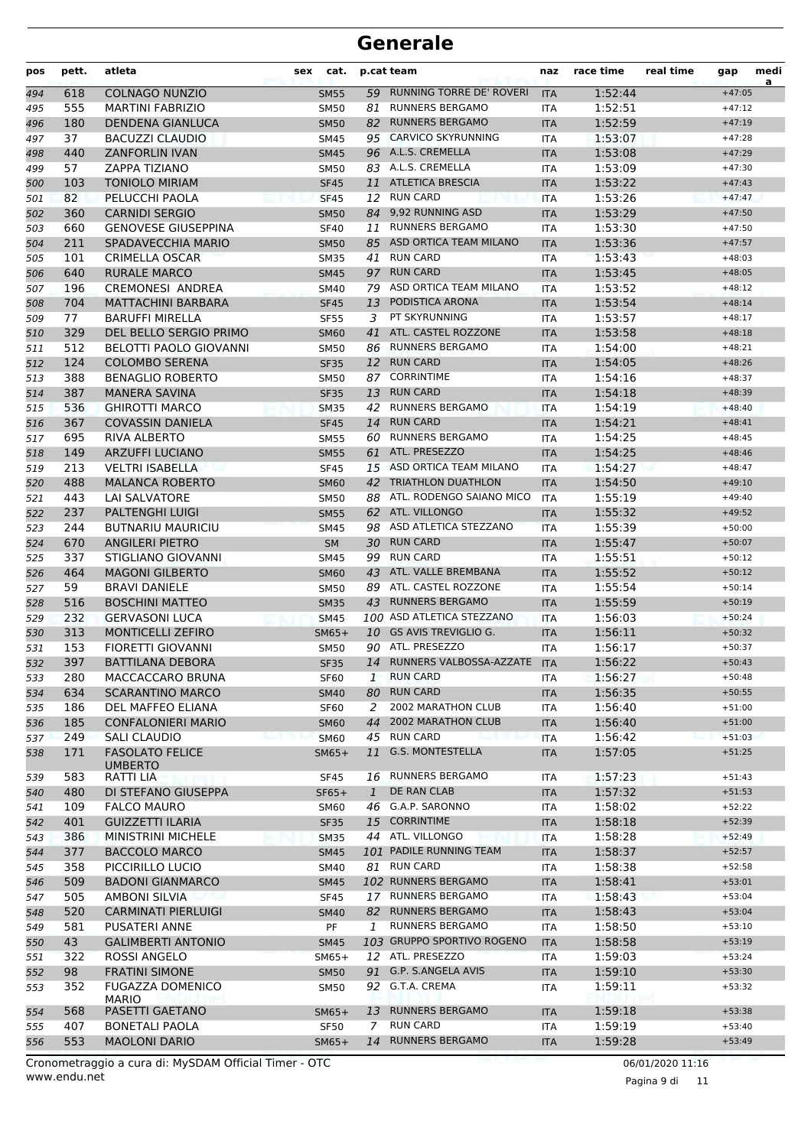| pos        | pett.      | atleta                                         | cat.<br>sex                |              | p.cat team                                           | naz               | race time          | real time | gap                  | medi<br>a |
|------------|------------|------------------------------------------------|----------------------------|--------------|------------------------------------------------------|-------------------|--------------------|-----------|----------------------|-----------|
| 494        | 618        | <b>COLNAGO NUNZIO</b>                          | <b>SM55</b>                | 59           | <b>RUNNING TORRE DE' ROVERI</b>                      | <b>ITA</b>        | 1:52:44            |           | $+47:05$             |           |
| 495        | 555        | <b>MARTINI FABRIZIO</b>                        | <b>SM50</b>                | 81           | <b>RUNNERS BERGAMO</b>                               | <b>ITA</b>        | 1:52:51            |           | $+47:12$             |           |
| 496        | 180        | <b>DENDENA GIANLUCA</b>                        | <b>SM50</b>                |              | 82 RUNNERS BERGAMO                                   | <b>ITA</b>        | 1:52:59            |           | $+47:19$             |           |
| 497        | 37         | <b>BACUZZI CLAUDIO</b>                         | <b>SM45</b>                |              | 95 CARVICO SKYRUNNING                                | <b>ITA</b>        | 1:53:07            |           | $+47:28$             |           |
| 498        | 440        | <b>ZANFORLIN IVAN</b>                          | <b>SM45</b>                |              | 96 A.L.S. CREMELLA                                   | <b>ITA</b>        | 1:53:08            |           | $+47:29$             |           |
| 499        | 57         | ZAPPA TIZIANO                                  | <b>SM50</b>                |              | 83 A.L.S. CREMELLA                                   | <b>ITA</b>        | 1:53:09            |           | $+47:30$             |           |
| 500        | 103        | <b>TONIOLO MIRIAM</b>                          | <b>SF45</b>                | 11           | <b>ATLETICA BRESCIA</b>                              | <b>ITA</b>        | 1:53:22            |           | $+47:43$             |           |
| 501        | 82         | PELUCCHI PAOLA                                 | <b>SF45</b>                |              | 12 RUN CARD                                          | <b>ITA</b>        | 1:53:26            |           | $+47:47$             |           |
| 502        | 360        | <b>CARNIDI SERGIO</b>                          | <b>SM50</b>                |              | 84 9,92 RUNNING ASD                                  | <b>ITA</b>        | 1:53:29            |           | $+47:50$             |           |
| 503        | 660        | <b>GENOVESE GIUSEPPINA</b>                     | <b>SF40</b>                | 11           | <b>RUNNERS BERGAMO</b>                               | <b>ITA</b>        | 1:53:30            |           | $+47:50$             |           |
| 504        | 211        | SPADAVECCHIA MARIO                             | <b>SM50</b>                |              | 85 ASD ORTICA TEAM MILANO                            | <b>ITA</b>        | 1:53:36            |           | $+47:57$             |           |
| 505        | 101        | <b>CRIMELLA OSCAR</b>                          | <b>SM35</b>                | 41           | <b>RUN CARD</b>                                      | <b>ITA</b>        | 1:53:43            |           | $+48:03$             |           |
| 506        | 640        | <b>RURALE MARCO</b>                            | <b>SM45</b>                | 97           | <b>RUN CARD</b>                                      | <b>ITA</b>        | 1:53:45            |           | $+48:05$             |           |
| 507        | 196        | <b>CREMONESI ANDREA</b>                        | SM40                       |              | 79 ASD ORTICA TEAM MILANO                            | <b>ITA</b>        | 1:53:52            |           | $+48:12$             |           |
| 508        | 704        | <b>MATTACHINI BARBARA</b>                      | <b>SF45</b>                | 13           | PODISTICA ARONA                                      | <b>ITA</b>        | 1:53:54            |           | $+48:14$             |           |
| 509        | 77         | <b>BARUFFI MIRELLA</b>                         | <b>SF55</b>                | 3            | PT SKYRUNNING                                        | <b>ITA</b>        | 1:53:57            |           | $+48:17$             |           |
| 510        | 329        | DEL BELLO SERGIO PRIMO                         | <b>SM60</b>                | 41           | ATL. CASTEL ROZZONE                                  | <b>ITA</b>        | 1:53:58            |           | $+48:18$             |           |
| 511        | 512        | BELOTTI PAOLO GIOVANNI                         | <b>SM50</b>                | 86           | <b>RUNNERS BERGAMO</b>                               | <b>ITA</b>        | 1:54:00            |           | $+48:21$             |           |
| 512        | 124        | <b>COLOMBO SERENA</b>                          | <b>SF35</b>                | 12           | <b>RUN CARD</b>                                      | <b>ITA</b>        | 1:54:05            |           | $+48:26$             |           |
| 513        | 388        | <b>BENAGLIO ROBERTO</b>                        | <b>SM50</b>                | 87           | <b>CORRINTIME</b>                                    | ITA               | 1:54:16            |           | $+48:37$             |           |
| 514        | 387        | <b>MANERA SAVINA</b>                           | <b>SF35</b>                | 13           | <b>RUN CARD</b>                                      | <b>ITA</b>        | 1:54:18            |           | $+48:39$             |           |
| 515        | 536        | <b>GHIROTTI MARCO</b>                          | <b>SM35</b>                | 42           | <b>RUNNERS BERGAMO</b>                               | <b>ITA</b>        | 1:54:19            |           | $+48:40$             |           |
| 516        | 367        | <b>COVASSIN DANIELA</b>                        | <b>SF45</b>                | 14           | <b>RUN CARD</b>                                      | <b>ITA</b>        | 1:54:21            |           | $+48:41$             |           |
| 517        | 695        | <b>RIVA ALBERTO</b>                            | <b>SM55</b>                | 60           | <b>RUNNERS BERGAMO</b>                               | <b>ITA</b>        | 1:54:25            |           | $+48:45$             |           |
| 518        | 149        | <b>ARZUFFI LUCIANO</b>                         | <b>SM55</b>                | 61           | ATL. PRESEZZO                                        | <b>ITA</b>        | 1:54:25            |           | $+48:46$             |           |
| 519        | 213        | <b>VELTRI ISABELLA</b>                         | <b>SF45</b>                |              | 15 ASD ORTICA TEAM MILANO                            | ITA               | 1:54:27            |           | $+48:47$             |           |
| 520        | 488        | <b>MALANCA ROBERTO</b>                         | <b>SM60</b>                |              | 42 TRIATHLON DUATHLON                                | <b>ITA</b>        | 1:54:50            |           | $+49:10$             |           |
| 521        | 443        | <b>LAI SALVATORE</b>                           | <b>SM50</b>                |              | 88 ATL. RODENGO SAIANO MICO                          | ITA               | 1:55:19            |           | $+49:40$             |           |
| 522        | 237        | <b>PALTENGHI LUIGI</b>                         | <b>SM55</b>                |              | 62 ATL. VILLONGO                                     | <b>ITA</b>        | 1:55:32            |           | $+49:52$             |           |
| 523        | 244        | <b>BUTNARIU MAURICIU</b>                       | <b>SM45</b>                | 98           | ASD ATLETICA STEZZANO                                | <b>ITA</b>        | 1:55:39            |           | $+50:00$             |           |
| 524        | 670        | <b>ANGILERI PIETRO</b>                         | <b>SM</b>                  | 30           | <b>RUN CARD</b>                                      | <b>ITA</b>        | 1:55:47            |           | $+50:07$             |           |
| 525        | 337        | STIGLIANO GIOVANNI                             | SM45                       |              | 99 RUN CARD                                          | ITA               | 1:55:51            |           | $+50:12$             |           |
| 526        | 464        | <b>MAGONI GILBERTO</b>                         | <b>SM60</b>                |              | 43 ATL. VALLE BREMBANA                               | <b>ITA</b>        | 1:55:52            |           | $+50:12$             |           |
| 527        | 59         | <b>BRAVI DANIELE</b>                           | <b>SM50</b>                |              | 89 ATL. CASTEL ROZZONE                               | ITA               | 1:55:54            |           | $+50:14$             |           |
| 528        | 516        | <b>BOSCHINI MATTEO</b>                         | <b>SM35</b>                | 43           | <b>RUNNERS BERGAMO</b>                               | <b>ITA</b>        | 1:55:59            |           | $+50:19$             |           |
| 529        | 232        | <b>GERVASONI LUCA</b>                          | <b>SM45</b>                |              | 100 ASD ATLETICA STEZZANO<br>10 GS AVIS TREVIGLIO G. | <b>ITA</b>        | 1:56:03            |           | $+50:24$             |           |
| 530        | 313        | <b>MONTICELLI ZEFIRO</b>                       | $SM65+$                    |              | 90 ATL. PRESEZZO                                     | <b>ITA</b>        | 1:56:11            |           | $+50:32$             |           |
| 531        | 153        | <b>FIORETTI GIOVANNI</b>                       | SM50                       |              | 14 RUNNERS VALBOSSA-AZZATE                           | ITA               | 1:56:17            |           | $+50:37$             |           |
| 532        | 397        | <b>BATTILANA DEBORA</b><br>MACCACCARO BRUNA    | <b>SF35</b>                |              | <b>RUN CARD</b>                                      | <b>ITA</b>        | 1:56:22<br>1:56:27 |           | $+50:43$             |           |
| 533        | 280        |                                                | SF60                       | 1            | <b>RUN CARD</b>                                      | ITA               |                    |           | $+50:48$<br>$+50:55$ |           |
| 534        | 634        | <b>SCARANTINO MARCO</b>                        | <b>SM40</b>                | 80           | 2002 MARATHON CLUB                                   | <b>ITA</b>        | 1:56:35<br>1:56:40 |           | $+51:00$             |           |
| 535        | 186<br>185 | DEL MAFFEO ELIANA<br><b>CONFALONIERI MARIO</b> | <b>SF60</b><br><b>SM60</b> | 2<br>44      | 2002 MARATHON CLUB                                   | ITA<br><b>ITA</b> | 1:56:40            |           | $+51:00$             |           |
| 536<br>537 | 249        | SALI CLAUDIO                                   | <b>SM60</b>                |              | 45 RUN CARD                                          | <b>ITA</b>        | 1:56:42            |           | $+51:03$             |           |
| 538        | 171        | <b>FASOLATO FELICE</b>                         | $SM65+$                    | 11           | G.S. MONTESTELLA                                     | <b>ITA</b>        | 1:57:05            |           | $+51:25$             |           |
|            |            | <b>UMBERTO</b>                                 |                            |              |                                                      |                   |                    |           |                      |           |
| 539        | 583        | RATTI LIA                                      | SF45                       |              | 16 RUNNERS BERGAMO                                   | ITA               | 1:57:23            |           | $+51:43$             |           |
| 540        | 480        | DI STEFANO GIUSEPPA                            | $SF65+$                    | $\mathbf{1}$ | DE RAN CLAB                                          | <b>ITA</b>        | 1:57:32            |           | $+51:53$             |           |
| 541        | 109        | <b>FALCO MAURO</b>                             | SM60                       |              | 46 G.A.P. SARONNO                                    | ITA               | 1:58:02            |           | $+52:22$             |           |
| 542        | 401        | <b>GUIZZETTI ILARIA</b>                        | <b>SF35</b>                | 15           | <b>CORRINTIME</b>                                    | <b>ITA</b>        | 1:58:18            |           | $+52:39$             |           |
| 543        | 386        | <b>MINISTRINI MICHELE</b>                      | <b>SM35</b>                |              | 44 ATL. VILLONGO                                     | ITA               | 1:58:28            |           | $+52:49$             |           |
| 544        | 377        | <b>BACCOLO MARCO</b>                           | <b>SM45</b>                |              | 101 PADILE RUNNING TEAM                              | <b>ITA</b>        | 1:58:37            |           | $+52:57$             |           |
| 545        | 358        | PICCIRILLO LUCIO                               | SM40                       |              | 81 RUN CARD                                          | ITA               | 1:58:38            |           | $+52:58$             |           |
| 546        | 509        | <b>BADONI GIANMARCO</b>                        | <b>SM45</b>                |              | 102 RUNNERS BERGAMO                                  | <b>ITA</b>        | 1:58:41            |           | $+53:01$             |           |
| 547        | 505        | AMBONI SILVIA                                  | <b>SF45</b>                |              | 17 RUNNERS BERGAMO                                   | ITA               | 1:58:43            |           | $+53:04$             |           |
| 548        | 520        | <b>CARMINATI PIERLUIGI</b>                     | <b>SM40</b>                | 82           | RUNNERS BERGAMO                                      | <b>ITA</b>        | 1:58:43            |           | $+53:04$             |           |
| 549        | 581        | PUSATERI ANNE                                  | PF                         | 1            | <b>RUNNERS BERGAMO</b>                               | ITA               | 1:58:50            |           | $+53:10$             |           |
| 550        | 43         | <b>GALIMBERTI ANTONIO</b>                      | <b>SM45</b>                |              | 103 GRUPPO SPORTIVO ROGENO                           | <b>ITA</b>        | 1:58:58            |           | $+53:19$             |           |
| 551        | 322        | ROSSI ANGELO                                   | $SM65+$                    |              | 12 ATL. PRESEZZO                                     | <b>ITA</b>        | 1:59:03            |           | $+53:24$             |           |
| 552        | 98         | <b>FRATINI SIMONE</b>                          | <b>SM50</b>                |              | 91 G.P. S.ANGELA AVIS                                | <b>ITA</b>        | 1:59:10            |           | $+53:30$             |           |
| 553        | 352        | <b>FUGAZZA DOMENICO</b>                        | SM50                       |              | 92 G.T.A. CREMA                                      | ITA               | 1:59:11            |           | $+53:32$             |           |
|            |            | <b>MARIO</b>                                   |                            |              | <b>RUNNERS BERGAMO</b>                               |                   | 1:59:18            |           | $+53:38$             |           |
| 554        | 568<br>407 | PASETTI GAETANO<br><b>BONETALI PAOLA</b>       | $SM65+$<br><b>SF50</b>     | 13<br>7      | <b>RUN CARD</b>                                      | <b>ITA</b>        | 1:59:19            |           | $+53:40$             |           |
| 555        | 553        | <b>MAOLONI DARIO</b>                           |                            |              | 14 RUNNERS BERGAMO                                   | ITA               |                    |           | $+53:49$             |           |
| 556        |            |                                                | $SM65+$                    |              |                                                      | <b>ITA</b>        | 1:59:28            |           |                      |           |

www.endu.net Cronometraggio a cura di: MySDAM Official Timer - OTC 06/01/2020 11:16

Pagina 9 di 11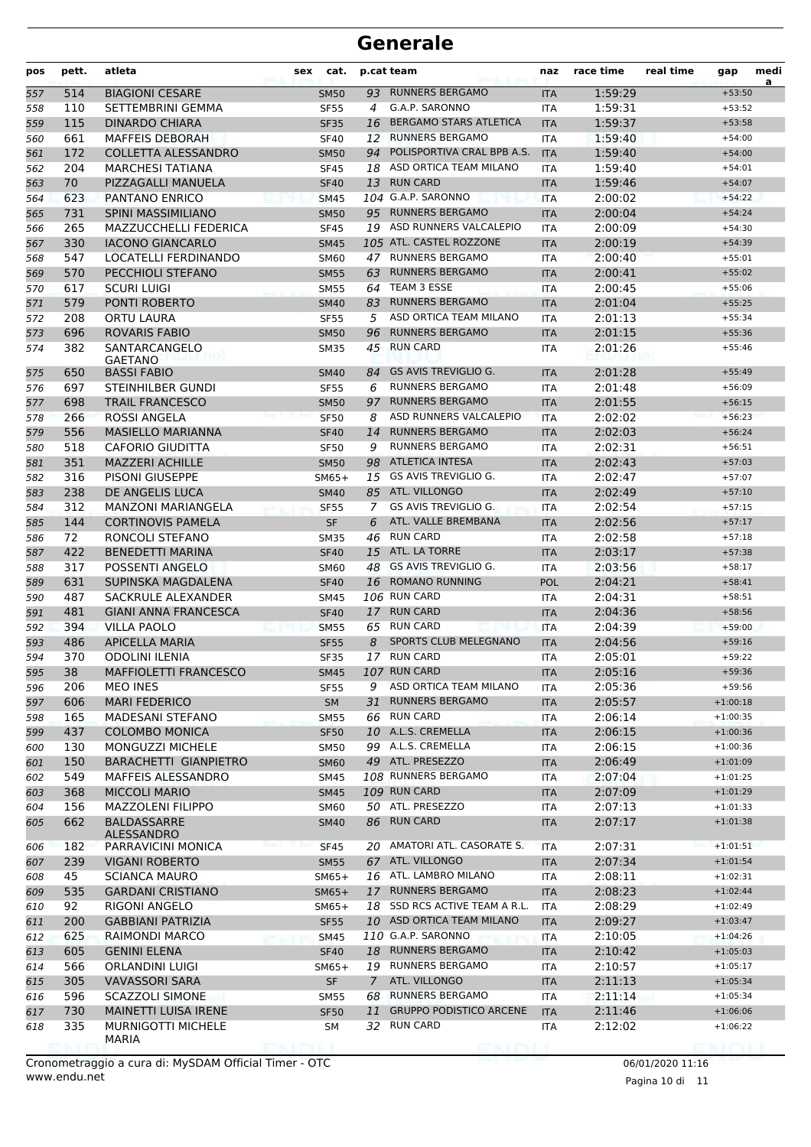| pos        | pett.      | atleta                                             | sex | cat.                       |             | p.cat team                               | naz               | race time          | real time | gap                      | medi<br>a |
|------------|------------|----------------------------------------------------|-----|----------------------------|-------------|------------------------------------------|-------------------|--------------------|-----------|--------------------------|-----------|
| 557        | 514        | <b>BIAGIONI CESARE</b>                             |     | <b>SM50</b>                | 93          | <b>RUNNERS BERGAMO</b>                   | <b>ITA</b>        | 1:59:29            |           | $+53:50$                 |           |
| 558        | 110        | <b>SETTEMBRINI GEMMA</b>                           |     | <b>SF55</b>                | 4           | G.A.P. SARONNO                           | <b>ITA</b>        | 1:59:31            |           | $+53:52$                 |           |
| 559        | 115        | <b>DINARDO CHIARA</b>                              |     | <b>SF35</b>                | 16          | <b>BERGAMO STARS ATLETICA</b>            | <b>ITA</b>        | 1:59:37            |           | $+53:58$                 |           |
| 560        | 661        | <b>MAFFEIS DEBORAH</b>                             |     | <b>SF40</b>                | 12          | <b>RUNNERS BERGAMO</b>                   | <b>ITA</b>        | 1:59:40            |           | $+54:00$                 |           |
| 561        | 172        | COLLETTA ALESSANDRO                                |     | <b>SM50</b>                | 94          | POLISPORTIVA CRAL BPB A.S.               | <b>ITA</b>        | 1:59:40            |           | $+54:00$                 |           |
| 562        | 204        | <b>MARCHESI TATIANA</b>                            |     | <b>SF45</b>                |             | 18 ASD ORTICA TEAM MILANO                | <b>ITA</b>        | 1:59:40            |           | $+54:01$                 |           |
| 563        | 70         | PIZZAGALLI MANUELA                                 |     | <b>SF40</b>                | 13          | <b>RUN CARD</b>                          | <b>ITA</b>        | 1:59:46            |           | $+54:07$                 |           |
| 564        | 623        | PANTANO ENRICO                                     |     | <b>SM45</b>                |             | 104 G.A.P. SARONNO                       | <b>ITA</b>        | 2:00:02            |           | $+54:22$                 |           |
| 565        | 731        | <b>SPINI MASSIMILIANO</b>                          |     | <b>SM50</b>                |             | 95 RUNNERS BERGAMO                       | <b>ITA</b>        | 2:00:04            |           | $+54:24$                 |           |
| 566        | 265        | MAZZUCCHELLI FEDERICA                              |     | <b>SF45</b>                |             | 19 ASD RUNNERS VALCALEPIO                | <b>ITA</b>        | 2:00:09            |           | $+54:30$                 |           |
| 567        | 330        | <b>IACONO GIANCARLO</b>                            |     | <b>SM45</b>                |             | 105 ATL. CASTEL ROZZONE                  | <b>ITA</b>        | 2:00:19            |           | $+54:39$                 |           |
| 568        | 547        | <b>LOCATELLI FERDINANDO</b>                        |     | <b>SM60</b>                |             | 47 RUNNERS BERGAMO                       | <b>ITA</b>        | 2:00:40            |           | $+55:01$                 |           |
| 569        | 570        | PECCHIOLI STEFANO                                  |     | <b>SM55</b>                | 63          | <b>RUNNERS BERGAMO</b>                   | <b>ITA</b>        | 2:00:41            |           | $+55:02$                 |           |
| 570        | 617        | <b>SCURI LUIGI</b>                                 |     | <b>SM55</b>                |             | 64 TEAM 3 ESSE<br><b>RUNNERS BERGAMO</b> | <b>ITA</b>        | 2:00:45            |           | $+55:06$                 |           |
| 571        | 579        | <b>PONTI ROBERTO</b>                               |     | <b>SM40</b>                | 83          | ASD ORTICA TEAM MILANO                   | <b>ITA</b>        | 2:01:04            |           | $+55:25$<br>$+55:34$     |           |
| 572        | 208        | ORTU LAURA                                         |     | <b>SF55</b>                | 5           | <b>RUNNERS BERGAMO</b>                   | <b>ITA</b>        | 2:01:13            |           |                          |           |
| 573        | 696<br>382 | <b>ROVARIS FABIO</b><br>SANTARCANGELO              |     | <b>SM50</b>                | 96          | 45 RUN CARD                              | <b>ITA</b>        | 2:01:15            |           | $+55:36$                 |           |
| 574        |            | <b>GAETANO</b>                                     |     | <b>SM35</b>                |             |                                          | <b>ITA</b>        | 2:01:26            |           | $+55:46$                 |           |
| 575        | 650        | <b>BASSI FABIO</b>                                 |     | <b>SM40</b>                | 84          | <b>GS AVIS TREVIGLIO G.</b>              | <b>ITA</b>        | 2:01:28            |           | $+55:49$                 |           |
| 576        | 697        | STEINHILBER GUNDI                                  |     | <b>SF55</b>                | 6           | <b>RUNNERS BERGAMO</b>                   | <b>ITA</b>        | 2:01:48            |           | $+56:09$                 |           |
| 577        | 698        | <b>TRAIL FRANCESCO</b>                             |     | <b>SM50</b>                | 97          | <b>RUNNERS BERGAMO</b>                   | <b>ITA</b>        | 2:01:55            |           | $+56:15$                 |           |
| 578        | 266        | ROSSI ANGELA                                       |     | <b>SF50</b>                | 8           | ASD RUNNERS VALCALEPIO                   | <b>ITA</b>        | 2:02:02            |           | $+56:23$                 |           |
| 579        | 556        | <b>MASIELLO MARIANNA</b>                           |     | <b>SF40</b>                | 14          | <b>RUNNERS BERGAMO</b>                   | <b>ITA</b>        | 2:02:03            |           | $+56:24$                 |           |
| 580        | 518        | CAFORIO GIUDITTA                                   |     | <b>SF50</b>                | 9           | <b>RUNNERS BERGAMO</b>                   | <b>ITA</b>        | 2:02:31            |           | $+56:51$                 |           |
| 581        | 351        | <b>MAZZERI ACHILLE</b>                             |     | <b>SM50</b>                | 98          | <b>ATLETICA INTESA</b>                   | <b>ITA</b>        | 2:02:43            |           | $+57:03$                 |           |
| 582        | 316        | <b>PISONI GIUSEPPE</b>                             |     | $SM65+$                    |             | 15 GS AVIS TREVIGLIO G.                  | <b>ITA</b>        | 2:02:47            |           | $+57:07$                 |           |
| 583        | 238        | DE ANGELIS LUCA                                    |     | <b>SM40</b>                |             | 85 ATL. VILLONGO                         | <b>ITA</b>        | 2:02:49            |           | $+57:10$                 |           |
| 584        | 312        | <b>MANZONI MARIANGELA</b>                          |     | <b>SF55</b>                | 7           | GS AVIS TREVIGLIO G.                     | <b>ITA</b>        | 2:02:54            |           | $+57:15$                 |           |
| 585        | 144        | <b>CORTINOVIS PAMELA</b>                           |     | <b>SF</b>                  | 6           | ATL. VALLE BREMBANA                      | <b>ITA</b>        | 2:02:56            |           | $+57:17$                 |           |
| 586        | 72         | RONCOLI STEFANO                                    |     | <b>SM35</b>                | 46          | <b>RUN CARD</b>                          | <b>ITA</b>        | 2:02:58            |           | $+57:18$                 |           |
| 587        | 422        | <b>BENEDETTI MARINA</b>                            |     | <b>SF40</b>                | 15          | ATL. LA TORRE                            | <b>ITA</b>        | 2:03:17            |           | $+57:38$                 |           |
| 588        | 317        | POSSENTI ANGELO                                    |     | <b>SM60</b>                | 48          | <b>GS AVIS TREVIGLIO G.</b>              | <b>ITA</b>        | 2:03:56            |           | $+58:17$                 |           |
| 589        | 631        | SUPINSKA MAGDALENA                                 |     | <b>SF40</b>                |             | 16 ROMANO RUNNING                        | <b>POL</b>        | 2:04:21            |           | $+58:41$                 |           |
| 590        | 487        | SACKRULE ALEXANDER                                 |     | <b>SM45</b>                |             | 106 RUN CARD                             | <b>ITA</b>        | 2:04:31            |           | $+58:51$                 |           |
| 591        | 481        | <b>GIANI ANNA FRANCESCA</b>                        |     | <b>SF40</b>                | 17          | <b>RUN CARD</b>                          | <b>ITA</b>        | 2:04:36            |           | $+58:56$                 |           |
| 592        | 394        | <b>VILLA PAOLO</b>                                 |     | <b>SM55</b>                | 65          | <b>RUN CARD</b>                          | <b>ITA</b>        | 2:04:39            |           | $+59:00$                 |           |
| 593        | 486        | <b>APICELLA MARIA</b>                              |     | <b>SF55</b>                | 8           | <b>SPORTS CLUB MELEGNANO</b>             | <b>ITA</b>        | 2:04:56            |           | $+59:16$                 |           |
| 594        | 370        | <b>ODOLINI ILENIA</b>                              |     | <b>SF35</b>                |             | 17 RUN CARD                              | <b>ITA</b>        | 2:05:01            |           | $+59:22$                 |           |
| 595        | 38         | MAFFIOLETTI FRANCESCO                              |     | <b>SM45</b>                |             | 107 RUN CARD                             | <b>ITA</b>        | 2:05:16            |           | $+59:36$                 |           |
| 596        | 206        | MEO INES                                           |     | <b>SF55</b>                | 9           | ASD ORTICA TEAM MILANO                   | ITA               | 2:05:36            |           | $+59:56$                 |           |
| 597        | 606        | <b>MARI FEDERICO</b>                               |     | <b>SM</b>                  | 31          | <b>RUNNERS BERGAMO</b>                   | <b>ITA</b>        | 2:05:57            |           | $+1:00:18$               |           |
| 598        | 165        | MADESANI STEFANO                                   |     | <b>SM55</b>                |             | 66 RUN CARD                              | ITA               | 2:06:14            |           | $+1:00:35$               |           |
| 599        | 437        | <b>COLOMBO MONICA</b>                              |     | <b>SF50</b>                |             | 10 A.L.S. CREMELLA<br>99 A.L.S. CREMELLA | <b>ITA</b>        | 2:06:15            |           | $+1:00:36$               |           |
| 600        | 130        | MONGUZZI MICHELE                                   |     | <b>SM50</b>                |             | 49 ATL. PRESEZZO                         | <b>ITA</b>        | 2:06:15            |           | $+1:00:36$<br>$+1:01:09$ |           |
| 601        | 150        | <b>BARACHETTI GIANPIETRO</b><br>MAFFEIS ALESSANDRO |     | <b>SM60</b>                |             | 108 RUNNERS BERGAMO                      | <b>ITA</b>        | 2:06:49            |           | $+1:01:25$               |           |
| 602        | 549<br>368 | <b>MICCOLI MARIO</b>                               |     | <b>SM45</b>                |             | 109 RUN CARD                             | <b>ITA</b>        | 2:07:04<br>2:07:09 |           | $+1:01:29$               |           |
| 603<br>604 | 156        | <b>MAZZOLENI FILIPPO</b>                           |     | <b>SM45</b><br><b>SM60</b> |             | 50 ATL. PRESEZZO                         | <b>ITA</b><br>ITA | 2:07:13            |           | $+1:01:33$               |           |
| 605        | 662        | <b>BALDASSARRE</b>                                 |     | <b>SM40</b>                |             | 86 RUN CARD                              | <b>ITA</b>        | 2:07:17            |           | $+1:01:38$               |           |
|            |            | ALESSANDRO                                         |     |                            |             |                                          |                   |                    |           |                          |           |
| 606        | 182        | PARRAVICINI MONICA                                 |     | <b>SF45</b>                |             | 20 AMATORI ATL. CASORATE S.              | <b>ITA</b>        | 2:07:31            |           | $+1:01:51$               |           |
| 607        | 239        | <b>VIGANI ROBERTO</b>                              |     | <b>SM55</b>                |             | 67 ATL. VILLONGO                         | <b>ITA</b>        | 2:07:34            |           | $+1:01:54$               |           |
| 608        | 45         | <b>SCIANCA MAURO</b>                               |     | $SM65+$                    |             | 16 ATL. LAMBRO MILANO                    | <b>ITA</b>        | 2:08:11            |           | $+1:02:31$               |           |
| 609        | 535        | <b>GARDANI CRISTIANO</b>                           |     | $SM65+$                    |             | 17 RUNNERS BERGAMO                       | <b>ITA</b>        | 2:08:23            |           | $+1:02:44$               |           |
| 610        | 92         | RIGONI ANGELO                                      |     | $SM65+$                    |             | 18 SSD RCS ACTIVE TEAM A R.L.            | ITA               | 2:08:29            |           | $+1:02:49$               |           |
| 611        | 200        | <b>GABBIANI PATRIZIA</b>                           |     | <b>SF55</b>                |             | 10 ASD ORTICA TEAM MILANO                | <b>ITA</b>        | 2:09:27            |           | $+1:03:47$               |           |
| 612        | 625        | RAIMONDI MARCO                                     |     | <b>SM45</b>                |             | 110 G.A.P. SARONNO                       | ITA               | 2:10:05            |           | $+1:04:26$               |           |
| 613        | 605        | <b>GENINI ELENA</b>                                |     | <b>SF40</b>                |             | 18 RUNNERS BERGAMO                       | <b>ITA</b>        | 2:10:42            |           | $+1:05:03$               |           |
| 614        | 566        | ORLANDINI LUIGI                                    |     | $SM65+$                    |             | 19 RUNNERS BERGAMO                       | ITA               | 2:10:57            |           | $+1:05:17$               |           |
| 615        | 305        | VAVASSORI SARA                                     |     | <b>SF</b>                  | $7^{\circ}$ | ATL. VILLONGO                            | <b>ITA</b>        | 2:11:13            |           | $+1:05:34$               |           |
| 616        | 596        | <b>SCAZZOLI SIMONE</b>                             |     | SM55                       | 68          | <b>RUNNERS BERGAMO</b>                   | ITA               | 2:11:14            |           | $+1:05:34$               |           |
| 617        | 730        | MAINETTI LUISA IRENE                               |     | <b>SF50</b>                | 11          | <b>GRUPPO PODISTICO ARCENE</b>           | <b>ITA</b>        | 2:11:46            |           | $+1:06:06$               |           |
| 618        | 335        | <b>MURNIGOTTI MICHELE</b>                          |     | SΜ                         |             | 32 RUN CARD                              | ITA               | 2:12:02            |           | $+1:06:22$               |           |
|            |            | MARIA                                              |     |                            |             |                                          |                   |                    |           |                          |           |

Pagina 10 di 11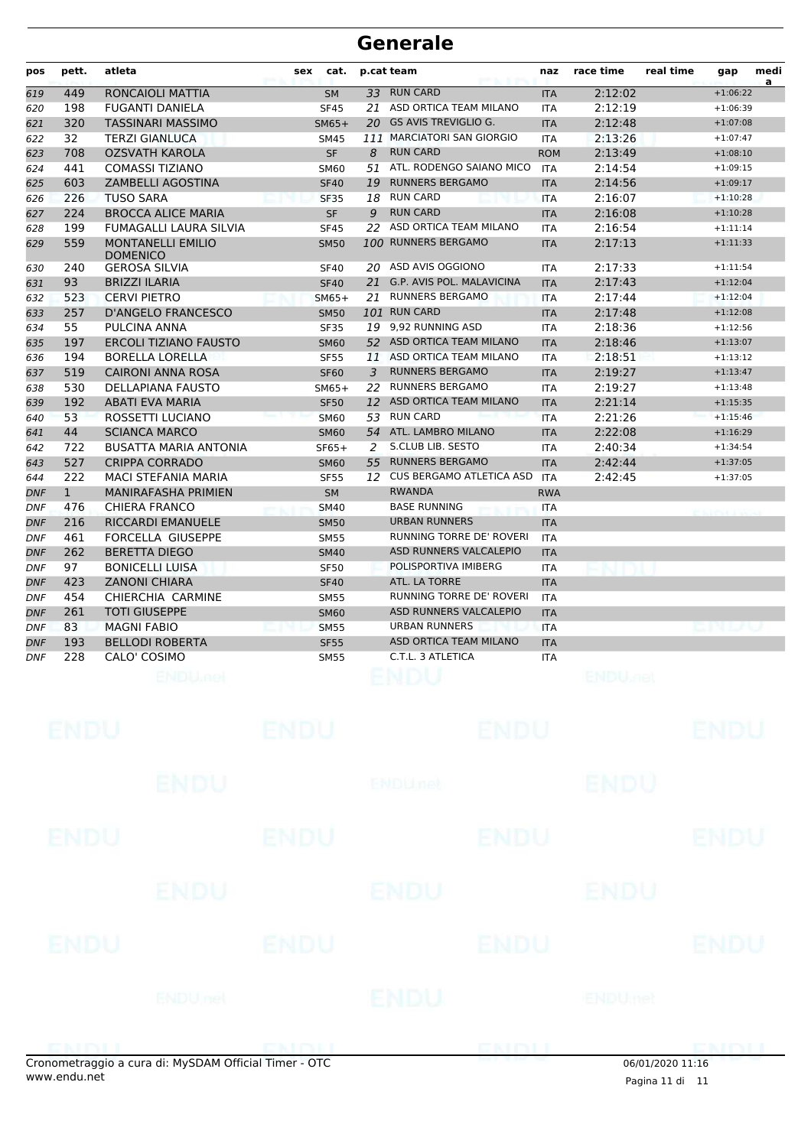| pos        | pett.        | atleta                               | cat.<br>sex |    | p.cat team                       | naz        | race time                 | real time | gap         | medi<br>a |
|------------|--------------|--------------------------------------|-------------|----|----------------------------------|------------|---------------------------|-----------|-------------|-----------|
| 619        | 449          | RONCAIOLI MATTIA                     | <b>SM</b>   |    | 33 RUN CARD                      | <b>ITA</b> | 2:12:02                   |           | $+1:06:22$  |           |
| 620        | 198          | <b>FUGANTI DANIELA</b>               | <b>SF45</b> | 21 | ASD ORTICA TEAM MILANO           | <b>ITA</b> | 2:12:19                   |           | $+1:06:39$  |           |
| 621        | 320          | <b>TASSINARI MASSIMO</b>             | $SM65+$     |    | 20 GS AVIS TREVIGLIO G.          | <b>ITA</b> | 2:12:48                   |           | $+1:07:08$  |           |
| 622        | 32           | <b>TERZI GIANLUCA</b>                | <b>SM45</b> |    | 111 MARCIATORI SAN GIORGIO       | ITA        | 2:13:26                   |           | $+1:07:47$  |           |
| 623        | 708          | <b>OZSVATH KAROLA</b>                | <b>SF</b>   | 8  | <b>RUN CARD</b>                  | <b>ROM</b> | 2:13:49                   |           | $+1:08:10$  |           |
| 624        | 441          | <b>COMASSI TIZIANO</b>               | <b>SM60</b> | 51 | ATL. RODENGO SAIANO MICO         | <b>ITA</b> | 2:14:54                   |           | $+1:09:15$  |           |
| 625        | 603          | <b>ZAMBELLI AGOSTINA</b>             | <b>SF40</b> | 19 | <b>RUNNERS BERGAMO</b>           | <b>ITA</b> | 2:14:56                   |           | $+1:09:17$  |           |
| 626        | 226          | <b>TUSO SARA</b>                     | <b>SF35</b> | 18 | <b>RUN CARD</b>                  | <b>ITA</b> | 2:16:07                   |           | $+1:10:28$  |           |
| 627        | 224          | <b>BROCCA ALICE MARIA</b>            | <b>SF</b>   | 9  | <b>RUN CARD</b>                  | <b>ITA</b> | 2:16:08                   |           | $+1:10:28$  |           |
| 628        | 199          | FUMAGALLI LAURA SILVIA               | <b>SF45</b> | 22 | ASD ORTICA TEAM MILANO           | <b>ITA</b> | 2:16:54                   |           | $+1:11:14$  |           |
| 629        | 559          | <b>MONTANELLI EMILIO</b><br>DOMENICO | <b>SM50</b> |    | 100 RUNNERS BERGAMO              | <b>ITA</b> | 2:17:13                   |           | $+1:11:33$  |           |
| 630        | 240          | <b>GEROSA SILVIA</b>                 | <b>SF40</b> |    | 20 ASD AVIS OGGIONO              | ITA        | 2:17:33                   |           | $+1:11:54$  |           |
| 631        | 93           | <b>BRIZZI ILARIA</b>                 | <b>SF40</b> | 21 | <b>G.P. AVIS POL. MALAVICINA</b> | <b>ITA</b> | 2:17:43                   |           | $+1:12:04$  |           |
| 632        | 523          | <b>CERVI PIETRO</b>                  | $SM65+$     | 21 | <b>RUNNERS BERGAMO</b>           | <b>ITA</b> | 2:17:44                   |           | $+1:12:04$  |           |
| 633        | 257          | D'ANGELO FRANCESCO                   | <b>SM50</b> |    | 101 RUN CARD                     | <b>ITA</b> | 2:17:48                   |           | $+1:12:08$  |           |
| 634        | 55           | PULCINA ANNA                         | <b>SF35</b> |    | 19 9,92 RUNNING ASD              | <b>ITA</b> | 2:18:36                   |           | $+1:12:56$  |           |
| 635        | 197          | <b>ERCOLI TIZIANO FAUSTO</b>         | <b>SM60</b> |    | 52 ASD ORTICA TEAM MILANO        | <b>ITA</b> | 2:18:46                   |           | $+1:13:07$  |           |
| 636        | 194          | <b>BORELLA LORELLA</b>               | <b>SF55</b> | 11 | ASD ORTICA TEAM MILANO           | ITA        | 2:18:51                   |           | $+1:13:12$  |           |
| 637        | 519          | <b>CAIRONI ANNA ROSA</b>             | <b>SF60</b> | 3  | <b>RUNNERS BERGAMO</b>           | <b>ITA</b> | 2:19:27                   |           | $+1:13:47$  |           |
| 638        | 530          | <b>DELLAPIANA FAUSTO</b>             | $SM65+$     | 22 | <b>RUNNERS BERGAMO</b>           | <b>ITA</b> | 2:19:27                   |           | $+1:13:48$  |           |
| 639        | 192          | <b>ABATI EVA MARIA</b>               | <b>SF50</b> |    | 12 ASD ORTICA TEAM MILANO        | <b>ITA</b> | 2:21:14                   |           | $+1:15:35$  |           |
| 640        | 53           | ROSSETTI LUCIANO                     | <b>SM60</b> |    | 53 RUN CARD                      | <b>ITA</b> | 2:21:26                   |           | $+1:15:46$  |           |
| 641        | 44           | <b>SCIANCA MARCO</b>                 | <b>SM60</b> |    | 54 ATL. LAMBRO MILANO            | <b>ITA</b> | 2:22:08                   |           | $+1:16:29$  |           |
| 642        | 722          | <b>BUSATTA MARIA ANTONIA</b>         | $SF65+$     | 2  | S.CLUB LIB. SESTO                | ITA        | 2:40:34                   |           | $+1:34:54$  |           |
| 643        | 527          | <b>CRIPPA CORRADO</b>                | <b>SM60</b> | 55 | <b>RUNNERS BERGAMO</b>           | <b>ITA</b> | 2:42:44                   |           | $+1:37:05$  |           |
| 644        | 222          | MACI STEFANIA MARIA                  | <b>SF55</b> |    | 12 CUS BERGAMO ATLETICA ASD      | <b>ITA</b> | 2:42:45                   |           | $+1:37:05$  |           |
| <b>DNF</b> | $\mathbf{1}$ | MANIRAFASHA PRIMIEN                  | <b>SM</b>   |    | <b>RWANDA</b>                    | <b>RWA</b> |                           |           |             |           |
| <b>DNF</b> | 476          | <b>CHIERA FRANCO</b>                 | <b>SM40</b> |    | <b>BASE RUNNING</b>              | ITA        |                           |           |             |           |
| <b>DNF</b> | 216          | <b>RICCARDI EMANUELE</b>             | <b>SM50</b> |    | <b>URBAN RUNNERS</b>             | <b>ITA</b> |                           |           |             |           |
| DNF        | 461          | FORCELLA GIUSEPPE                    | <b>SM55</b> |    | <b>RUNNING TORRE DE' ROVERI</b>  | <b>ITA</b> |                           |           |             |           |
| <b>DNF</b> | 262          | <b>BERETTA DIEGO</b>                 | <b>SM40</b> |    | ASD RUNNERS VALCALEPIO           | <b>ITA</b> |                           |           |             |           |
| <b>DNF</b> | 97           | <b>BONICELLI LUISA</b>               | <b>SF50</b> |    | POLISPORTIVA IMIBERG             | <b>ITA</b> |                           |           |             |           |
| <b>DNF</b> | 423          | <b>ZANONI CHIARA</b>                 | <b>SF40</b> |    | ATL. LA TORRE                    | <b>ITA</b> |                           |           |             |           |
| <b>DNF</b> | 454          | CHIERCHIA CARMINE                    | <b>SM55</b> |    | RUNNING TORRE DE' ROVERI         | <b>ITA</b> |                           |           |             |           |
| <b>DNF</b> | 261          | <b>TOTI GIUSEPPE</b>                 | <b>SM60</b> |    | ASD RUNNERS VALCALEPIO           | <b>ITA</b> |                           |           |             |           |
| <b>DNF</b> | 83           | <b>MAGNI FABIO</b>                   | <b>SM55</b> |    | <b>URBAN RUNNERS</b>             | <b>ITA</b> |                           |           |             |           |
| <b>DNF</b> | 193          | <b>BELLODI ROBERTA</b>               | <b>SF55</b> |    | <b>ASD ORTICA TEAM MILANO</b>    | <b>ITA</b> |                           |           |             |           |
| DNF        | 228          | CALO' COSIMO                         | <b>SM55</b> |    | C.T.L. 3 ATLETICA                | ITA        |                           |           |             |           |
|            |              | <b>ENDU<sub>met</sub></b>            |             |    | ENDU                             |            | <b>ENDU<sub>DER</sub></b> |           |             |           |
|            |              |                                      |             |    |                                  |            |                           |           |             |           |
|            | <b>ENDU</b>  |                                      | <b>ENDU</b> |    | <b>ENDU</b>                      |            |                           |           | <b>ENDU</b> |           |
|            |              |                                      |             |    |                                  |            |                           |           |             |           |
|            |              | ENDU                                 |             |    | <b>ENDUnet</b>                   |            | <b>ENDU</b>               |           |             |           |
|            | ENDU         |                                      | <b>ENDU</b> |    | <b>ENDU</b>                      |            |                           |           | <b>ENDU</b> |           |
|            |              |                                      |             |    |                                  |            |                           |           |             |           |